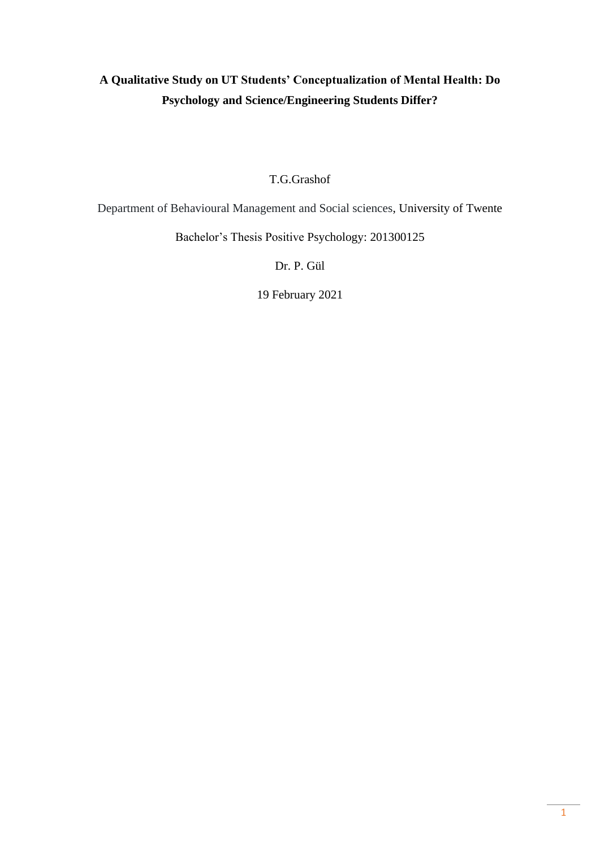# **A Qualitative Study on UT Students' Conceptualization of Mental Health: Do Psychology and Science/Engineering Students Differ?**

T.G.Grashof

Department of Behavioural Management and Social sciences, University of Twente

Bachelor's Thesis Positive Psychology: 201300125

Dr. P. Gül

19 February 2021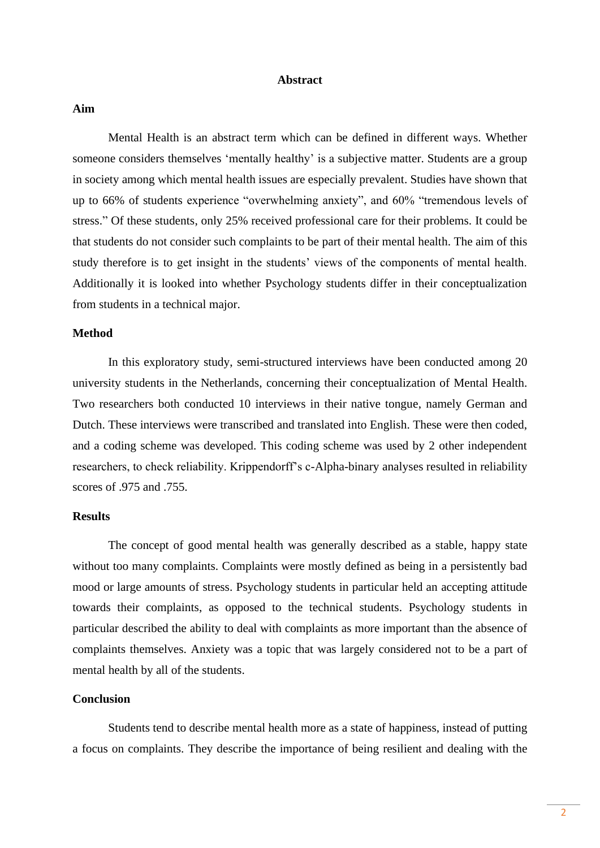#### **Abstract**

#### **Aim**

Mental Health is an abstract term which can be defined in different ways. Whether someone considers themselves 'mentally healthy' is a subjective matter. Students are a group in society among which mental health issues are especially prevalent. Studies have shown that up to 66% of students experience "overwhelming anxiety", and 60% "tremendous levels of stress." Of these students, only 25% received professional care for their problems. It could be that students do not consider such complaints to be part of their mental health. The aim of this study therefore is to get insight in the students' views of the components of mental health. Additionally it is looked into whether Psychology students differ in their conceptualization from students in a technical major.

#### **Method**

In this exploratory study, semi-structured interviews have been conducted among 20 university students in the Netherlands, concerning their conceptualization of Mental Health. Two researchers both conducted 10 interviews in their native tongue, namely German and Dutch. These interviews were transcribed and translated into English. These were then coded, and a coding scheme was developed. This coding scheme was used by 2 other independent researchers, to check reliability. Krippendorff's c-Alpha-binary analyses resulted in reliability scores of .975 and .755.

#### **Results**

The concept of good mental health was generally described as a stable, happy state without too many complaints. Complaints were mostly defined as being in a persistently bad mood or large amounts of stress. Psychology students in particular held an accepting attitude towards their complaints, as opposed to the technical students. Psychology students in particular described the ability to deal with complaints as more important than the absence of complaints themselves. Anxiety was a topic that was largely considered not to be a part of mental health by all of the students.

#### **Conclusion**

Students tend to describe mental health more as a state of happiness, instead of putting a focus on complaints. They describe the importance of being resilient and dealing with the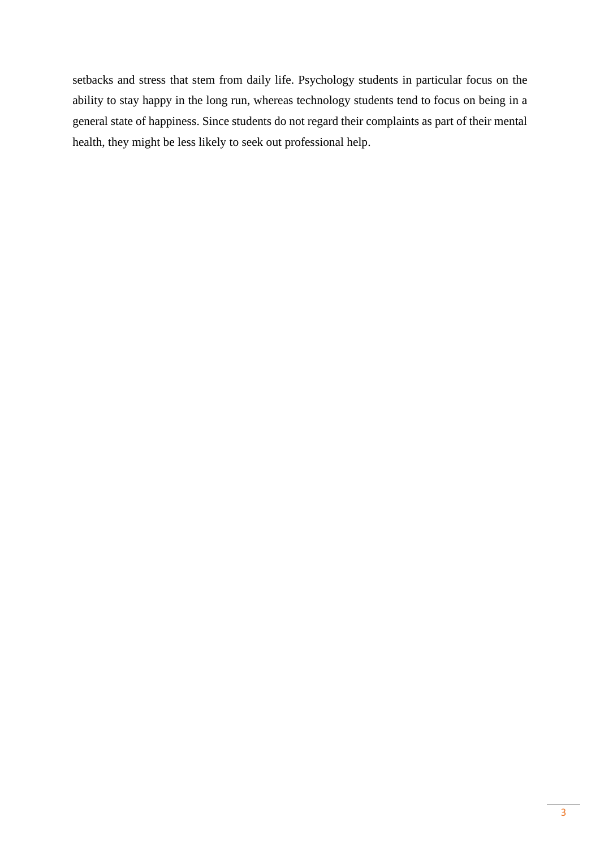setbacks and stress that stem from daily life. Psychology students in particular focus on the ability to stay happy in the long run, whereas technology students tend to focus on being in a general state of happiness. Since students do not regard their complaints as part of their mental health, they might be less likely to seek out professional help.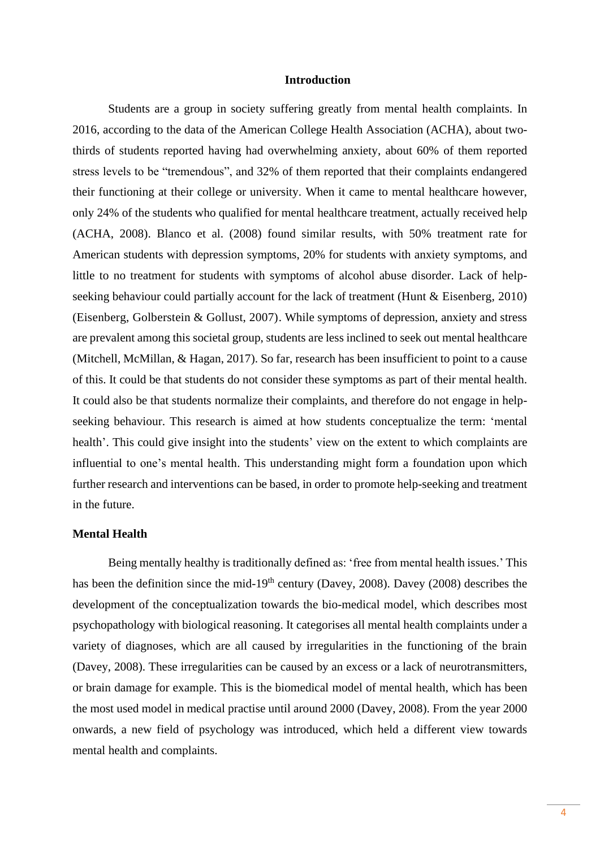#### **Introduction**

Students are a group in society suffering greatly from mental health complaints. In 2016, according to the data of the American College Health Association (ACHA), about twothirds of students reported having had overwhelming anxiety, about 60% of them reported stress levels to be "tremendous", and 32% of them reported that their complaints endangered their functioning at their college or university. When it came to mental healthcare however, only 24% of the students who qualified for mental healthcare treatment, actually received help (ACHA, 2008). Blanco et al. (2008) found similar results, with 50% treatment rate for American students with depression symptoms, 20% for students with anxiety symptoms, and little to no treatment for students with symptoms of alcohol abuse disorder. Lack of helpseeking behaviour could partially account for the lack of treatment (Hunt & Eisenberg, 2010) (Eisenberg, Golberstein & Gollust, 2007). While symptoms of depression, anxiety and stress are prevalent among this societal group, students are less inclined to seek out mental healthcare (Mitchell, McMillan, & Hagan, 2017). So far, research has been insufficient to point to a cause of this. It could be that students do not consider these symptoms as part of their mental health. It could also be that students normalize their complaints, and therefore do not engage in helpseeking behaviour. This research is aimed at how students conceptualize the term: 'mental health'. This could give insight into the students' view on the extent to which complaints are influential to one's mental health. This understanding might form a foundation upon which further research and interventions can be based, in order to promote help-seeking and treatment in the future.

#### **Mental Health**

Being mentally healthy is traditionally defined as: 'free from mental health issues.' This has been the definition since the mid-19<sup>th</sup> century (Davey, 2008). Davey (2008) describes the development of the conceptualization towards the bio-medical model, which describes most psychopathology with biological reasoning. It categorises all mental health complaints under a variety of diagnoses, which are all caused by irregularities in the functioning of the brain (Davey, 2008). These irregularities can be caused by an excess or a lack of neurotransmitters, or brain damage for example. This is the biomedical model of mental health, which has been the most used model in medical practise until around 2000 (Davey, 2008). From the year 2000 onwards, a new field of psychology was introduced, which held a different view towards mental health and complaints.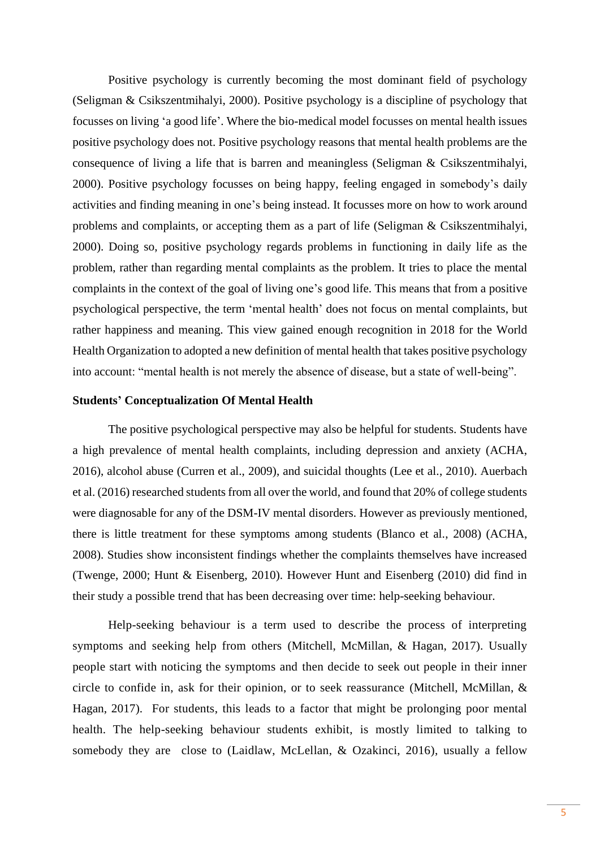Positive psychology is currently becoming the most dominant field of psychology (Seligman & Csikszentmihalyi, 2000). Positive psychology is a discipline of psychology that focusses on living 'a good life'. Where the bio-medical model focusses on mental health issues positive psychology does not. Positive psychology reasons that mental health problems are the consequence of living a life that is barren and meaningless (Seligman & Csikszentmihalyi, 2000). Positive psychology focusses on being happy, feeling engaged in somebody's daily activities and finding meaning in one's being instead. It focusses more on how to work around problems and complaints, or accepting them as a part of life (Seligman & Csikszentmihalyi, 2000). Doing so, positive psychology regards problems in functioning in daily life as the problem, rather than regarding mental complaints as the problem. It tries to place the mental complaints in the context of the goal of living one's good life. This means that from a positive psychological perspective, the term 'mental health' does not focus on mental complaints, but rather happiness and meaning. This view gained enough recognition in 2018 for the World Health Organization to adopted a new definition of mental health that takes positive psychology into account: "mental health is not merely the absence of disease, but a state of well-being".

#### **Students' Conceptualization Of Mental Health**

The positive psychological perspective may also be helpful for students. Students have a high prevalence of mental health complaints, including depression and anxiety (ACHA, 2016), alcohol abuse (Curren et al., 2009), and suicidal thoughts (Lee et al., 2010). Auerbach et al. (2016) researched students from all over the world, and found that 20% of college students were diagnosable for any of the DSM-IV mental disorders. However as previously mentioned, there is little treatment for these symptoms among students (Blanco et al., 2008) (ACHA, 2008). Studies show inconsistent findings whether the complaints themselves have increased (Twenge, 2000; Hunt & Eisenberg, 2010). However Hunt and Eisenberg (2010) did find in their study a possible trend that has been decreasing over time: help-seeking behaviour.

Help-seeking behaviour is a term used to describe the process of interpreting symptoms and seeking help from others (Mitchell, McMillan, & Hagan, 2017). Usually people start with noticing the symptoms and then decide to seek out people in their inner circle to confide in, ask for their opinion, or to seek reassurance (Mitchell, McMillan, & Hagan, 2017). For students, this leads to a factor that might be prolonging poor mental health. The help-seeking behaviour students exhibit, is mostly limited to talking to somebody they are close to (Laidlaw, McLellan, & Ozakinci, 2016), usually a fellow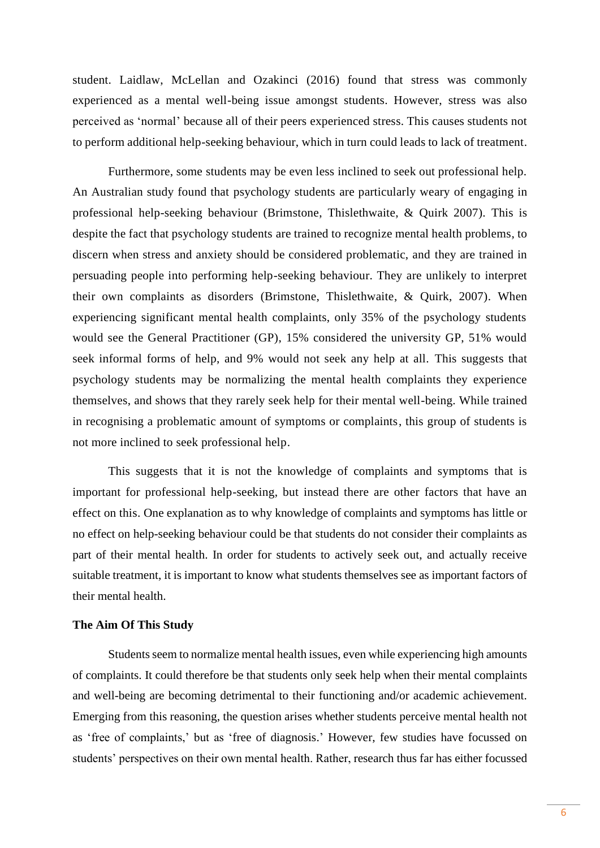student. Laidlaw, McLellan and Ozakinci (2016) found that stress was commonly experienced as a mental well-being issue amongst students. However, stress was also perceived as 'normal' because all of their peers experienced stress. This causes students not to perform additional help-seeking behaviour, which in turn could leads to lack of treatment.

Furthermore, some students may be even less inclined to seek out professional help. An Australian study found that psychology students are particularly weary of engaging in professional help-seeking behaviour (Brimstone, Thislethwaite, & Quirk 2007). This is despite the fact that psychology students are trained to recognize mental health problems, to discern when stress and anxiety should be considered problematic, and they are trained in persuading people into performing help-seeking behaviour. They are unlikely to interpret their own complaints as disorders (Brimstone, Thislethwaite, & Quirk, 2007). When experiencing significant mental health complaints, only 35% of the psychology students would see the General Practitioner (GP), 15% considered the university GP, 51% would seek informal forms of help, and 9% would not seek any help at all. This suggests that psychology students may be normalizing the mental health complaints they experience themselves, and shows that they rarely seek help for their mental well-being. While trained in recognising a problematic amount of symptoms or complaints, this group of students is not more inclined to seek professional help.

This suggests that it is not the knowledge of complaints and symptoms that is important for professional help-seeking, but instead there are other factors that have an effect on this. One explanation as to why knowledge of complaints and symptoms has little or no effect on help-seeking behaviour could be that students do not consider their complaints as part of their mental health. In order for students to actively seek out, and actually receive suitable treatment, it is important to know what students themselves see as important factors of their mental health.

#### **The Aim Of This Study**

Students seem to normalize mental health issues, even while experiencing high amounts of complaints. It could therefore be that students only seek help when their mental complaints and well-being are becoming detrimental to their functioning and/or academic achievement. Emerging from this reasoning, the question arises whether students perceive mental health not as 'free of complaints,' but as 'free of diagnosis.' However, few studies have focussed on students' perspectives on their own mental health. Rather, research thus far has either focussed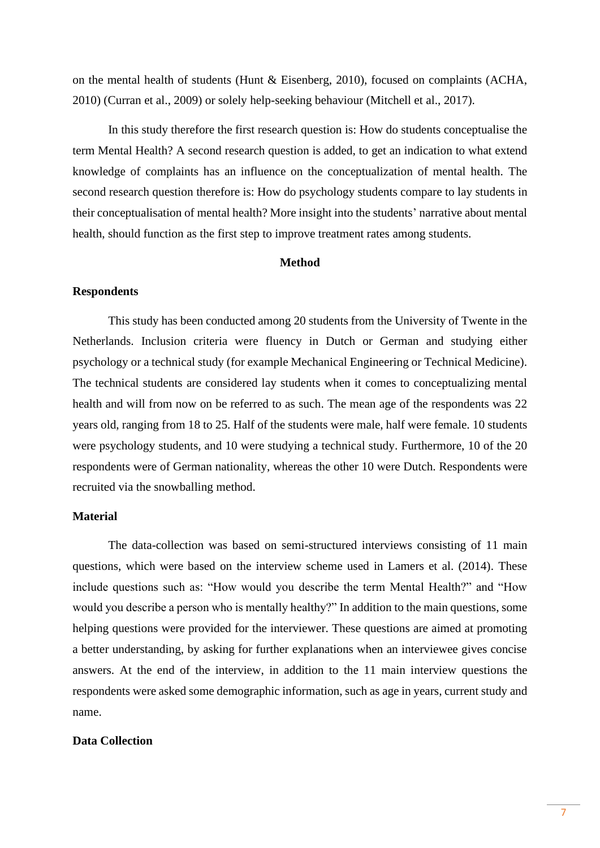on the mental health of students (Hunt & Eisenberg, 2010), focused on complaints (ACHA, 2010) (Curran et al., 2009) or solely help-seeking behaviour (Mitchell et al., 2017).

In this study therefore the first research question is: How do students conceptualise the term Mental Health? A second research question is added, to get an indication to what extend knowledge of complaints has an influence on the conceptualization of mental health. The second research question therefore is: How do psychology students compare to lay students in their conceptualisation of mental health? More insight into the students' narrative about mental health, should function as the first step to improve treatment rates among students.

#### **Method**

#### **Respondents**

This study has been conducted among 20 students from the University of Twente in the Netherlands. Inclusion criteria were fluency in Dutch or German and studying either psychology or a technical study (for example Mechanical Engineering or Technical Medicine). The technical students are considered lay students when it comes to conceptualizing mental health and will from now on be referred to as such. The mean age of the respondents was 22 years old, ranging from 18 to 25. Half of the students were male, half were female. 10 students were psychology students, and 10 were studying a technical study. Furthermore, 10 of the 20 respondents were of German nationality, whereas the other 10 were Dutch. Respondents were recruited via the snowballing method.

#### **Material**

The data-collection was based on semi-structured interviews consisting of 11 main questions, which were based on the interview scheme used in Lamers et al. (2014). These include questions such as: "How would you describe the term Mental Health?" and "How would you describe a person who is mentally healthy?" In addition to the main questions, some helping questions were provided for the interviewer. These questions are aimed at promoting a better understanding, by asking for further explanations when an interviewee gives concise answers. At the end of the interview, in addition to the 11 main interview questions the respondents were asked some demographic information, such as age in years, current study and name.

#### **Data Collection**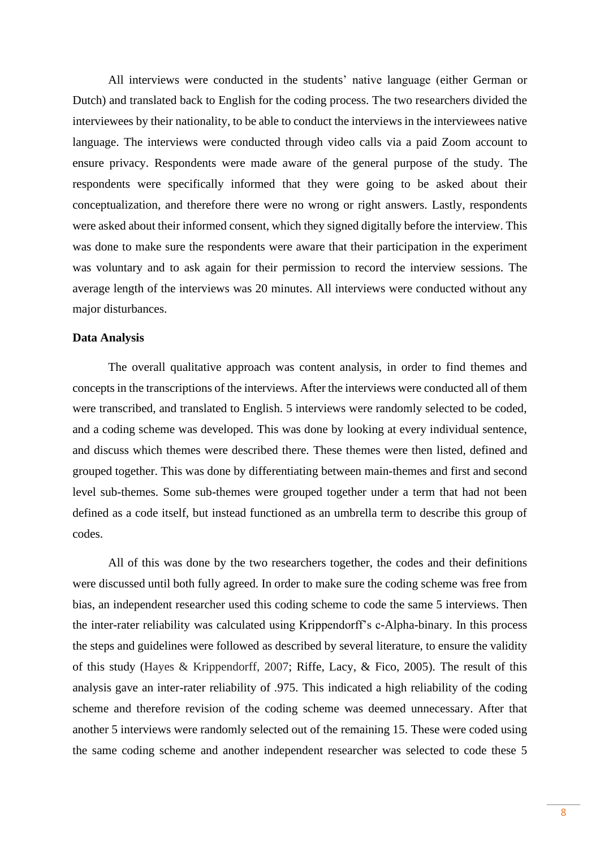All interviews were conducted in the students' native language (either German or Dutch) and translated back to English for the coding process. The two researchers divided the interviewees by their nationality, to be able to conduct the interviews in the interviewees native language. The interviews were conducted through video calls via a paid Zoom account to ensure privacy. Respondents were made aware of the general purpose of the study. The respondents were specifically informed that they were going to be asked about their conceptualization, and therefore there were no wrong or right answers. Lastly, respondents were asked about their informed consent, which they signed digitally before the interview. This was done to make sure the respondents were aware that their participation in the experiment was voluntary and to ask again for their permission to record the interview sessions. The average length of the interviews was 20 minutes. All interviews were conducted without any major disturbances.

#### **Data Analysis**

The overall qualitative approach was content analysis, in order to find themes and concepts in the transcriptions of the interviews. After the interviews were conducted all of them were transcribed, and translated to English. 5 interviews were randomly selected to be coded, and a coding scheme was developed. This was done by looking at every individual sentence, and discuss which themes were described there. These themes were then listed, defined and grouped together. This was done by differentiating between main-themes and first and second level sub-themes. Some sub-themes were grouped together under a term that had not been defined as a code itself, but instead functioned as an umbrella term to describe this group of codes.

All of this was done by the two researchers together, the codes and their definitions were discussed until both fully agreed. In order to make sure the coding scheme was free from bias, an independent researcher used this coding scheme to code the same 5 interviews. Then the inter-rater reliability was calculated using Krippendorff's c-Alpha-binary. In this process the steps and guidelines were followed as described by several literature, to ensure the validity of this study (Hayes & Krippendorff, 2007; Riffe, Lacy, & Fico, 2005). The result of this analysis gave an inter-rater reliability of .975. This indicated a high reliability of the coding scheme and therefore revision of the coding scheme was deemed unnecessary. After that another 5 interviews were randomly selected out of the remaining 15. These were coded using the same coding scheme and another independent researcher was selected to code these 5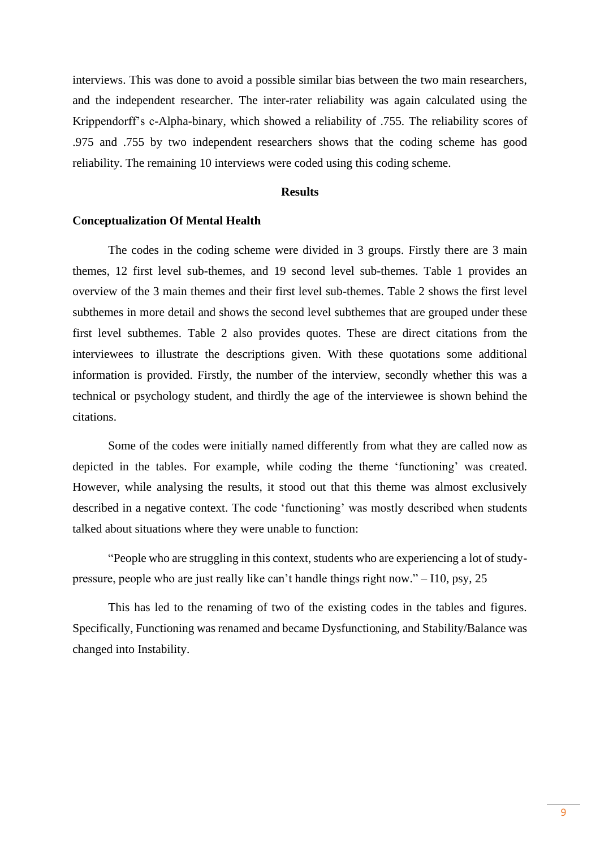interviews. This was done to avoid a possible similar bias between the two main researchers, and the independent researcher. The inter-rater reliability was again calculated using the Krippendorff's c-Alpha-binary, which showed a reliability of .755. The reliability scores of .975 and .755 by two independent researchers shows that the coding scheme has good reliability. The remaining 10 interviews were coded using this coding scheme.

#### **Results**

#### **Conceptualization Of Mental Health**

The codes in the coding scheme were divided in 3 groups. Firstly there are 3 main themes, 12 first level sub-themes, and 19 second level sub-themes. Table 1 provides an overview of the 3 main themes and their first level sub-themes. Table 2 shows the first level subthemes in more detail and shows the second level subthemes that are grouped under these first level subthemes. Table 2 also provides quotes. These are direct citations from the interviewees to illustrate the descriptions given. With these quotations some additional information is provided. Firstly, the number of the interview, secondly whether this was a technical or psychology student, and thirdly the age of the interviewee is shown behind the citations.

Some of the codes were initially named differently from what they are called now as depicted in the tables. For example, while coding the theme 'functioning' was created. However, while analysing the results, it stood out that this theme was almost exclusively described in a negative context. The code 'functioning' was mostly described when students talked about situations where they were unable to function:

"People who are struggling in this context, students who are experiencing a lot of studypressure, people who are just really like can't handle things right now." – I10, psy, 25

This has led to the renaming of two of the existing codes in the tables and figures. Specifically, Functioning was renamed and became Dysfunctioning, and Stability/Balance was changed into Instability.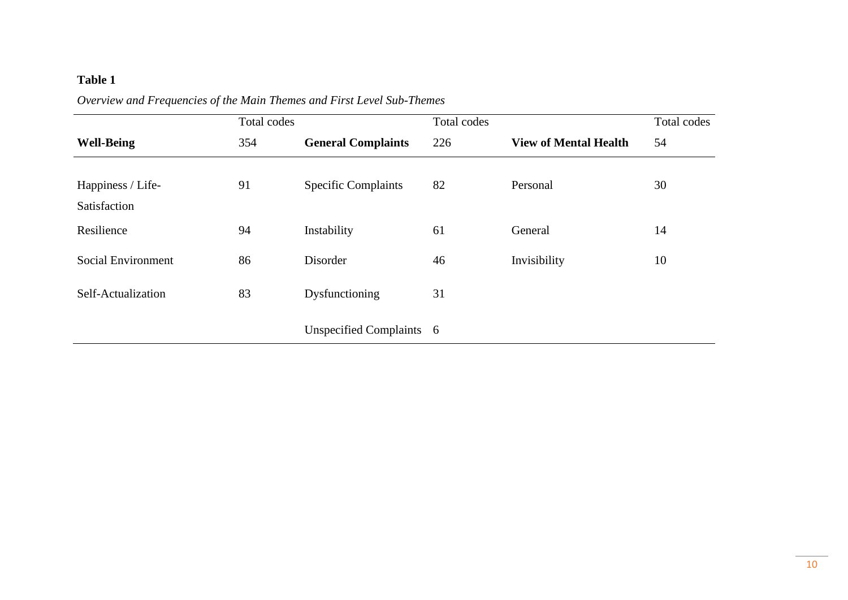# **Table 1**

|                                   | Total codes |                            | Total codes |                              | <b>Total codes</b> |
|-----------------------------------|-------------|----------------------------|-------------|------------------------------|--------------------|
| <b>Well-Being</b>                 | 354         | <b>General Complaints</b>  | 226         | <b>View of Mental Health</b> | 54                 |
| Happiness / Life-<br>Satisfaction | 91          | <b>Specific Complaints</b> | 82          | Personal                     | 30                 |
| Resilience                        | 94          | Instability                | 61          | General                      | 14                 |
| <b>Social Environment</b>         | 86          | Disorder                   | 46          | Invisibility                 | 10                 |
| Self-Actualization                | 83          | Dysfunctioning             | 31          |                              |                    |
|                                   |             | Unspecified Complaints 6   |             |                              |                    |

*Overview and Frequencies of the Main Themes and First Level Sub-Themes*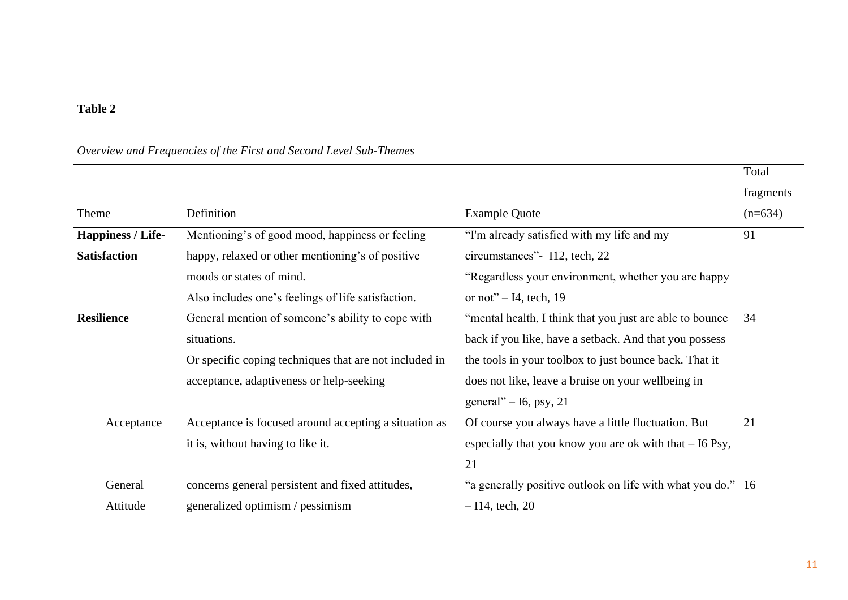# **Table 2**

# *Overview and Frequencies of the First and Second Level Sub-Themes*

|                          |                                                        |                                                             | Total     |
|--------------------------|--------------------------------------------------------|-------------------------------------------------------------|-----------|
|                          |                                                        |                                                             | fragments |
| Theme                    | Definition                                             | <b>Example Quote</b>                                        | $(n=634)$ |
| <b>Happiness / Life-</b> | Mentioning's of good mood, happiness or feeling        | "I'm already satisfied with my life and my                  | 91        |
| <b>Satisfaction</b>      | happy, relaxed or other mentioning's of positive       | circumstances"- I12, tech, 22                               |           |
|                          | moods or states of mind.                               | "Regardless your environment, whether you are happy         |           |
|                          | Also includes one's feelings of life satisfaction.     | or not" $-$ I4, tech, 19                                    |           |
| <b>Resilience</b>        | General mention of someone's ability to cope with      | "mental health, I think that you just are able to bounce    | 34        |
|                          | situations.                                            | back if you like, have a setback. And that you possess      |           |
|                          | Or specific coping techniques that are not included in | the tools in your toolbox to just bounce back. That it      |           |
|                          | acceptance, adaptiveness or help-seeking               | does not like, leave a bruise on your wellbeing in          |           |
|                          |                                                        | general" $-$ 16, psy, 21                                    |           |
| Acceptance               | Acceptance is focused around accepting a situation as  | Of course you always have a little fluctuation. But         | 21        |
|                          | it is, without having to like it.                      | especially that you know you are ok with that $-16$ Psy,    |           |
|                          |                                                        | 21                                                          |           |
| General                  | concerns general persistent and fixed attitudes,       | "a generally positive outlook on life with what you do." 16 |           |
| Attitude                 | generalized optimism / pessimism                       | $-114$ , tech, 20                                           |           |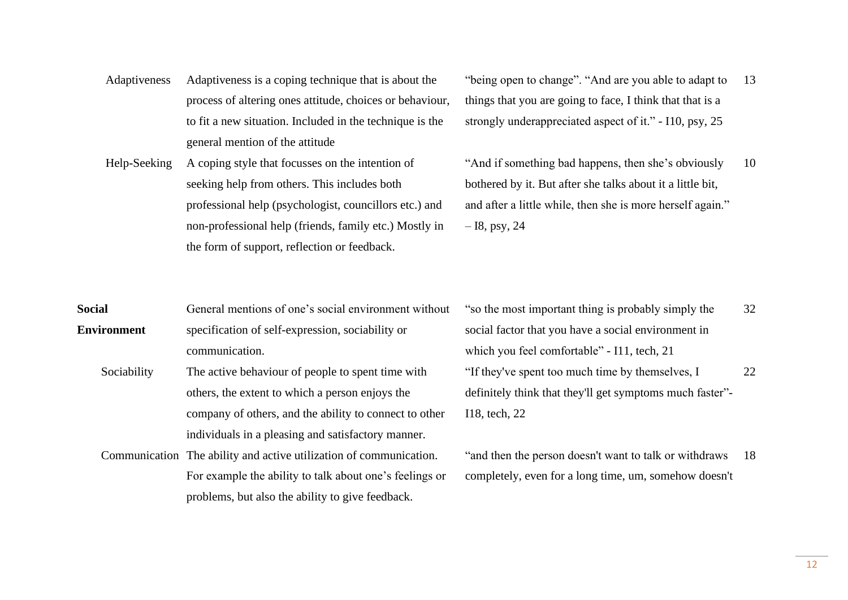- Adaptiveness Adaptiveness is a coping technique that is about the process of altering ones attitude, choices or behaviour, to fit a new situation. Included in the technique is the general mention of the attitude
- Help-Seeking A coping style that focusses on the intention of seeking help from others. This includes both professional help (psychologist, councillors etc.) and non-professional help (friends, family etc.) Mostly in the form of support, reflection or feedback.
- "being open to change". "And are you able to adapt to things that you are going to face, I think that that is a strongly underappreciated aspect of it." - I10, psy, 25 13

"And if something bad happens, then she's obviously bothered by it. But after she talks about it a little bit, and after a little while, then she is more herself again."  $-18$ , psy, 24 10

| <b>Social</b> | General mentions of one's social environment without |
|---------------|------------------------------------------------------|
| Environment   | specification of self-expression, sociability or     |
|               | communication.                                       |

- Sociability The active behaviour of people to spent time with others, the extent to which a person enjoys the company of others, and the ability to connect to other individuals in a pleasing and satisfactory manner.
- Communication The ability and active utilization of communication. For example the ability to talk about one's feelings or problems, but also the ability to give feedback.

"so the most important thing is probably simply the social factor that you have a social environment in which you feel comfortable" - I11, tech, 21 32 "If they've spent too much time by themselves, I definitely think that they'll get symptoms much faster"- I18, tech, 22 22

"and then the person doesn't want to talk or withdraws completely, even for a long time, um, somehow doesn't 18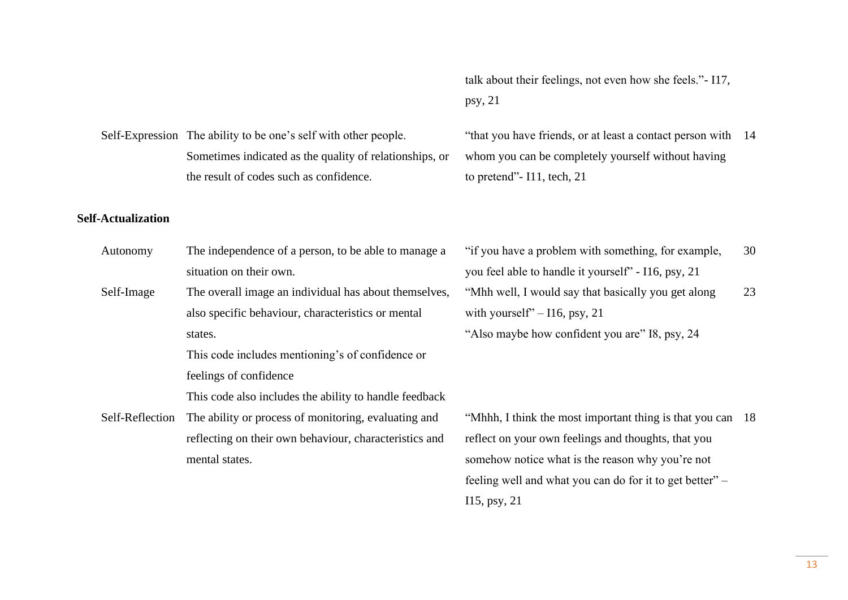13

talk about their feelings, not even how she feels."- I17, psy, 21

"that you have friends, or at least a contact person with 14 whom you can be completely yourself without having to pretend"- I11, tech, 21

# Sometimes indicated as the quality of relationships, or the result of codes such as confidence.

Self-Expression The ability to be one's self with other people.

#### **Self-Actualization**

- Autonomy The independence of a person, to be able to manage a situation on their own.
- Self-Image The overall image an individual has about themselves, also specific behaviour, characteristics or mental states.

This code includes mentioning's of confidence or feelings of confidence

This code also includes the ability to handle feedback

Self-Reflection The ability or process of monitoring, evaluating and reflecting on their own behaviour, characteristics and mental states.

"if you have a problem with something, for example, you feel able to handle it yourself" - I16, psy, 21 30 "Mhh well, I would say that basically you get along with yourself" –  $116$ , psy, 21 "Also maybe how confident you are" I8, psy, 24 23

"Mhhh, I think the most important thing is that you can 18reflect on your own feelings and thoughts, that you somehow notice what is the reason why you're not feeling well and what you can do for it to get better" – I15, psy, 21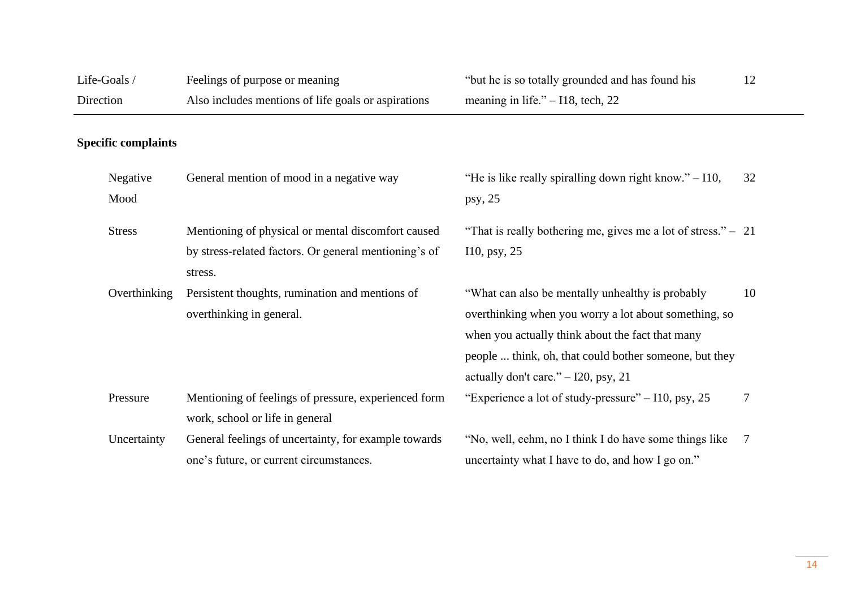| Life-Goals /               |  | Feelings of purpose or meaning                                                                                         | "but he is so totally grounded and has found his                                                                                                                                                                                                                 |                |
|----------------------------|--|------------------------------------------------------------------------------------------------------------------------|------------------------------------------------------------------------------------------------------------------------------------------------------------------------------------------------------------------------------------------------------------------|----------------|
| Direction                  |  | Also includes mentions of life goals or aspirations                                                                    | meaning in life." $-118$ , tech, 22                                                                                                                                                                                                                              |                |
| <b>Specific complaints</b> |  |                                                                                                                        |                                                                                                                                                                                                                                                                  |                |
| Negative<br>Mood           |  | General mention of mood in a negative way                                                                              | "He is like really spiralling down right know." $-110$ ,<br>psy, $25$                                                                                                                                                                                            | 32             |
| <b>Stress</b>              |  | Mentioning of physical or mental discomfort caused<br>by stress-related factors. Or general mentioning's of<br>stress. | "That is really bothering me, gives me a lot of stress." $-21$<br>$I10$ , psy, 25                                                                                                                                                                                |                |
| Overthinking               |  | Persistent thoughts, rumination and mentions of<br>overthinking in general.                                            | "What can also be mentally unhealthy is probably"<br>overthinking when you worry a lot about something, so<br>when you actually think about the fact that many<br>people  think, oh, that could bother someone, but they<br>actually don't care." - I20, psy, 21 | 10             |
| Pressure                   |  | Mentioning of feelings of pressure, experienced form<br>work, school or life in general                                | "Experience a lot of study-pressure" – I10, psy, 25                                                                                                                                                                                                              | $\tau$         |
| Uncertainty                |  | General feelings of uncertainty, for example towards<br>one's future, or current circumstances.                        | "No, well, eehm, no I think I do have some things like<br>uncertainty what I have to do, and how I go on."                                                                                                                                                       | $\overline{7}$ |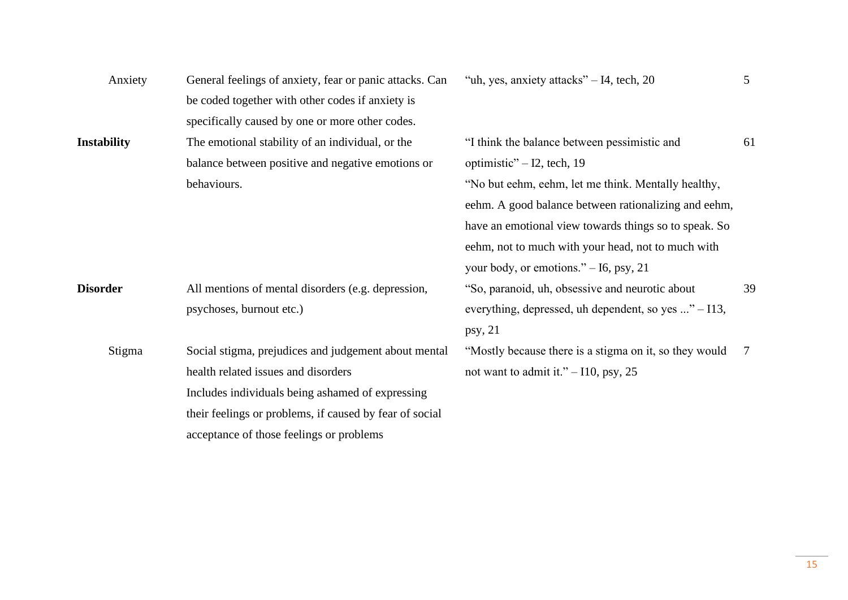| Anxiety            | General feelings of anxiety, fear or panic attacks. Can | "uh, yes, anxiety attacks" $-14$ , tech, 20            | 5  |
|--------------------|---------------------------------------------------------|--------------------------------------------------------|----|
|                    | be coded together with other codes if anxiety is        |                                                        |    |
|                    | specifically caused by one or more other codes.         |                                                        |    |
| <b>Instability</b> | The emotional stability of an individual, or the        | "I think the balance between pessimistic and           | 61 |
|                    | balance between positive and negative emotions or       | optimistic" $-12$ , tech, 19                           |    |
|                    | behaviours.                                             | "No but eehm, eehm, let me think. Mentally healthy,    |    |
|                    |                                                         | eehm. A good balance between rationalizing and eehm,   |    |
|                    |                                                         | have an emotional view towards things so to speak. So  |    |
|                    |                                                         | eehm, not to much with your head, not to much with     |    |
|                    |                                                         | your body, or emotions." $-16$ , psy, 21               |    |
| <b>Disorder</b>    | All mentions of mental disorders (e.g. depression,      | "So, paranoid, uh, obsessive and neurotic about        | 39 |
|                    | psychoses, burnout etc.)                                | everything, depressed, uh dependent, so yes " – I13,   |    |
|                    |                                                         | psy, 21                                                |    |
| Stigma             | Social stigma, prejudices and judgement about mental    | "Mostly because there is a stigma on it, so they would | 7  |
|                    | health related issues and disorders                     | not want to admit it." $-110$ , psy, 25                |    |
|                    | Includes individuals being ashamed of expressing        |                                                        |    |
|                    | their feelings or problems, if caused by fear of social |                                                        |    |
|                    | acceptance of those feelings or problems                |                                                        |    |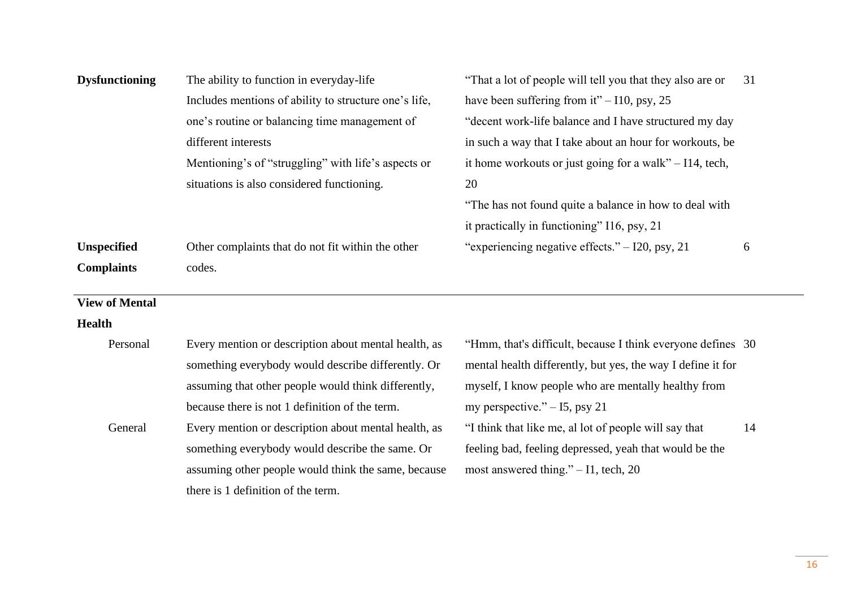| <b>Dysfunctioning</b> | The ability to function in everyday-life              | "That a lot of people will tell you that they also are or   | 31 |
|-----------------------|-------------------------------------------------------|-------------------------------------------------------------|----|
|                       | Includes mentions of ability to structure one's life, | have been suffering from it" $-110$ , psy, 25               |    |
|                       | one's routine or balancing time management of         | "decent work-life balance and I have structured my day      |    |
|                       | different interests                                   | in such a way that I take about an hour for workouts, be    |    |
|                       | Mentioning's of "struggling" with life's aspects or   | it home workouts or just going for a walk" $-114$ , tech,   |    |
|                       | situations is also considered functioning.            | 20                                                          |    |
|                       |                                                       | "The has not found quite a balance in how to deal with      |    |
|                       |                                                       | it practically in functioning" I16, psy, 21                 |    |
| <b>Unspecified</b>    | Other complaints that do not fit within the other     | "experiencing negative effects." - I20, psy, 21             | 6  |
| <b>Complaints</b>     | codes.                                                |                                                             |    |
| <b>View of Mental</b> |                                                       |                                                             |    |
| <b>Health</b>         |                                                       |                                                             |    |
| Personal              | Every mention or description about mental health, as  | "Hmm, that's difficult, because I think everyone defines 30 |    |
|                       | something everybody would describe differently. Or    | mental health differently, but yes, the way I define it for |    |
|                       | assuming that other people would think differently,   | myself, I know people who are mentally healthy from         |    |
|                       | because there is not 1 definition of the term.        | my perspective." $-15$ , psy 21                             |    |
| General               | Every mention or description about mental health, as  | "I think that like me, al lot of people will say that       | 14 |
|                       | something everybody would describe the same. Or       | feeling bad, feeling depressed, yeah that would be the      |    |
|                       | assuming other people would think the same, because   | most answered thing." $-$ I1, tech, 20                      |    |
|                       | there is 1 definition of the term.                    |                                                             |    |
|                       |                                                       |                                                             |    |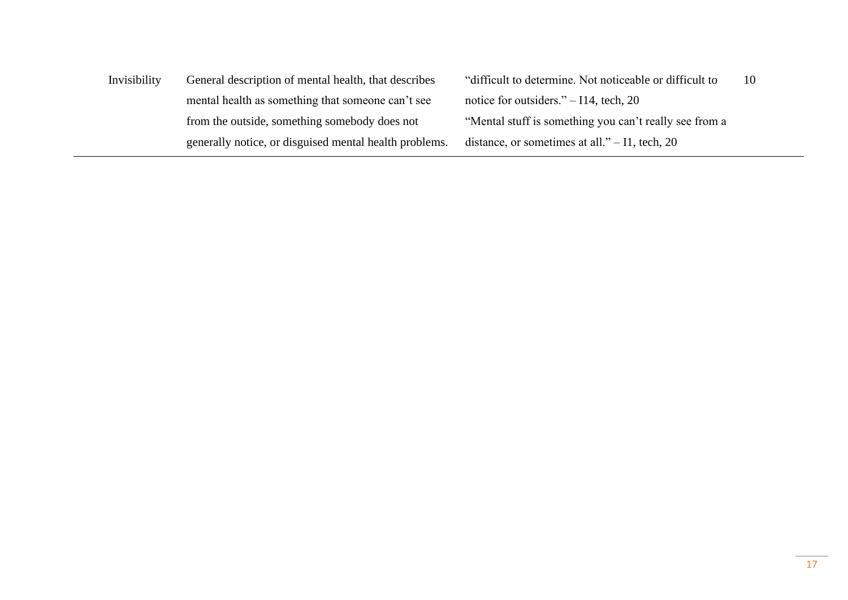Invisibility General description of mental health, that describes mental health as something that someone can't see from the outside, something somebody does not generally notice, or disguised mental health problems. "difficult to determine. Not noticeable or difficult to notice for outsiders." – I14, tech, 20 "Mental stuff is something you can't really see from a distance, or sometimes at all." – I1, tech, 20

10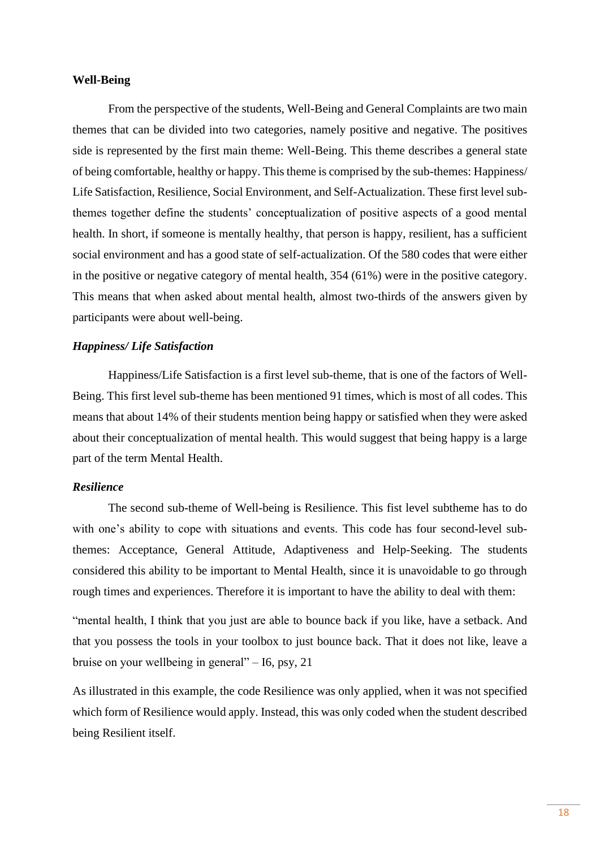#### **Well-Being**

From the perspective of the students, Well-Being and General Complaints are two main themes that can be divided into two categories, namely positive and negative. The positives side is represented by the first main theme: Well-Being. This theme describes a general state of being comfortable, healthy or happy. This theme is comprised by the sub-themes: Happiness/ Life Satisfaction, Resilience, Social Environment, and Self-Actualization. These first level subthemes together define the students' conceptualization of positive aspects of a good mental health. In short, if someone is mentally healthy, that person is happy, resilient, has a sufficient social environment and has a good state of self-actualization. Of the 580 codes that were either in the positive or negative category of mental health, 354 (61%) were in the positive category. This means that when asked about mental health, almost two-thirds of the answers given by participants were about well-being.

#### *Happiness/ Life Satisfaction*

Happiness/Life Satisfaction is a first level sub-theme, that is one of the factors of Well-Being. This first level sub-theme has been mentioned 91 times, which is most of all codes. This means that about 14% of their students mention being happy or satisfied when they were asked about their conceptualization of mental health. This would suggest that being happy is a large part of the term Mental Health.

#### *Resilience*

The second sub-theme of Well-being is Resilience. This fist level subtheme has to do with one's ability to cope with situations and events. This code has four second-level subthemes: Acceptance, General Attitude, Adaptiveness and Help-Seeking. The students considered this ability to be important to Mental Health, since it is unavoidable to go through rough times and experiences. Therefore it is important to have the ability to deal with them:

"mental health, I think that you just are able to bounce back if you like, have a setback. And that you possess the tools in your toolbox to just bounce back. That it does not like, leave a bruise on your wellbeing in general" – I6, psy, 21

As illustrated in this example, the code Resilience was only applied, when it was not specified which form of Resilience would apply. Instead, this was only coded when the student described being Resilient itself.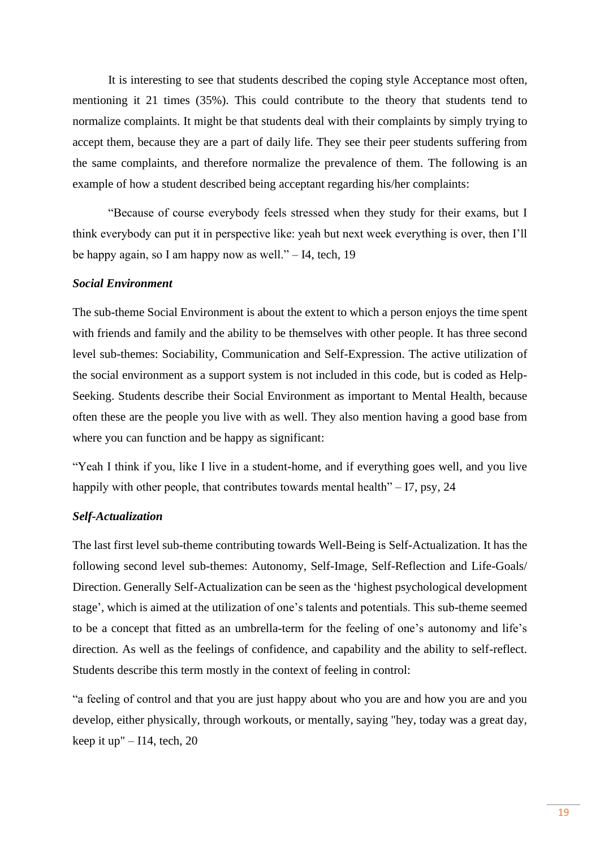It is interesting to see that students described the coping style Acceptance most often, mentioning it 21 times (35%). This could contribute to the theory that students tend to normalize complaints. It might be that students deal with their complaints by simply trying to accept them, because they are a part of daily life. They see their peer students suffering from the same complaints, and therefore normalize the prevalence of them. The following is an example of how a student described being acceptant regarding his/her complaints:

"Because of course everybody feels stressed when they study for their exams, but I think everybody can put it in perspective like: yeah but next week everything is over, then I'll be happy again, so I am happy now as well." – I4, tech, 19

## *Social Environment*

The sub-theme Social Environment is about the extent to which a person enjoys the time spent with friends and family and the ability to be themselves with other people. It has three second level sub-themes: Sociability, Communication and Self-Expression. The active utilization of the social environment as a support system is not included in this code, but is coded as Help-Seeking. Students describe their Social Environment as important to Mental Health, because often these are the people you live with as well. They also mention having a good base from where you can function and be happy as significant:

"Yeah I think if you, like I live in a student-home, and if everything goes well, and you live happily with other people, that contributes towards mental health" $-17$ , psy, 24

#### *Self-Actualization*

The last first level sub-theme contributing towards Well-Being is Self-Actualization. It has the following second level sub-themes: Autonomy, Self-Image, Self-Reflection and Life-Goals/ Direction. Generally Self-Actualization can be seen as the 'highest psychological development stage', which is aimed at the utilization of one's talents and potentials. This sub-theme seemed to be a concept that fitted as an umbrella-term for the feeling of one's autonomy and life's direction. As well as the feelings of confidence, and capability and the ability to self-reflect. Students describe this term mostly in the context of feeling in control:

"a feeling of control and that you are just happy about who you are and how you are and you develop, either physically, through workouts, or mentally, saying "hey, today was a great day, keep it up" –  $I14$ , tech, 20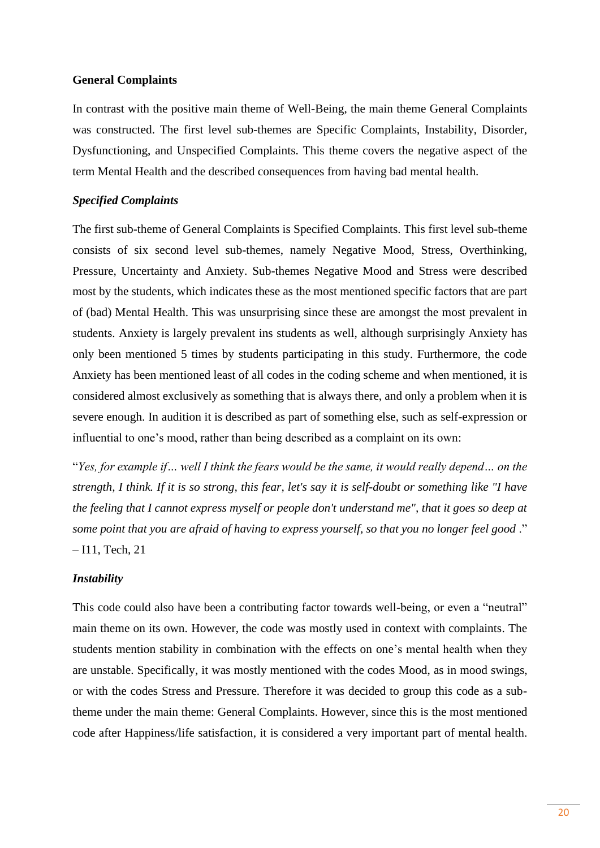#### **General Complaints**

In contrast with the positive main theme of Well-Being, the main theme General Complaints was constructed. The first level sub-themes are Specific Complaints, Instability, Disorder, Dysfunctioning, and Unspecified Complaints. This theme covers the negative aspect of the term Mental Health and the described consequences from having bad mental health.

## *Specified Complaints*

The first sub-theme of General Complaints is Specified Complaints. This first level sub-theme consists of six second level sub-themes, namely Negative Mood, Stress, Overthinking, Pressure, Uncertainty and Anxiety. Sub-themes Negative Mood and Stress were described most by the students, which indicates these as the most mentioned specific factors that are part of (bad) Mental Health. This was unsurprising since these are amongst the most prevalent in students. Anxiety is largely prevalent ins students as well, although surprisingly Anxiety has only been mentioned 5 times by students participating in this study. Furthermore, the code Anxiety has been mentioned least of all codes in the coding scheme and when mentioned, it is considered almost exclusively as something that is always there, and only a problem when it is severe enough. In audition it is described as part of something else, such as self-expression or influential to one's mood, rather than being described as a complaint on its own:

"*Yes, for example if… well I think the fears would be the same, it would really depend… on the strength, I think. If it is so strong, this fear, let's say it is self-doubt or something like "I have the feeling that I cannot express myself or people don't understand me", that it goes so deep at some point that you are afraid of having to express yourself, so that you no longer feel good* ." – I11, Tech, 21

#### *Instability*

This code could also have been a contributing factor towards well-being, or even a "neutral" main theme on its own. However, the code was mostly used in context with complaints. The students mention stability in combination with the effects on one's mental health when they are unstable. Specifically, it was mostly mentioned with the codes Mood, as in mood swings, or with the codes Stress and Pressure. Therefore it was decided to group this code as a subtheme under the main theme: General Complaints. However, since this is the most mentioned code after Happiness/life satisfaction, it is considered a very important part of mental health.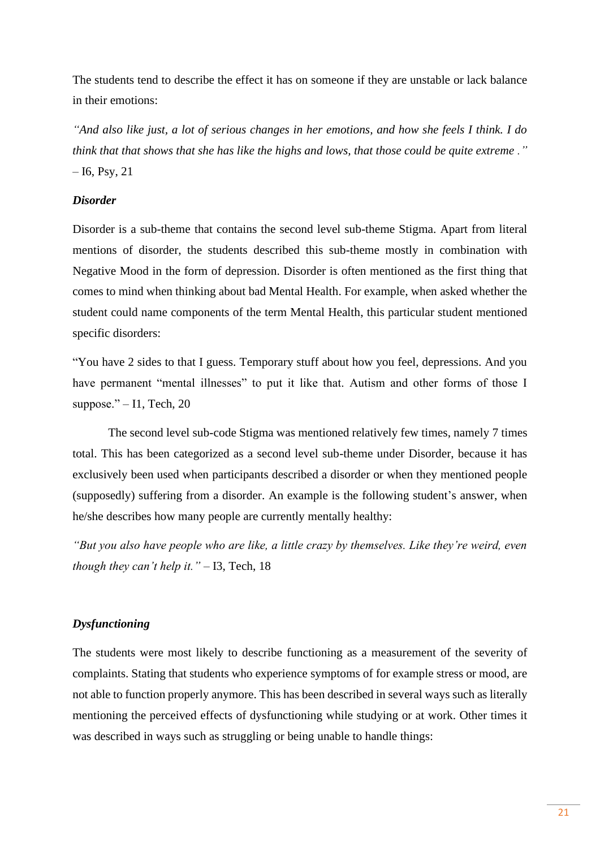The students tend to describe the effect it has on someone if they are unstable or lack balance in their emotions:

*"And also like just, a lot of serious changes in her emotions, and how she feels I think. I do think that that shows that she has like the highs and lows, that those could be quite extreme ."*  $-16$ , Psy, 21

#### *Disorder*

Disorder is a sub-theme that contains the second level sub-theme Stigma. Apart from literal mentions of disorder, the students described this sub-theme mostly in combination with Negative Mood in the form of depression. Disorder is often mentioned as the first thing that comes to mind when thinking about bad Mental Health. For example, when asked whether the student could name components of the term Mental Health, this particular student mentioned specific disorders:

"You have 2 sides to that I guess. Temporary stuff about how you feel, depressions. And you have permanent "mental illnesses" to put it like that. Autism and other forms of those I suppose." $-11$ , Tech, 20

The second level sub-code Stigma was mentioned relatively few times, namely 7 times total. This has been categorized as a second level sub-theme under Disorder, because it has exclusively been used when participants described a disorder or when they mentioned people (supposedly) suffering from a disorder. An example is the following student's answer, when he/she describes how many people are currently mentally healthy:

*"But you also have people who are like, a little crazy by themselves. Like they're weird, even though they can't help it."* – I3, Tech, 18

## *Dysfunctioning*

The students were most likely to describe functioning as a measurement of the severity of complaints. Stating that students who experience symptoms of for example stress or mood, are not able to function properly anymore. This has been described in several ways such as literally mentioning the perceived effects of dysfunctioning while studying or at work. Other times it was described in ways such as struggling or being unable to handle things: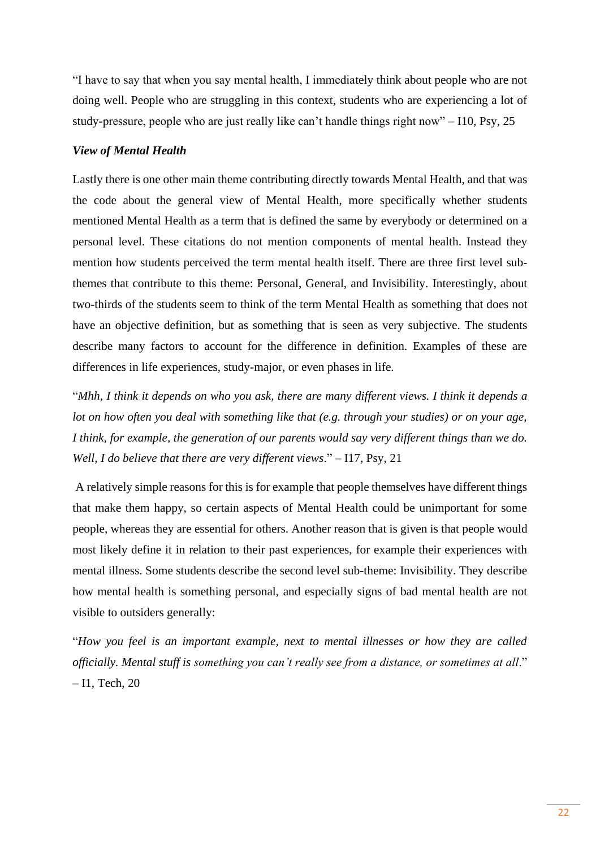"I have to say that when you say mental health, I immediately think about people who are not doing well. People who are struggling in this context, students who are experiencing a lot of study-pressure, people who are just really like can't handle things right now" – I10, Psy, 25

#### *View of Mental Health*

Lastly there is one other main theme contributing directly towards Mental Health, and that was the code about the general view of Mental Health, more specifically whether students mentioned Mental Health as a term that is defined the same by everybody or determined on a personal level. These citations do not mention components of mental health. Instead they mention how students perceived the term mental health itself. There are three first level subthemes that contribute to this theme: Personal, General, and Invisibility. Interestingly, about two-thirds of the students seem to think of the term Mental Health as something that does not have an objective definition, but as something that is seen as very subjective. The students describe many factors to account for the difference in definition. Examples of these are differences in life experiences, study-major, or even phases in life.

"*Mhh, I think it depends on who you ask, there are many different views. I think it depends a lot on how often you deal with something like that (e.g. through your studies) or on your age, I think, for example, the generation of our parents would say very different things than we do. Well, I do believe that there are very different views*." – I17, Psy, 21

A relatively simple reasons for this is for example that people themselves have different things that make them happy, so certain aspects of Mental Health could be unimportant for some people, whereas they are essential for others. Another reason that is given is that people would most likely define it in relation to their past experiences, for example their experiences with mental illness. Some students describe the second level sub-theme: Invisibility. They describe how mental health is something personal, and especially signs of bad mental health are not visible to outsiders generally:

"*How you feel is an important example, next to mental illnesses or how they are called officially. Mental stuff is something you can't really see from a distance, or sometimes at all*." – I1, Tech, 20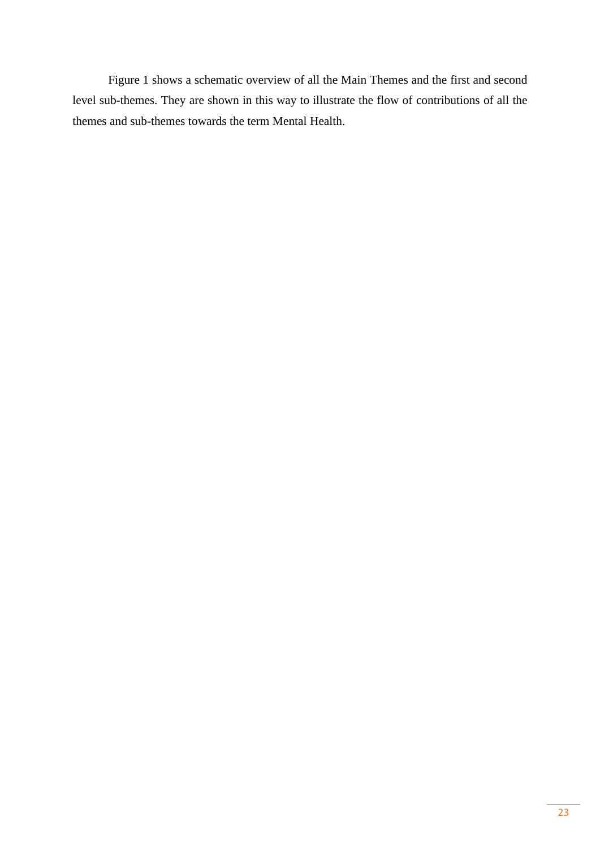Figure 1 shows a schematic overview of all the Main Themes and the first and second level sub-themes. They are shown in this way to illustrate the flow of contributions of all the themes and sub-themes towards the term Mental Health.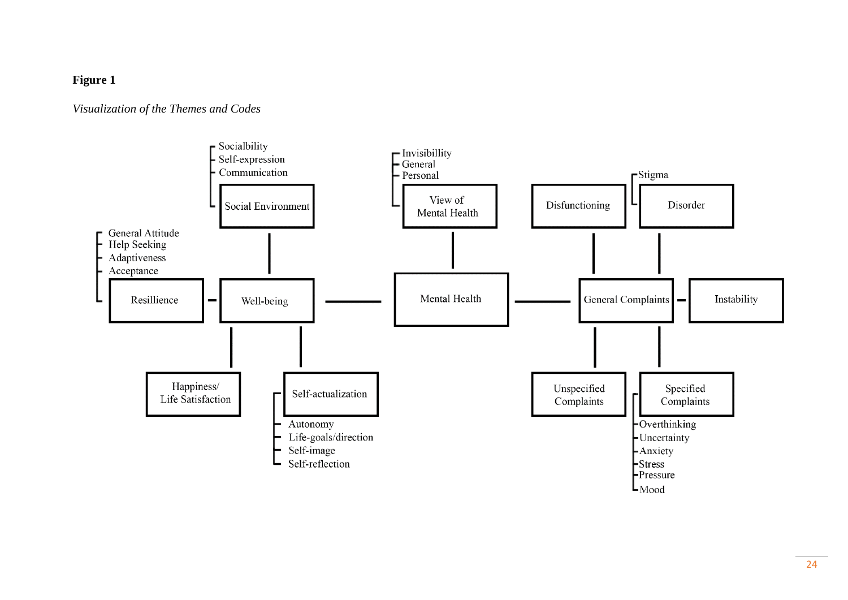# **Figure 1**

# *Visualization of the Themes and Codes*

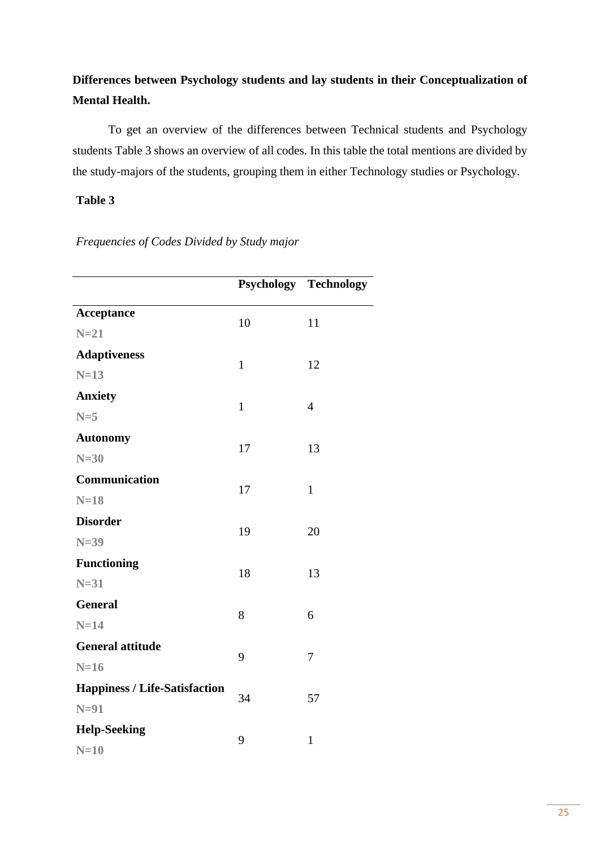# **Differences between Psychology students and lay students in their Conceptualization of Mental Health.**

To get an overview of the differences between Technical students and Psychology students Table 3 shows an overview of all codes. In this table the total mentions are divided by the study-majors of the students, grouping them in either Technology studies or Psychology.

# **Table 3**

|                                      |              | <b>Psychology Technology</b> |
|--------------------------------------|--------------|------------------------------|
| <b>Acceptance</b>                    | 10           |                              |
| $N=21$                               |              | 11                           |
| <b>Adaptiveness</b>                  | $\mathbf{1}$ | 12                           |
| $N=13$                               |              |                              |
| <b>Anxiety</b>                       | $\mathbf{1}$ | $\overline{4}$               |
| $N=5$                                |              |                              |
| <b>Autonomy</b>                      | 17           | 13                           |
| $N=30$                               |              |                              |
| Communication                        | 17           | $\mathbf{1}$                 |
| $N=18$                               |              |                              |
| <b>Disorder</b>                      | 19           | 20                           |
| $N=39$                               |              |                              |
| <b>Functioning</b>                   | 18           | 13                           |
| $N=31$                               |              |                              |
| <b>General</b>                       | 8            | 6                            |
| $N=14$                               |              |                              |
| <b>General attitude</b>              | 9            | 7                            |
| $N=16$                               |              |                              |
| <b>Happiness / Life-Satisfaction</b> | 34           | 57                           |
| $N=91$                               |              |                              |
| <b>Help-Seeking</b>                  | 9            | $\mathbf{1}$                 |
| $N=10$                               |              |                              |

*Frequencies of Codes Divided by Study major*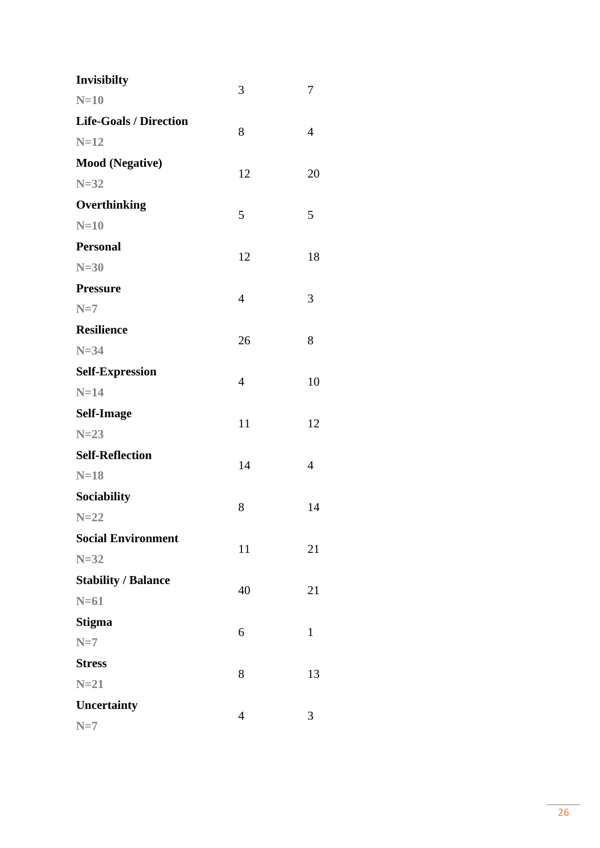| Invisibilty                   | 3              | 7              |
|-------------------------------|----------------|----------------|
| $N=10$                        |                |                |
| <b>Life-Goals / Direction</b> | 8              | $\overline{4}$ |
| $N=12$                        |                |                |
| <b>Mood</b> (Negative)        | 12             | 20             |
| $N=32$                        |                |                |
| Overthinking                  | 5              | 5              |
| $N=10$                        |                |                |
| <b>Personal</b>               | 12             | 18             |
| $N=30$                        |                |                |
| <b>Pressure</b>               | $\overline{4}$ |                |
| $N=7$                         |                | 3              |
| <b>Resilience</b>             |                |                |
| $N=34$                        | 26             | 8              |
| <b>Self-Expression</b>        |                |                |
| $N=14$                        | $\overline{4}$ | 10             |
| <b>Self-Image</b>             | 11             | 12             |
| $N=23$                        |                |                |
| <b>Self-Reflection</b>        | 14             | $\overline{4}$ |
| $N=18$                        |                |                |
| Sociability                   | 8              |                |
| $N=22$                        |                | 14             |
| <b>Social Environment</b>     |                |                |
| $N=32$                        | 11             | 21             |
| <b>Stability / Balance</b>    |                |                |
| $N=61$                        | 40             | 21             |
| <b>Stigma</b>                 |                |                |
| $N=7$                         | 6              | $\mathbf{1}$   |
| <b>Stress</b>                 |                |                |
| $N=21$                        | 8              | 13             |
| Uncertainty                   | $\overline{4}$ |                |
| $N=7$                         |                | 3              |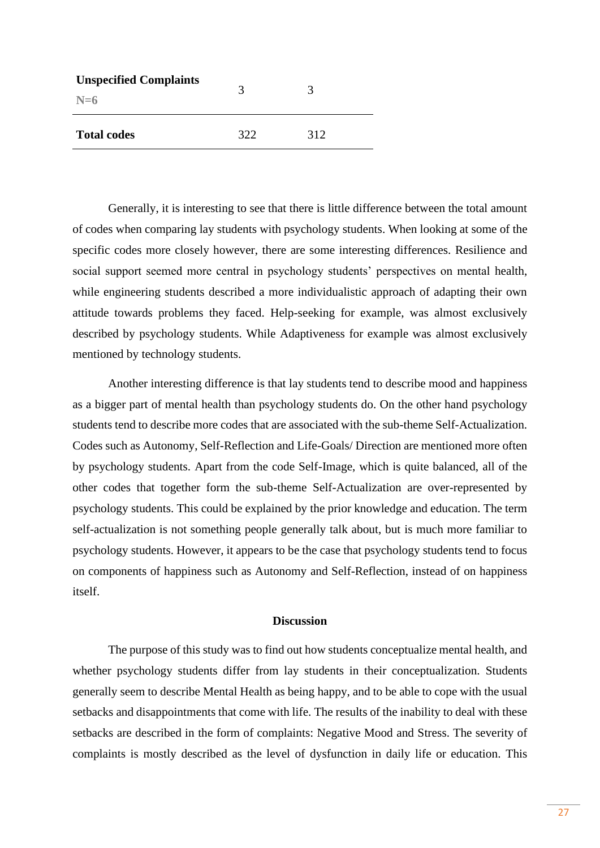| <b>Unspecified Complaints</b><br>$N=6$ | 3   |     |
|----------------------------------------|-----|-----|
| <b>Total codes</b>                     | 322 | 312 |

Generally, it is interesting to see that there is little difference between the total amount of codes when comparing lay students with psychology students. When looking at some of the specific codes more closely however, there are some interesting differences. Resilience and social support seemed more central in psychology students' perspectives on mental health, while engineering students described a more individualistic approach of adapting their own attitude towards problems they faced. Help-seeking for example, was almost exclusively described by psychology students. While Adaptiveness for example was almost exclusively mentioned by technology students.

Another interesting difference is that lay students tend to describe mood and happiness as a bigger part of mental health than psychology students do. On the other hand psychology students tend to describe more codes that are associated with the sub-theme Self-Actualization. Codes such as Autonomy, Self-Reflection and Life-Goals/ Direction are mentioned more often by psychology students. Apart from the code Self-Image, which is quite balanced, all of the other codes that together form the sub-theme Self-Actualization are over-represented by psychology students. This could be explained by the prior knowledge and education. The term self-actualization is not something people generally talk about, but is much more familiar to psychology students. However, it appears to be the case that psychology students tend to focus on components of happiness such as Autonomy and Self-Reflection, instead of on happiness itself.

#### **Discussion**

The purpose of this study was to find out how students conceptualize mental health, and whether psychology students differ from lay students in their conceptualization. Students generally seem to describe Mental Health as being happy, and to be able to cope with the usual setbacks and disappointments that come with life. The results of the inability to deal with these setbacks are described in the form of complaints: Negative Mood and Stress. The severity of complaints is mostly described as the level of dysfunction in daily life or education. This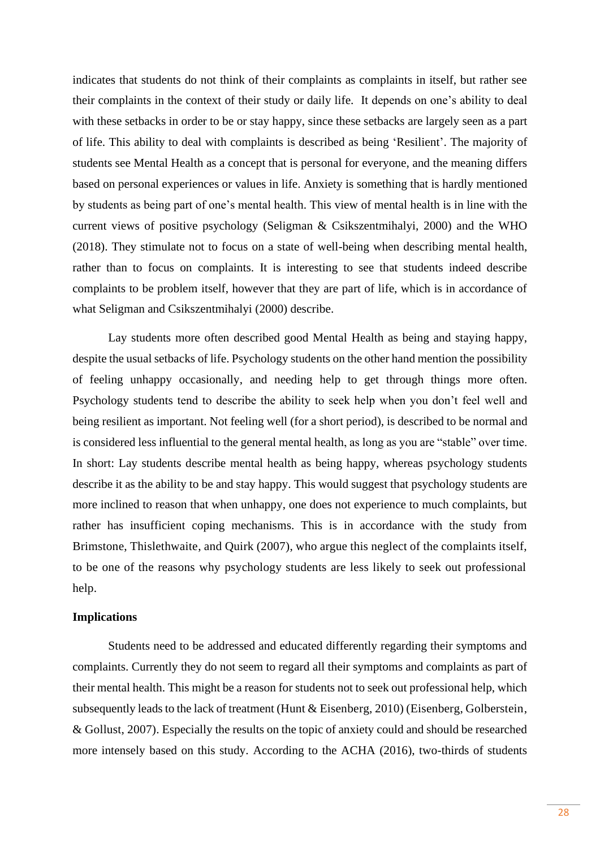indicates that students do not think of their complaints as complaints in itself, but rather see their complaints in the context of their study or daily life. It depends on one's ability to deal with these setbacks in order to be or stay happy, since these setbacks are largely seen as a part of life. This ability to deal with complaints is described as being 'Resilient'. The majority of students see Mental Health as a concept that is personal for everyone, and the meaning differs based on personal experiences or values in life. Anxiety is something that is hardly mentioned by students as being part of one's mental health. This view of mental health is in line with the current views of positive psychology (Seligman & Csikszentmihalyi, 2000) and the WHO (2018). They stimulate not to focus on a state of well-being when describing mental health, rather than to focus on complaints. It is interesting to see that students indeed describe complaints to be problem itself, however that they are part of life, which is in accordance of what Seligman and Csikszentmihalyi (2000) describe.

Lay students more often described good Mental Health as being and staying happy, despite the usual setbacks of life. Psychology students on the other hand mention the possibility of feeling unhappy occasionally, and needing help to get through things more often. Psychology students tend to describe the ability to seek help when you don't feel well and being resilient as important. Not feeling well (for a short period), is described to be normal and is considered less influential to the general mental health, as long as you are "stable" over time. In short: Lay students describe mental health as being happy, whereas psychology students describe it as the ability to be and stay happy. This would suggest that psychology students are more inclined to reason that when unhappy, one does not experience to much complaints, but rather has insufficient coping mechanisms. This is in accordance with the study from Brimstone, Thislethwaite, and Quirk (2007), who argue this neglect of the complaints itself, to be one of the reasons why psychology students are less likely to seek out professional help.

#### **Implications**

Students need to be addressed and educated differently regarding their symptoms and complaints. Currently they do not seem to regard all their symptoms and complaints as part of their mental health. This might be a reason for students not to seek out professional help, which subsequently leads to the lack of treatment (Hunt & Eisenberg, 2010) (Eisenberg, Golberstein, & Gollust, 2007). Especially the results on the topic of anxiety could and should be researched more intensely based on this study. According to the ACHA (2016), two-thirds of students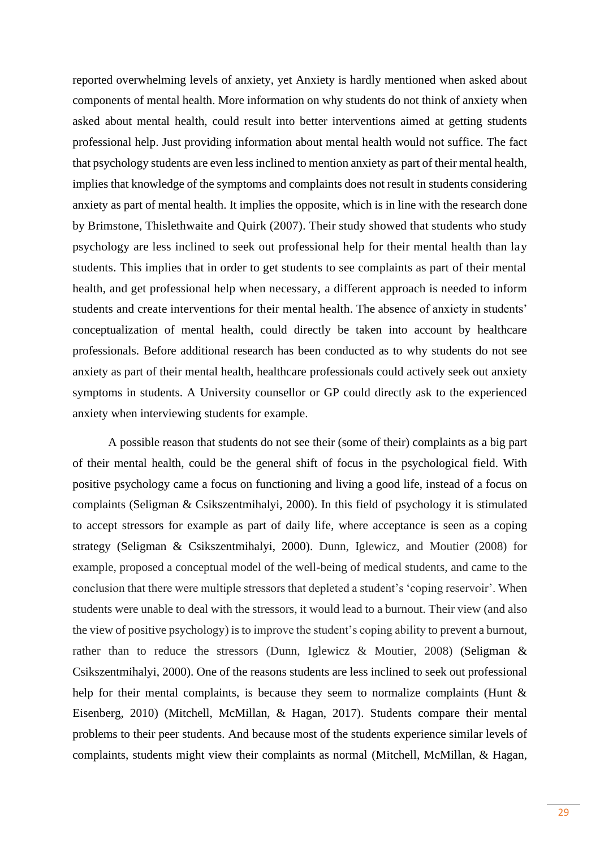reported overwhelming levels of anxiety, yet Anxiety is hardly mentioned when asked about components of mental health. More information on why students do not think of anxiety when asked about mental health, could result into better interventions aimed at getting students professional help. Just providing information about mental health would not suffice. The fact that psychology students are even less inclined to mention anxiety as part of their mental health, implies that knowledge of the symptoms and complaints does not result in students considering anxiety as part of mental health. It implies the opposite, which is in line with the research done by Brimstone, Thislethwaite and Quirk (2007). Their study showed that students who study psychology are less inclined to seek out professional help for their mental health than lay students. This implies that in order to get students to see complaints as part of their mental health, and get professional help when necessary, a different approach is needed to inform students and create interventions for their mental health. The absence of anxiety in students' conceptualization of mental health, could directly be taken into account by healthcare professionals. Before additional research has been conducted as to why students do not see anxiety as part of their mental health, healthcare professionals could actively seek out anxiety symptoms in students. A University counsellor or GP could directly ask to the experienced anxiety when interviewing students for example.

A possible reason that students do not see their (some of their) complaints as a big part of their mental health, could be the general shift of focus in the psychological field. With positive psychology came a focus on functioning and living a good life, instead of a focus on complaints (Seligman & Csikszentmihalyi, 2000). In this field of psychology it is stimulated to accept stressors for example as part of daily life, where acceptance is seen as a coping strategy (Seligman & Csikszentmihalyi, 2000). Dunn, Iglewicz, and Moutier (2008) for example, proposed a conceptual model of the well-being of medical students, and came to the conclusion that there were multiple stressors that depleted a student's 'coping reservoir'. When students were unable to deal with the stressors, it would lead to a burnout. Their view (and also the view of positive psychology) is to improve the student's coping ability to prevent a burnout, rather than to reduce the stressors (Dunn, Iglewicz & Moutier, 2008) (Seligman & Csikszentmihalyi, 2000). One of the reasons students are less inclined to seek out professional help for their mental complaints, is because they seem to normalize complaints (Hunt & Eisenberg, 2010) (Mitchell, McMillan, & Hagan, 2017). Students compare their mental problems to their peer students. And because most of the students experience similar levels of complaints, students might view their complaints as normal (Mitchell, McMillan, & Hagan,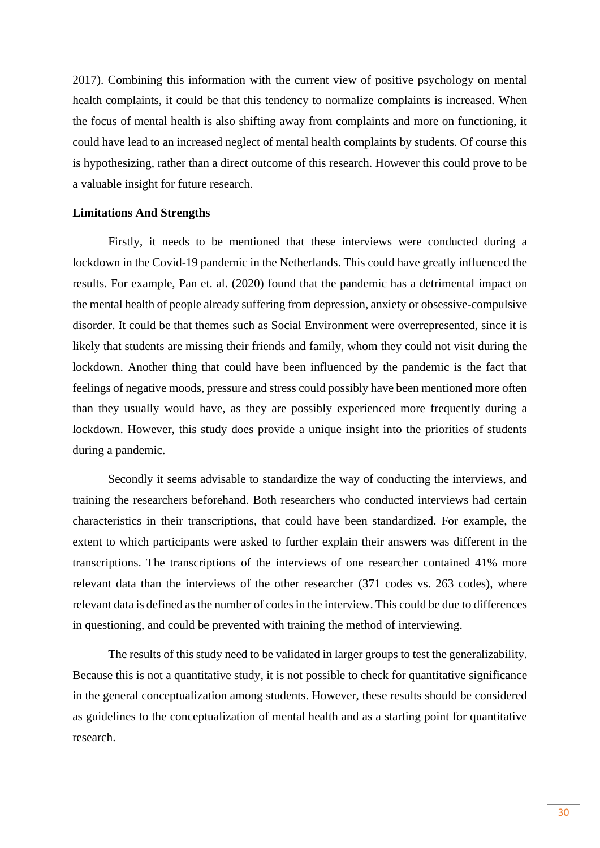2017). Combining this information with the current view of positive psychology on mental health complaints, it could be that this tendency to normalize complaints is increased. When the focus of mental health is also shifting away from complaints and more on functioning, it could have lead to an increased neglect of mental health complaints by students. Of course this is hypothesizing, rather than a direct outcome of this research. However this could prove to be a valuable insight for future research.

#### **Limitations And Strengths**

Firstly, it needs to be mentioned that these interviews were conducted during a lockdown in the Covid-19 pandemic in the Netherlands. This could have greatly influenced the results. For example, Pan et. al. (2020) found that the pandemic has a detrimental impact on the mental health of people already suffering from depression, anxiety or obsessive-compulsive disorder. It could be that themes such as Social Environment were overrepresented, since it is likely that students are missing their friends and family, whom they could not visit during the lockdown. Another thing that could have been influenced by the pandemic is the fact that feelings of negative moods, pressure and stress could possibly have been mentioned more often than they usually would have, as they are possibly experienced more frequently during a lockdown. However, this study does provide a unique insight into the priorities of students during a pandemic.

Secondly it seems advisable to standardize the way of conducting the interviews, and training the researchers beforehand. Both researchers who conducted interviews had certain characteristics in their transcriptions, that could have been standardized. For example, the extent to which participants were asked to further explain their answers was different in the transcriptions. The transcriptions of the interviews of one researcher contained 41% more relevant data than the interviews of the other researcher (371 codes vs. 263 codes), where relevant data is defined as the number of codes in the interview. This could be due to differences in questioning, and could be prevented with training the method of interviewing.

The results of this study need to be validated in larger groups to test the generalizability. Because this is not a quantitative study, it is not possible to check for quantitative significance in the general conceptualization among students. However, these results should be considered as guidelines to the conceptualization of mental health and as a starting point for quantitative research.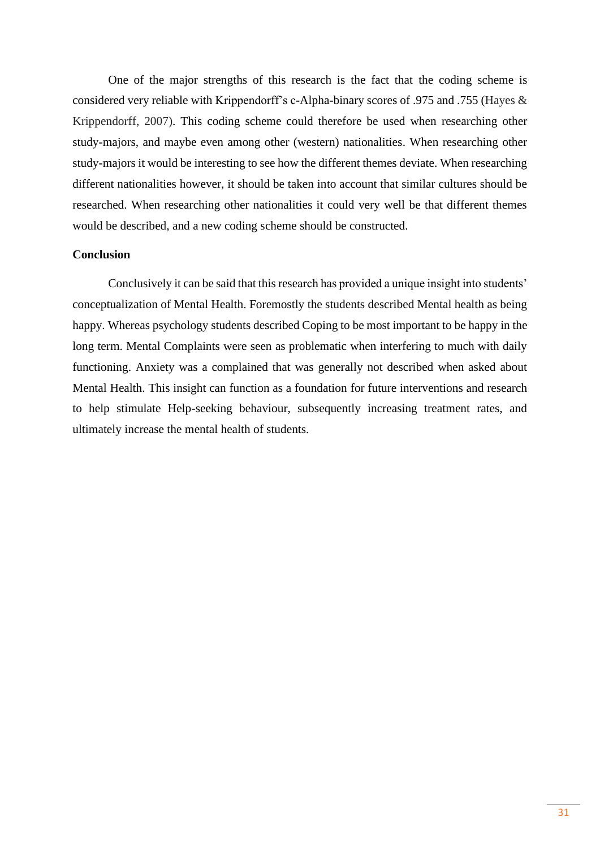One of the major strengths of this research is the fact that the coding scheme is considered very reliable with Krippendorff's c-Alpha-binary scores of .975 and .755 (Hayes & Krippendorff, 2007). This coding scheme could therefore be used when researching other study-majors, and maybe even among other (western) nationalities. When researching other study-majors it would be interesting to see how the different themes deviate. When researching different nationalities however, it should be taken into account that similar cultures should be researched. When researching other nationalities it could very well be that different themes would be described, and a new coding scheme should be constructed.

#### **Conclusion**

Conclusively it can be said that this research has provided a unique insight into students' conceptualization of Mental Health. Foremostly the students described Mental health as being happy. Whereas psychology students described Coping to be most important to be happy in the long term. Mental Complaints were seen as problematic when interfering to much with daily functioning. Anxiety was a complained that was generally not described when asked about Mental Health. This insight can function as a foundation for future interventions and research to help stimulate Help-seeking behaviour, subsequently increasing treatment rates, and ultimately increase the mental health of students.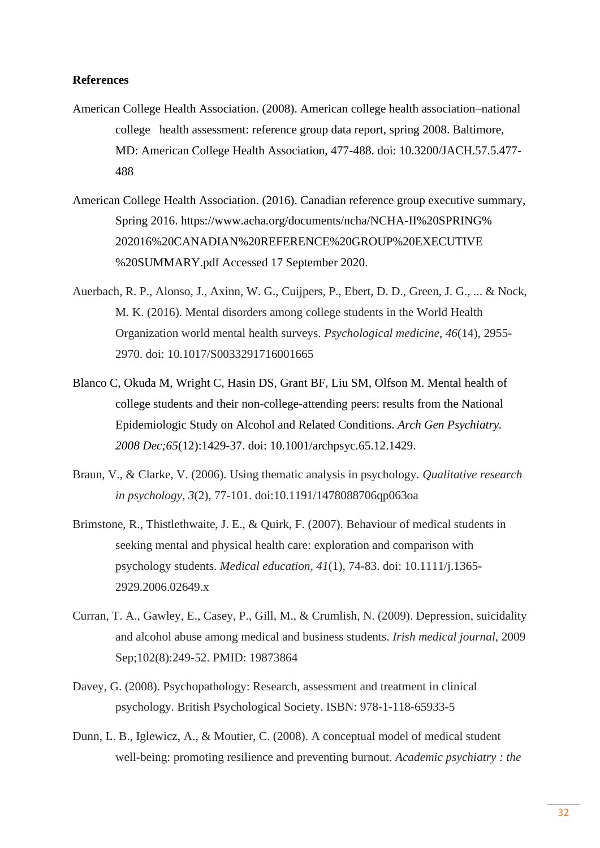#### **References**

- American College Health Association. (2008). American college health association–national college health assessment: reference group data report, spring 2008. Baltimore, MD: American College Health Association, 477-488. doi: 10.3200/JACH.57.5.477- 488
- American College Health Association. (2016). Canadian reference group executive summary, Spring 2016. https://www.acha.org/documents/ncha/NCHA-II%20SPRING% 202016%20CANADIAN%20REFERENCE%20GROUP%20EXECUTIVE %20SUMMARY.pdf Accessed 17 September 2020.
- Auerbach, R. P., Alonso, J., Axinn, W. G., Cuijpers, P., Ebert, D. D., Green, J. G., ... & Nock, M. K. (2016). Mental disorders among college students in the World Health Organization world mental health surveys. *Psychological medicine*, *46*(14), 2955- 2970. doi: 10.1017/S0033291716001665
- Blanco C, Okuda M, Wright C, Hasin DS, Grant BF, Liu SM, Olfson M. Mental health of college students and their non-college-attending peers: results from the National Epidemiologic Study on Alcohol and Related Conditions. *Arch Gen Psychiatry. 2008 Dec;65*(12):1429-37. doi: 10.1001/archpsyc.65.12.1429.
- Braun, V., & Clarke, V. (2006). Using thematic analysis in psychology. *Qualitative research in psychology, 3*(2), 77-101. doi:10.1191/1478088706qp063oa
- Brimstone, R., Thistlethwaite, J. E., & Quirk, F. (2007). Behaviour of medical students in seeking mental and physical health care: exploration and comparison with psychology students. *Medical education*, *41*(1), 74-83. doi: 10.1111/j.1365- 2929.2006.02649.x
- Curran, T. A., Gawley, E., Casey, P., Gill, M., & Crumlish, N. (2009). Depression, suicidality and alcohol abuse among medical and business students. *Irish medical journal,* 2009 Sep;102(8):249-52. PMID: 19873864
- Davey, G. (2008). Psychopathology: Research, assessment and treatment in clinical psychology. British Psychological Society. ISBN: 978-1-118-65933-5
- Dunn, L. B., Iglewicz, A., & Moutier, C. (2008). A conceptual model of medical student well-being: promoting resilience and preventing burnout. *Academic psychiatry : the*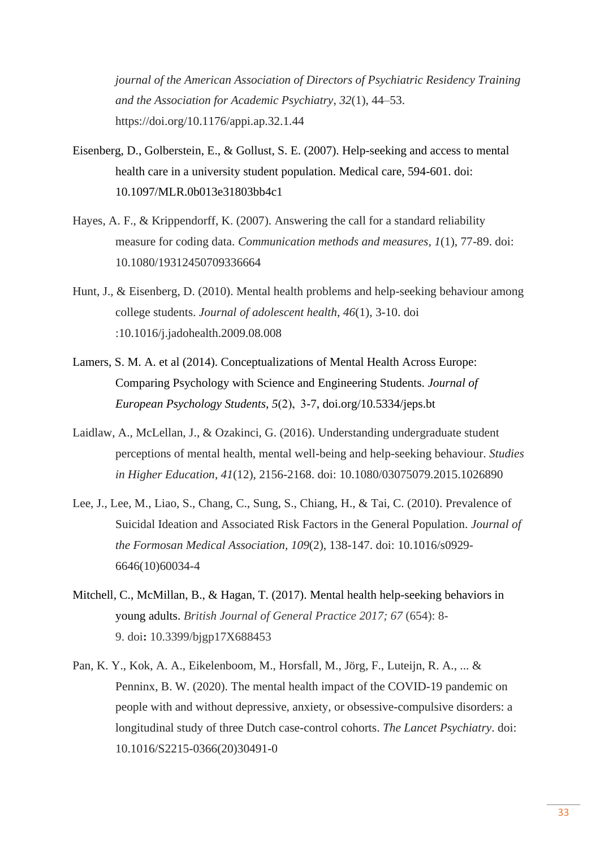*journal of the American Association of Directors of Psychiatric Residency Training and the Association for Academic Psychiatry*, *32*(1), 44–53. https://doi.org/10.1176/appi.ap.32.1.44

- Eisenberg, D., Golberstein, E., & Gollust, S. E. (2007). Help-seeking and access to mental health care in a university student population. Medical care, 594-601. doi: 10.1097/MLR.0b013e31803bb4c1
- Hayes, A. F., & Krippendorff, K. (2007). Answering the call for a standard reliability measure for coding data. *Communication methods and measures*, *1*(1), 77-89. doi: 10.1080/19312450709336664
- Hunt, J., & Eisenberg, D. (2010). Mental health problems and help-seeking behaviour among college students. *Journal of adolescent health*, *46*(1), 3-10. doi :10.1016/j.jadohealth.2009.08.008
- Lamers, S. M. A. et al (2014). Conceptualizations of Mental Health Across Europe: Comparing Psychology with Science and Engineering Students. *Journal of European Psychology Students, 5*(2),  3-7, doi.org/10.5334/jeps.bt
- Laidlaw, A., McLellan, J., & Ozakinci, G. (2016). Understanding undergraduate student perceptions of mental health, mental well-being and help-seeking behaviour. *Studies in Higher Education*, *41*(12), 2156-2168. doi: 10.1080/03075079.2015.1026890
- Lee, J., Lee, M., Liao, S., Chang, C., Sung, S., Chiang, H., & Tai, C. (2010). Prevalence of Suicidal Ideation and Associated Risk Factors in the General Population. *Journal of the Formosan Medical Association, 109*(2), 138-147. doi: 10.1016/s0929- 6646(10)60034-4
- Mitchell, C., McMillan, B., & Hagan, T. (2017). Mental health help-seeking behaviors in young adults. *British Journal of General Practice 2017; 67* (654): 8- 9. doi**:** 10.3399/bjgp17X688453
- Pan, K. Y., Kok, A. A., Eikelenboom, M., Horsfall, M., Jörg, F., Luteijn, R. A., ... & Penninx, B. W. (2020). The mental health impact of the COVID-19 pandemic on people with and without depressive, anxiety, or obsessive-compulsive disorders: a longitudinal study of three Dutch case-control cohorts. *The Lancet Psychiatry*. doi: 10.1016/S2215-0366(20)30491-0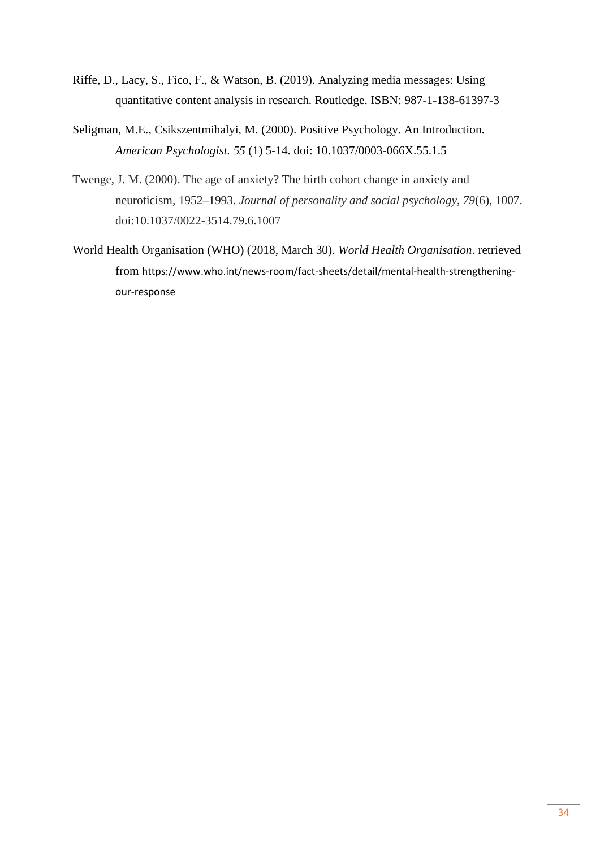- Riffe, D., Lacy, S., Fico, F., & Watson, B. (2019). Analyzing media messages: Using quantitative content analysis in research. Routledge. ISBN: 987-1-138-61397-3
- Seligman, M.E., Csikszentmihalyi, M. (2000). Positive Psychology. An Introduction. *American Psychologist. 55* (1) 5-14. doi: 10.1037/0003-066X.55.1.5
- Twenge, J. M. (2000). The age of anxiety? The birth cohort change in anxiety and neuroticism, 1952–1993. *Journal of personality and social psychology*, *79*(6), 1007. doi:10.1037/0022-3514.79.6.1007
- World Health Organisation (WHO) (2018, March 30). *World Health Organisation*. retrieved from https://www.who.int/news-room/fact-sheets/detail/mental-health-strengtheningour-response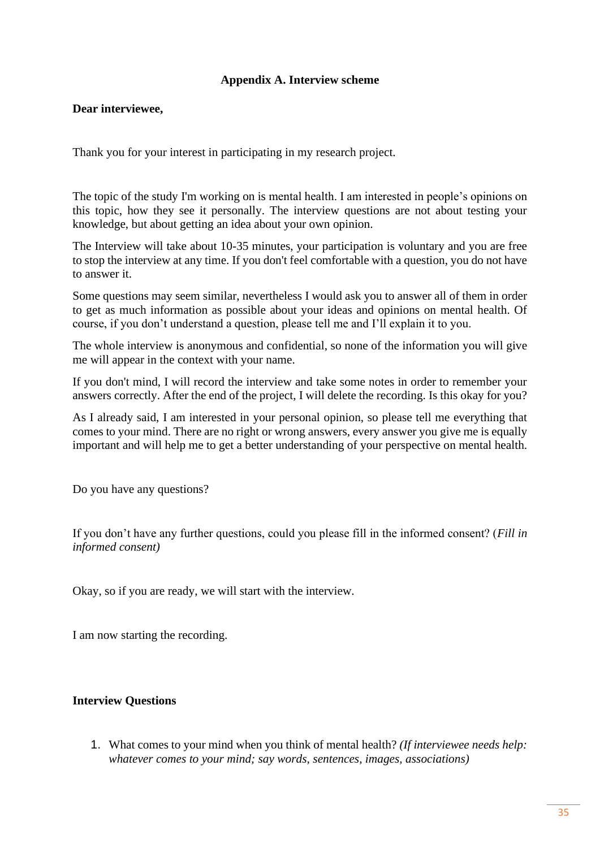# **Appendix A. Interview scheme**

## **Dear interviewee,**

Thank you for your interest in participating in my research project.

The topic of the study I'm working on is mental health. I am interested in people's opinions on this topic, how they see it personally. The interview questions are not about testing your knowledge, but about getting an idea about your own opinion.

The Interview will take about 10-35 minutes, your participation is voluntary and you are free to stop the interview at any time. If you don't feel comfortable with a question, you do not have to answer it.

Some questions may seem similar, nevertheless I would ask you to answer all of them in order to get as much information as possible about your ideas and opinions on mental health. Of course, if you don't understand a question, please tell me and I'll explain it to you.

The whole interview is anonymous and confidential, so none of the information you will give me will appear in the context with your name.

If you don't mind, I will record the interview and take some notes in order to remember your answers correctly. After the end of the project, I will delete the recording. Is this okay for you?

As I already said, I am interested in your personal opinion, so please tell me everything that comes to your mind. There are no right or wrong answers, every answer you give me is equally important and will help me to get a better understanding of your perspective on mental health.

Do you have any questions?

If you don't have any further questions, could you please fill in the informed consent? (*Fill in informed consent)*

Okay, so if you are ready, we will start with the interview.

I am now starting the recording.

## **Interview Questions**

1. What comes to your mind when you think of mental health? *(If interviewee needs help: whatever comes to your mind; say words, sentences, images, associations)*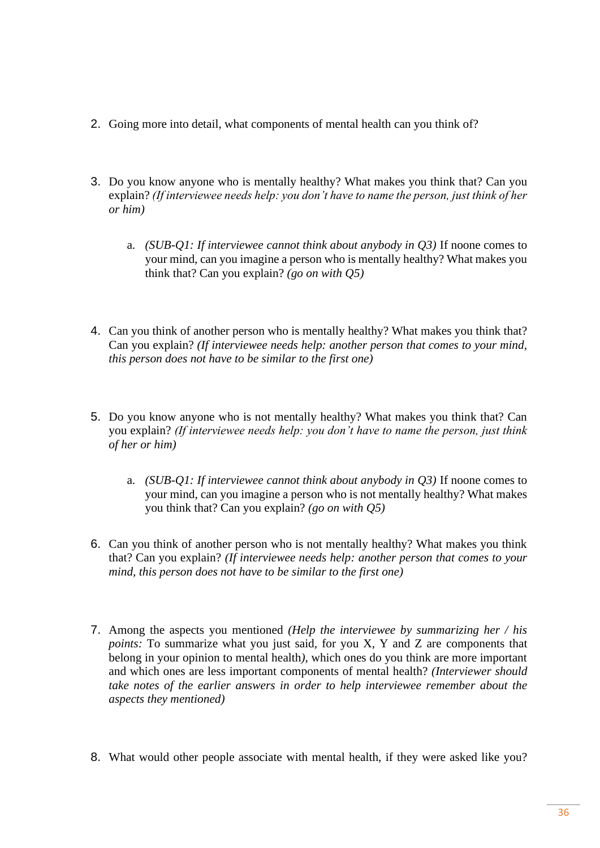- 2. Going more into detail, what components of mental health can you think of?
- 3. Do you know anyone who is mentally healthy? What makes you think that? Can you explain? *(If interviewee needs help: you don't have to name the person, just think of her or him)*
	- a. *(SUB-Q1: If interviewee cannot think about anybody in Q3)* If noone comes to your mind, can you imagine a person who is mentally healthy? What makes you think that? Can you explain? *(go on with Q5)*
- 4. Can you think of another person who is mentally healthy? What makes you think that? Can you explain? *(If interviewee needs help: another person that comes to your mind, this person does not have to be similar to the first one)*
- 5. Do you know anyone who is not mentally healthy? What makes you think that? Can you explain? *(If interviewee needs help: you don't have to name the person, just think of her or him)*
	- a. *(SUB-Q1: If interviewee cannot think about anybody in Q3)* If noone comes to your mind, can you imagine a person who is not mentally healthy? What makes you think that? Can you explain? *(go on with Q5)*
- 6. Can you think of another person who is not mentally healthy? What makes you think that? Can you explain? *(If interviewee needs help: another person that comes to your mind, this person does not have to be similar to the first one)*
- 7. Among the aspects you mentioned *(Help the interviewee by summarizing her / his points:* To summarize what you just said, for you X, Y and Z are components that belong in your opinion to mental health*)*, which ones do you think are more important and which ones are less important components of mental health? *(Interviewer should take notes of the earlier answers in order to help interviewee remember about the aspects they mentioned)*
- 8. What would other people associate with mental health, if they were asked like you?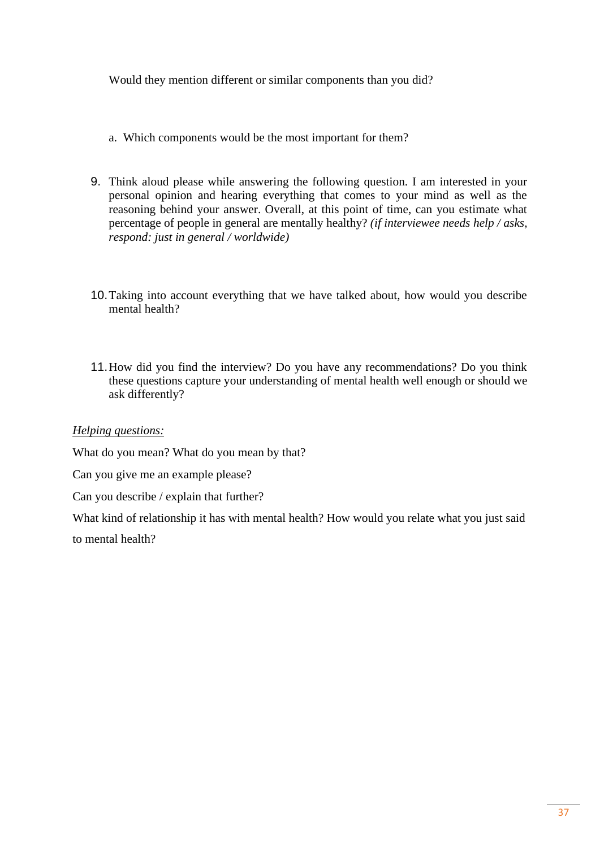Would they mention different or similar components than you did?

- a. Which components would be the most important for them?
- 9. Think aloud please while answering the following question. I am interested in your personal opinion and hearing everything that comes to your mind as well as the reasoning behind your answer. Overall, at this point of time, can you estimate what percentage of people in general are mentally healthy? *(if interviewee needs help / asks, respond: just in general / worldwide)*
- 10.Taking into account everything that we have talked about, how would you describe mental health?
- 11.How did you find the interview? Do you have any recommendations? Do you think these questions capture your understanding of mental health well enough or should we ask differently?

## *Helping questions:*

What do you mean? What do you mean by that?

Can you give me an example please?

Can you describe / explain that further?

What kind of relationship it has with mental health? How would you relate what you just said to mental health?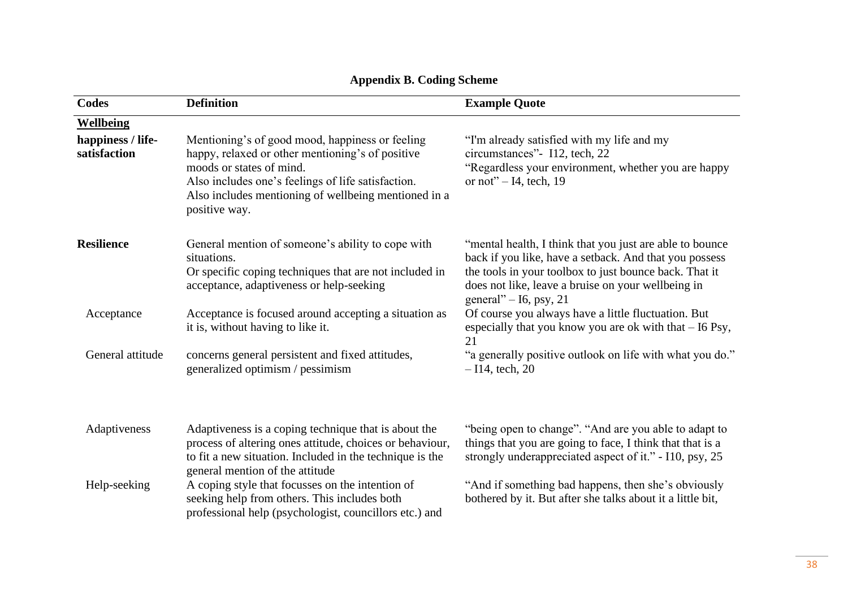| <b>Codes</b>                      | <b>Definition</b>                                                                                                                                                                                                                                              | <b>Example Quote</b>                                                                                                                                                                                                                                           |
|-----------------------------------|----------------------------------------------------------------------------------------------------------------------------------------------------------------------------------------------------------------------------------------------------------------|----------------------------------------------------------------------------------------------------------------------------------------------------------------------------------------------------------------------------------------------------------------|
| <b>Wellbeing</b>                  |                                                                                                                                                                                                                                                                |                                                                                                                                                                                                                                                                |
| happiness / life-<br>satisfaction | Mentioning's of good mood, happiness or feeling<br>happy, relaxed or other mentioning's of positive<br>moods or states of mind.<br>Also includes one's feelings of life satisfaction.<br>Also includes mentioning of wellbeing mentioned in a<br>positive way. | "I'm already satisfied with my life and my<br>circumstances"- I12, tech, 22<br>"Regardless your environment, whether you are happy<br>or not" $-$ I4, tech, 19                                                                                                 |
| <b>Resilience</b>                 | General mention of someone's ability to cope with<br>situations.<br>Or specific coping techniques that are not included in<br>acceptance, adaptiveness or help-seeking                                                                                         | "mental health, I think that you just are able to bounce<br>back if you like, have a setback. And that you possess<br>the tools in your toolbox to just bounce back. That it<br>does not like, leave a bruise on your wellbeing in<br>general" $-$ 16, psy, 21 |
| Acceptance                        | Acceptance is focused around accepting a situation as<br>it is, without having to like it.                                                                                                                                                                     | Of course you always have a little fluctuation. But<br>especially that you know you are ok with that $-16$ Psy,<br>21                                                                                                                                          |
| General attitude                  | concerns general persistent and fixed attitudes,<br>generalized optimism / pessimism                                                                                                                                                                           | "a generally positive outlook on life with what you do."<br>$-114$ , tech, 20                                                                                                                                                                                  |
| Adaptiveness                      | Adaptiveness is a coping technique that is about the<br>process of altering ones attitude, choices or behaviour,<br>to fit a new situation. Included in the technique is the<br>general mention of the attitude                                                | "being open to change". "And are you able to adapt to<br>things that you are going to face, I think that that is a<br>strongly underappreciated aspect of it." - I10, psy, 25                                                                                  |
| Help-seeking                      | A coping style that focusses on the intention of<br>seeking help from others. This includes both<br>professional help (psychologist, councillors etc.) and                                                                                                     | "And if something bad happens, then she's obviously<br>bothered by it. But after she talks about it a little bit,                                                                                                                                              |

# **Appendix B. Coding Scheme**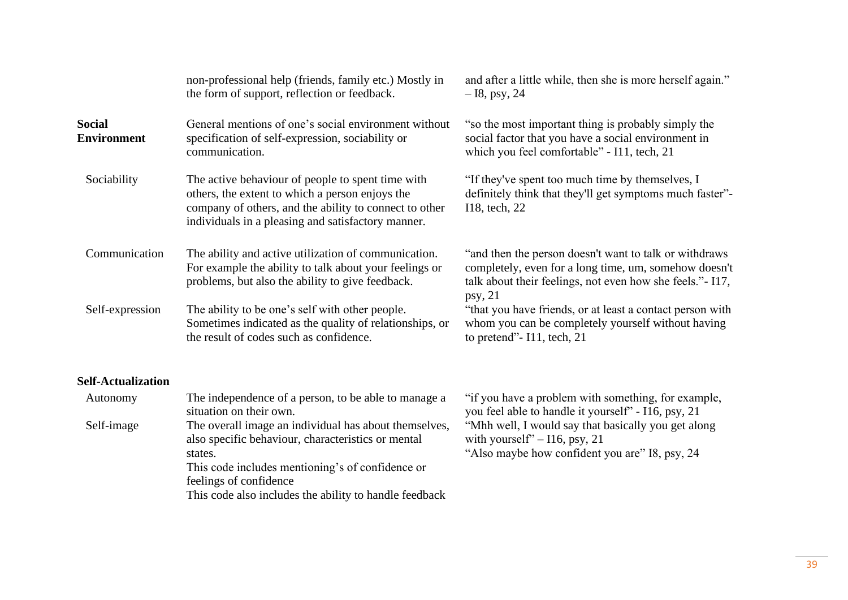|                                     | non-professional help (friends, family etc.) Mostly in<br>the form of support, reflection or feedback.                                                                                                                                                         | and after a little while, then she is more herself again."<br>$-18$ , psy, 24                                                                                                            |
|-------------------------------------|----------------------------------------------------------------------------------------------------------------------------------------------------------------------------------------------------------------------------------------------------------------|------------------------------------------------------------------------------------------------------------------------------------------------------------------------------------------|
| <b>Social</b><br><b>Environment</b> | General mentions of one's social environment without<br>specification of self-expression, sociability or<br>communication.                                                                                                                                     | "so the most important thing is probably simply the<br>social factor that you have a social environment in<br>which you feel comfortable" - I11, tech, 21                                |
| Sociability                         | The active behaviour of people to spent time with<br>others, the extent to which a person enjoys the<br>company of others, and the ability to connect to other<br>individuals in a pleasing and satisfactory manner.                                           | "If they've spent too much time by themselves, I<br>definitely think that they'll get symptoms much faster"-<br>I18, tech, 22                                                            |
| Communication                       | The ability and active utilization of communication.<br>For example the ability to talk about your feelings or<br>problems, but also the ability to give feedback.                                                                                             | "and then the person doesn't want to talk or withdraws<br>completely, even for a long time, um, somehow doesn't<br>talk about their feelings, not even how she feels." - I17,<br>psy, 21 |
| Self-expression                     | The ability to be one's self with other people.<br>Sometimes indicated as the quality of relationships, or<br>the result of codes such as confidence.                                                                                                          | "that you have friends, or at least a contact person with<br>whom you can be completely yourself without having<br>to pretend" $-$ I11, tech, 21                                         |
| <b>Self-Actualization</b>           |                                                                                                                                                                                                                                                                |                                                                                                                                                                                          |
| Autonomy                            | The independence of a person, to be able to manage a<br>situation on their own.                                                                                                                                                                                | "if you have a problem with something, for example,<br>you feel able to handle it yourself" - I16, psy, 21                                                                               |
| Self-image                          | The overall image an individual has about themselves,<br>also specific behaviour, characteristics or mental<br>states.<br>This code includes mentioning's of confidence or<br>feelings of confidence<br>This code also includes the ability to handle feedback | "Mhh well, I would say that basically you get along<br>with yourself" $-116$ , psy, 21<br>"Also maybe how confident you are" I8, psy, 24                                                 |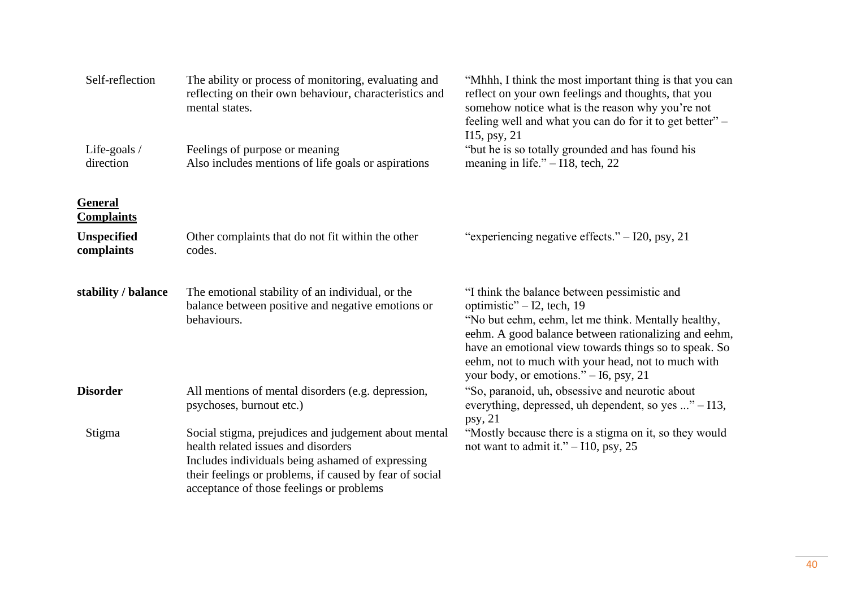| Self-reflection                     | The ability or process of monitoring, evaluating and<br>reflecting on their own behaviour, characteristics and<br>mental states.                                                                                                                       | "Mhhh, I think the most important thing is that you can<br>reflect on your own feelings and thoughts, that you<br>somehow notice what is the reason why you're not<br>feeling well and what you can do for it to get better" -                                                                                                                     |
|-------------------------------------|--------------------------------------------------------------------------------------------------------------------------------------------------------------------------------------------------------------------------------------------------------|----------------------------------------------------------------------------------------------------------------------------------------------------------------------------------------------------------------------------------------------------------------------------------------------------------------------------------------------------|
| Life-goals $/$<br>direction         | Feelings of purpose or meaning<br>Also includes mentions of life goals or aspirations                                                                                                                                                                  | $115, \text{psy}, 21$<br>"but he is so totally grounded and has found his<br>meaning in life." $-118$ , tech, 22                                                                                                                                                                                                                                   |
| <b>General</b><br><b>Complaints</b> |                                                                                                                                                                                                                                                        |                                                                                                                                                                                                                                                                                                                                                    |
| <b>Unspecified</b><br>complaints    | Other complaints that do not fit within the other<br>codes.                                                                                                                                                                                            | "experiencing negative effects." $-$ I20, psy, 21                                                                                                                                                                                                                                                                                                  |
| stability / balance                 | The emotional stability of an individual, or the<br>balance between positive and negative emotions or<br>behaviours.                                                                                                                                   | "I think the balance between pessimistic and<br>optimistic" - I2, tech, 19<br>"No but eehm, eehm, let me think. Mentally healthy,<br>eehm. A good balance between rationalizing and eehm,<br>have an emotional view towards things so to speak. So<br>eehm, not to much with your head, not to much with<br>your body, or emotions." - I6, psy, 21 |
| <b>Disorder</b>                     | All mentions of mental disorders (e.g. depression,<br>psychoses, burnout etc.)                                                                                                                                                                         | "So, paranoid, uh, obsessive and neurotic about<br>everything, depressed, uh dependent, so yes " – I13,<br>psy, 21                                                                                                                                                                                                                                 |
| Stigma                              | Social stigma, prejudices and judgement about mental<br>health related issues and disorders<br>Includes individuals being ashamed of expressing<br>their feelings or problems, if caused by fear of social<br>acceptance of those feelings or problems | "Mostly because there is a stigma on it, so they would<br>not want to admit it." $-110$ , psy, 25                                                                                                                                                                                                                                                  |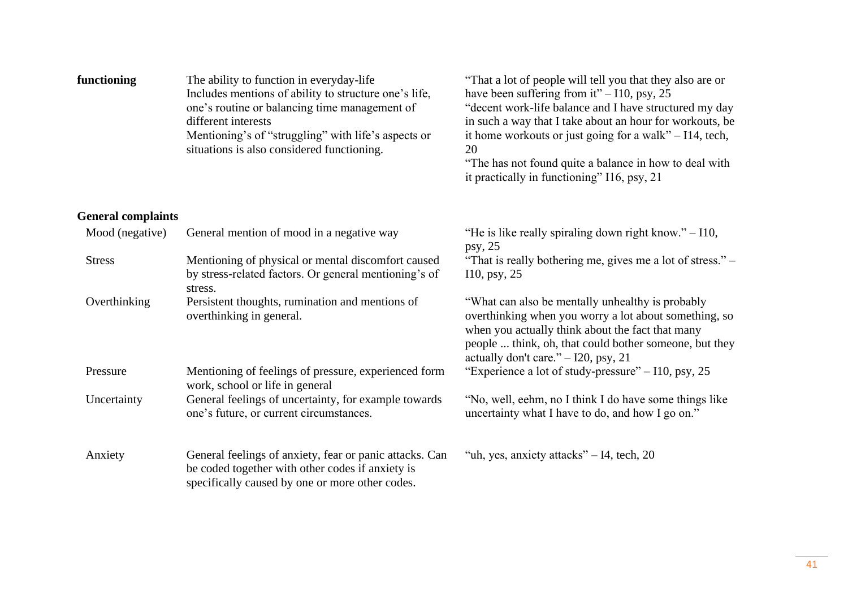| functioning               | The ability to function in everyday-life<br>Includes mentions of ability to structure one's life,<br>one's routine or balancing time management of<br>different interests<br>Mentioning's of "struggling" with life's aspects or<br>situations is also considered functioning. | "That a lot of people will tell you that they also are or<br>have been suffering from it" $-110$ , psy, 25<br>"decent work-life balance and I have structured my day<br>in such a way that I take about an hour for workouts, be<br>it home workouts or just going for a walk" $-114$ , tech,<br>20<br>"The has not found quite a balance in how to deal with<br>it practically in functioning" I16, psy, 21 |
|---------------------------|--------------------------------------------------------------------------------------------------------------------------------------------------------------------------------------------------------------------------------------------------------------------------------|--------------------------------------------------------------------------------------------------------------------------------------------------------------------------------------------------------------------------------------------------------------------------------------------------------------------------------------------------------------------------------------------------------------|
| <b>General complaints</b> |                                                                                                                                                                                                                                                                                |                                                                                                                                                                                                                                                                                                                                                                                                              |
| Mood (negative)           | General mention of mood in a negative way                                                                                                                                                                                                                                      | "He is like really spiraling down right know." $-110$ ,<br>psy, $25$                                                                                                                                                                                                                                                                                                                                         |
| <b>Stress</b>             | Mentioning of physical or mental discomfort caused<br>by stress-related factors. Or general mentioning's of<br>stress.                                                                                                                                                         | "That is really bothering me, gives me a lot of stress." –<br>$110$ , psy, 25                                                                                                                                                                                                                                                                                                                                |
| Overthinking              | Persistent thoughts, rumination and mentions of<br>overthinking in general.                                                                                                                                                                                                    | "What can also be mentally unhealthy is probably"<br>overthinking when you worry a lot about something, so<br>when you actually think about the fact that many<br>people  think, oh, that could bother someone, but they<br>actually don't care." $-$ I20, psy, 21                                                                                                                                           |
| Pressure                  | Mentioning of feelings of pressure, experienced form<br>work, school or life in general                                                                                                                                                                                        | "Experience a lot of study-pressure" – I10, psy, 25                                                                                                                                                                                                                                                                                                                                                          |
| Uncertainty               | General feelings of uncertainty, for example towards<br>one's future, or current circumstances.                                                                                                                                                                                | "No, well, eehm, no I think I do have some things like<br>uncertainty what I have to do, and how I go on."                                                                                                                                                                                                                                                                                                   |
| Anxiety                   | General feelings of anxiety, fear or panic attacks. Can<br>be coded together with other codes if anxiety is<br>specifically caused by one or more other codes.                                                                                                                 | "uh, yes, anxiety attacks" – I4, tech, 20                                                                                                                                                                                                                                                                                                                                                                    |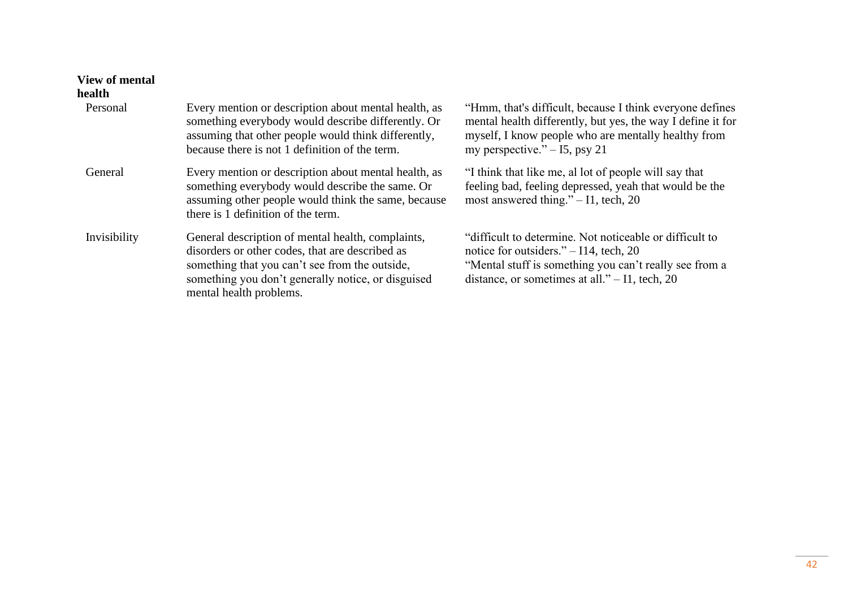# **View of mental**

# **health**

| Personal     | Every mention or description about mental health, as<br>something everybody would describe differently. Or<br>assuming that other people would think differently,<br>because there is not 1 definition of the term.                     | "Hmm, that's difficult, because I think everyone defines<br>mental health differently, but yes, the way I define it for<br>myself, I know people who are mentally healthy from<br>my perspective." $-15$ , psy 21 |
|--------------|-----------------------------------------------------------------------------------------------------------------------------------------------------------------------------------------------------------------------------------------|-------------------------------------------------------------------------------------------------------------------------------------------------------------------------------------------------------------------|
| General      | Every mention or description about mental health, as<br>something everybody would describe the same. Or<br>assuming other people would think the same, because<br>there is 1 definition of the term.                                    | "I think that like me, all ot of people will say that<br>feeling bad, feeling depressed, yeah that would be the<br>most answered thing." $-11$ , tech, 20                                                         |
| Invisibility | General description of mental health, complaints,<br>disorders or other codes, that are described as<br>something that you can't see from the outside,<br>something you don't generally notice, or disguised<br>mental health problems. | "difficult to determine. Not noticeable or difficult to<br>notice for outsiders." $-114$ , tech, 20<br>"Mental stuff is something you can't really see from a<br>distance, or sometimes at all." $-$ I1, tech, 20 |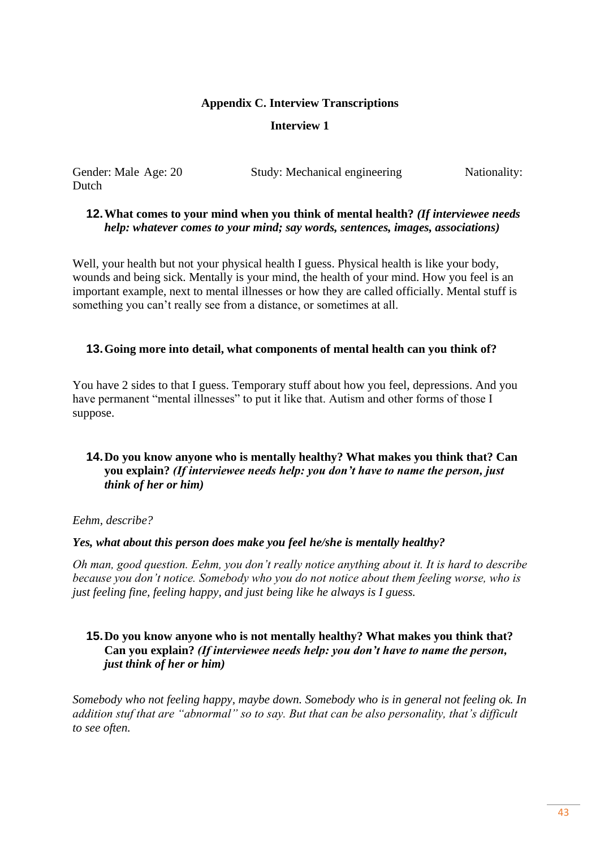#### **Appendix C. Interview Transcriptions**

## **Interview 1**

Dutch

Gender: Male Age: 20 Study: Mechanical engineering Nationality:

# **12.What comes to your mind when you think of mental health?** *(If interviewee needs help: whatever comes to your mind; say words, sentences, images, associations)*

Well, your health but not your physical health I guess. Physical health is like your body, wounds and being sick. Mentally is your mind, the health of your mind. How you feel is an important example, next to mental illnesses or how they are called officially. Mental stuff is something you can't really see from a distance, or sometimes at all.

## **13.Going more into detail, what components of mental health can you think of?**

You have 2 sides to that I guess. Temporary stuff about how you feel, depressions. And you have permanent "mental illnesses" to put it like that. Autism and other forms of those I suppose.

# **14.Do you know anyone who is mentally healthy? What makes you think that? Can you explain?** *(If interviewee needs help: you don't have to name the person, just think of her or him)*

#### *Eehm, describe?*

#### *Yes, what about this person does make you feel he/she is mentally healthy?*

*Oh man, good question. Eehm, you don't really notice anything about it. It is hard to describe because you don't notice. Somebody who you do not notice about them feeling worse, who is just feeling fine, feeling happy, and just being like he always is I guess.*

# **15.Do you know anyone who is not mentally healthy? What makes you think that? Can you explain?** *(If interviewee needs help: you don't have to name the person, just think of her or him)*

*Somebody who not feeling happy, maybe down. Somebody who is in general not feeling ok. In addition stuf that are "abnormal" so to say. But that can be also personality, that's difficult to see often.*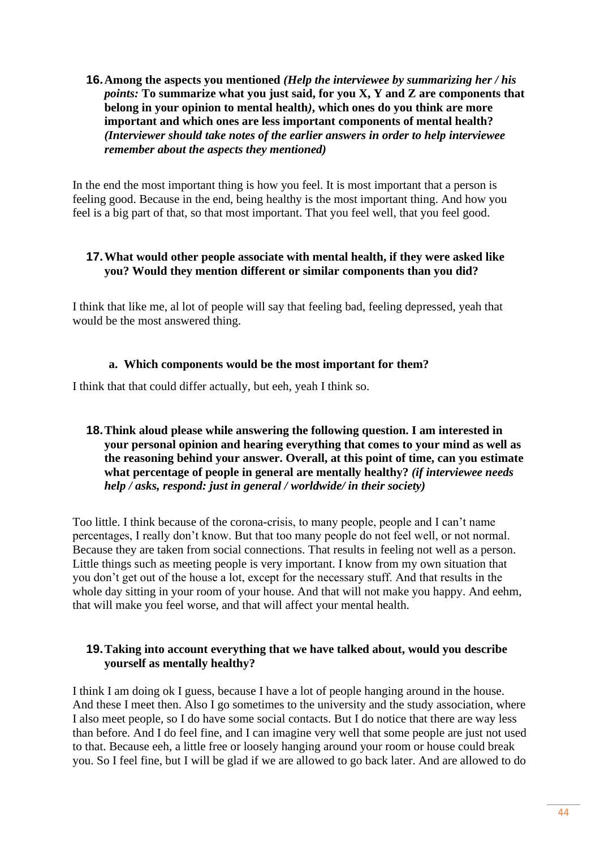## **16.Among the aspects you mentioned** *(Help the interviewee by summarizing her / his points:* **To summarize what you just said, for you X, Y and Z are components that belong in your opinion to mental health***)***, which ones do you think are more important and which ones are less important components of mental health?**  *(Interviewer should take notes of the earlier answers in order to help interviewee remember about the aspects they mentioned)*

In the end the most important thing is how you feel. It is most important that a person is feeling good. Because in the end, being healthy is the most important thing. And how you feel is a big part of that, so that most important. That you feel well, that you feel good.

## **17.What would other people associate with mental health, if they were asked like you? Would they mention different or similar components than you did?**

I think that like me, al lot of people will say that feeling bad, feeling depressed, yeah that would be the most answered thing.

# **a. Which components would be the most important for them?**

I think that that could differ actually, but eeh, yeah I think so.

# **18.Think aloud please while answering the following question. I am interested in your personal opinion and hearing everything that comes to your mind as well as the reasoning behind your answer. Overall, at this point of time, can you estimate what percentage of people in general are mentally healthy?** *(if interviewee needs help / asks, respond: just in general / worldwide/ in their society)*

Too little. I think because of the corona-crisis, to many people, people and I can't name percentages, I really don't know. But that too many people do not feel well, or not normal. Because they are taken from social connections. That results in feeling not well as a person. Little things such as meeting people is very important. I know from my own situation that you don't get out of the house a lot, except for the necessary stuff. And that results in the whole day sitting in your room of your house. And that will not make you happy. And eehm, that will make you feel worse, and that will affect your mental health.

# **19.Taking into account everything that we have talked about, would you describe yourself as mentally healthy?**

I think I am doing ok I guess, because I have a lot of people hanging around in the house. And these I meet then. Also I go sometimes to the university and the study association, where I also meet people, so I do have some social contacts. But I do notice that there are way less than before. And I do feel fine, and I can imagine very well that some people are just not used to that. Because eeh, a little free or loosely hanging around your room or house could break you. So I feel fine, but I will be glad if we are allowed to go back later. And are allowed to do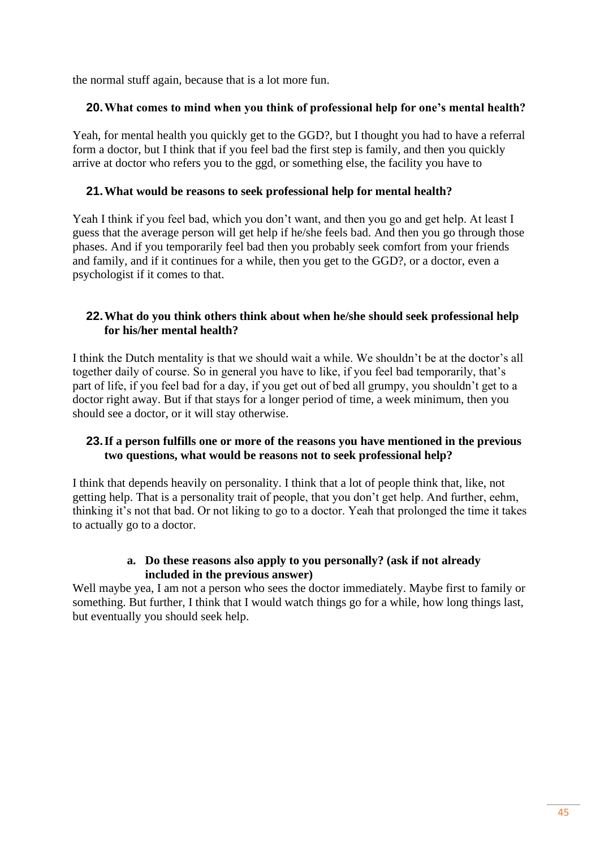the normal stuff again, because that is a lot more fun.

## **20.What comes to mind when you think of professional help for one's mental health?**

Yeah, for mental health you quickly get to the GGD?, but I thought you had to have a referral form a doctor, but I think that if you feel bad the first step is family, and then you quickly arrive at doctor who refers you to the ggd, or something else, the facility you have to

## **21.What would be reasons to seek professional help for mental health?**

Yeah I think if you feel bad, which you don't want, and then you go and get help. At least I guess that the average person will get help if he/she feels bad. And then you go through those phases. And if you temporarily feel bad then you probably seek comfort from your friends and family, and if it continues for a while, then you get to the GGD?, or a doctor, even a psychologist if it comes to that.

## **22.What do you think others think about when he/she should seek professional help for his/her mental health?**

I think the Dutch mentality is that we should wait a while. We shouldn't be at the doctor's all together daily of course. So in general you have to like, if you feel bad temporarily, that's part of life, if you feel bad for a day, if you get out of bed all grumpy, you shouldn't get to a doctor right away. But if that stays for a longer period of time, a week minimum, then you should see a doctor, or it will stay otherwise.

## **23.If a person fulfills one or more of the reasons you have mentioned in the previous two questions, what would be reasons not to seek professional help?**

I think that depends heavily on personality. I think that a lot of people think that, like, not getting help. That is a personality trait of people, that you don't get help. And further, eehm, thinking it's not that bad. Or not liking to go to a doctor. Yeah that prolonged the time it takes to actually go to a doctor.

# **a. Do these reasons also apply to you personally? (ask if not already included in the previous answer)**

Well maybe yea, I am not a person who sees the doctor immediately. Maybe first to family or something. But further, I think that I would watch things go for a while, how long things last, but eventually you should seek help.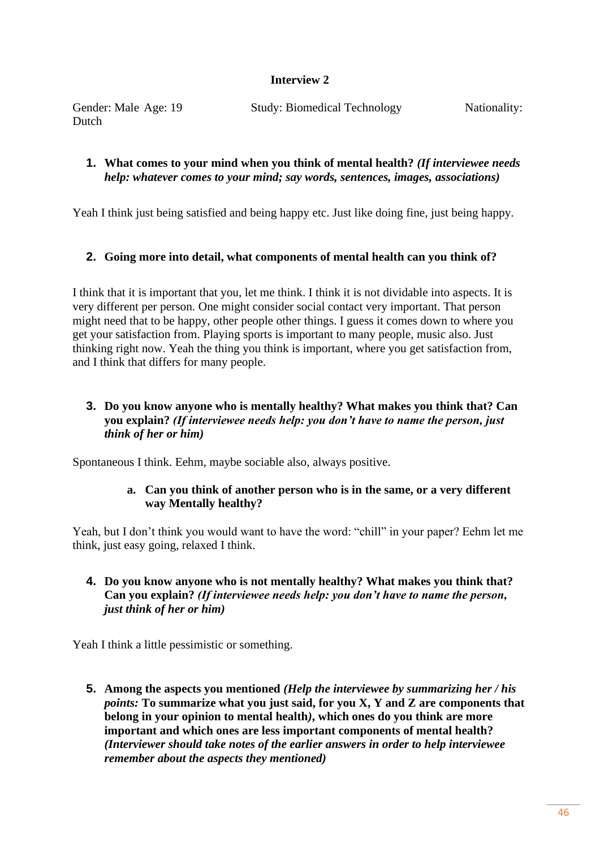# **Interview 2**

| Gender: Male Age: 19 | <b>Study: Biomedical Technology</b> | Nationality: |
|----------------------|-------------------------------------|--------------|
| Dutch                |                                     |              |

## **1. What comes to your mind when you think of mental health?** *(If interviewee needs help: whatever comes to your mind; say words, sentences, images, associations)*

Yeah I think just being satisfied and being happy etc. Just like doing fine, just being happy.

# **2. Going more into detail, what components of mental health can you think of?**

I think that it is important that you, let me think. I think it is not dividable into aspects. It is very different per person. One might consider social contact very important. That person might need that to be happy, other people other things. I guess it comes down to where you get your satisfaction from. Playing sports is important to many people, music also. Just thinking right now. Yeah the thing you think is important, where you get satisfaction from, and I think that differs for many people.

# **3. Do you know anyone who is mentally healthy? What makes you think that? Can you explain?** *(If interviewee needs help: you don't have to name the person, just think of her or him)*

Spontaneous I think. Eehm, maybe sociable also, always positive.

## **a. Can you think of another person who is in the same, or a very different way Mentally healthy?**

Yeah, but I don't think you would want to have the word: "chill" in your paper? Eehm let me think, just easy going, relaxed I think.

**4. Do you know anyone who is not mentally healthy? What makes you think that? Can you explain?** *(If interviewee needs help: you don't have to name the person, just think of her or him)*

Yeah I think a little pessimistic or something.

**5. Among the aspects you mentioned** *(Help the interviewee by summarizing her / his points:* **To summarize what you just said, for you X, Y and Z are components that belong in your opinion to mental health***)***, which ones do you think are more important and which ones are less important components of mental health?**  *(Interviewer should take notes of the earlier answers in order to help interviewee remember about the aspects they mentioned)*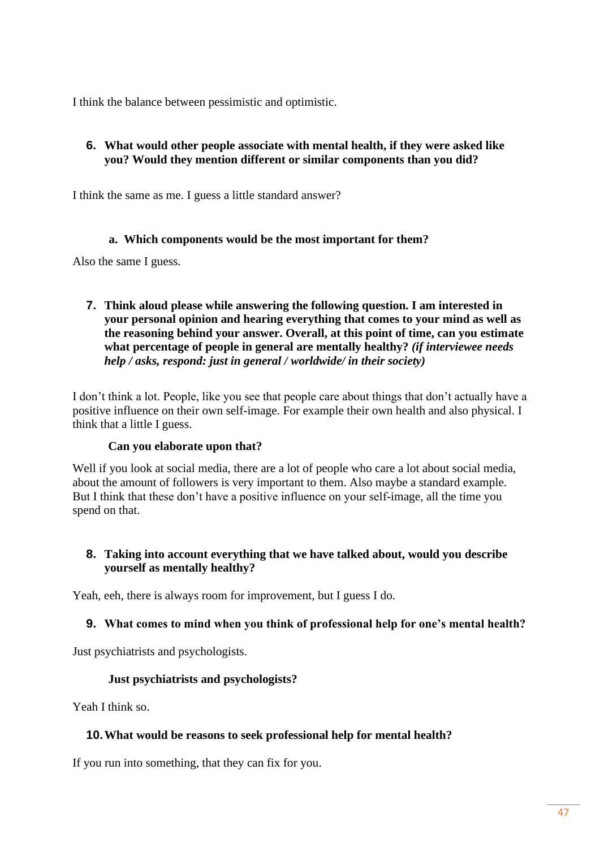I think the balance between pessimistic and optimistic.

# **6. What would other people associate with mental health, if they were asked like you? Would they mention different or similar components than you did?**

I think the same as me. I guess a little standard answer?

## **a. Which components would be the most important for them?**

Also the same I guess.

**7. Think aloud please while answering the following question. I am interested in your personal opinion and hearing everything that comes to your mind as well as the reasoning behind your answer. Overall, at this point of time, can you estimate what percentage of people in general are mentally healthy?** *(if interviewee needs help / asks, respond: just in general / worldwide/ in their society)*

I don't think a lot. People, like you see that people care about things that don't actually have a positive influence on their own self-image. For example their own health and also physical. I think that a little I guess.

#### **Can you elaborate upon that?**

Well if you look at social media, there are a lot of people who care a lot about social media, about the amount of followers is very important to them. Also maybe a standard example. But I think that these don't have a positive influence on your self-image, all the time you spend on that.

# **8. Taking into account everything that we have talked about, would you describe yourself as mentally healthy?**

Yeah, eeh, there is always room for improvement, but I guess I do.

# **9. What comes to mind when you think of professional help for one's mental health?**

Just psychiatrists and psychologists.

# **Just psychiatrists and psychologists?**

Yeah I think so.

# **10.What would be reasons to seek professional help for mental health?**

If you run into something, that they can fix for you.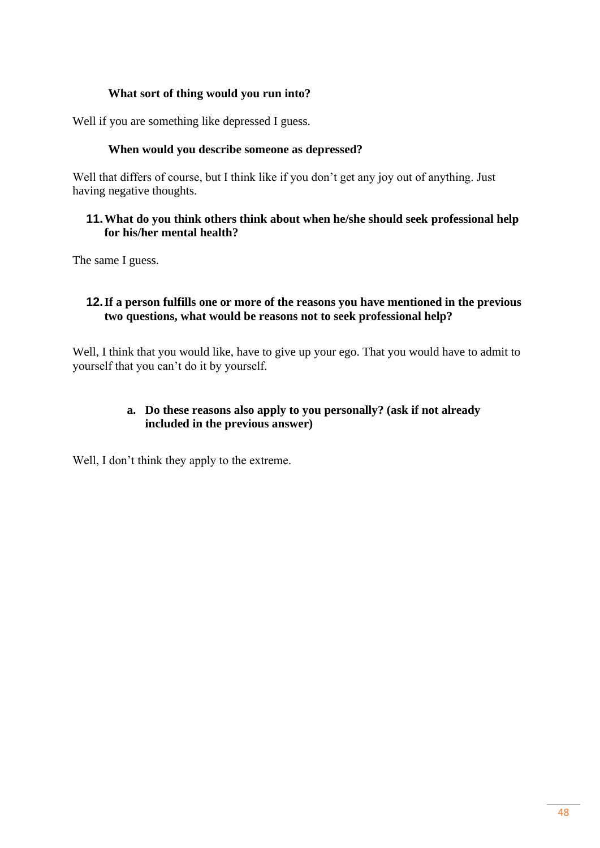## **What sort of thing would you run into?**

Well if you are something like depressed I guess.

## **When would you describe someone as depressed?**

Well that differs of course, but I think like if you don't get any joy out of anything. Just having negative thoughts.

## **11.What do you think others think about when he/she should seek professional help for his/her mental health?**

The same I guess.

# **12.If a person fulfills one or more of the reasons you have mentioned in the previous two questions, what would be reasons not to seek professional help?**

Well, I think that you would like, have to give up your ego. That you would have to admit to yourself that you can't do it by yourself.

# **a. Do these reasons also apply to you personally? (ask if not already included in the previous answer)**

Well, I don't think they apply to the extreme.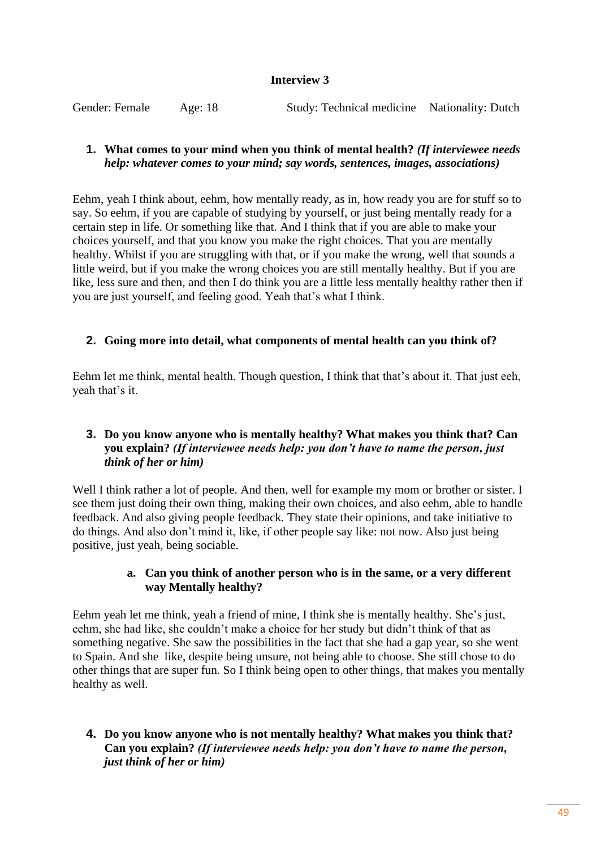## **Interview 3**

Gender: Female Age: 18 Study: Technical medicine Nationality: Dutch

## **1. What comes to your mind when you think of mental health?** *(If interviewee needs help: whatever comes to your mind; say words, sentences, images, associations)*

Eehm, yeah I think about, eehm, how mentally ready, as in, how ready you are for stuff so to say. So eehm, if you are capable of studying by yourself, or just being mentally ready for a certain step in life. Or something like that. And I think that if you are able to make your choices yourself, and that you know you make the right choices. That you are mentally healthy. Whilst if you are struggling with that, or if you make the wrong, well that sounds a little weird, but if you make the wrong choices you are still mentally healthy. But if you are like, less sure and then, and then I do think you are a little less mentally healthy rather then if you are just yourself, and feeling good. Yeah that's what I think.

# **2. Going more into detail, what components of mental health can you think of?**

Eehm let me think, mental health. Though question, I think that that's about it. That just eeh, yeah that's it.

# **3. Do you know anyone who is mentally healthy? What makes you think that? Can you explain?** *(If interviewee needs help: you don't have to name the person, just think of her or him)*

Well I think rather a lot of people. And then, well for example my mom or brother or sister. I see them just doing their own thing, making their own choices, and also eehm, able to handle feedback. And also giving people feedback. They state their opinions, and take initiative to do things. And also don't mind it, like, if other people say like: not now. Also just being positive, just yeah, being sociable.

## **a. Can you think of another person who is in the same, or a very different way Mentally healthy?**

Eehm yeah let me think, yeah a friend of mine, I think she is mentally healthy. She's just, eehm, she had like, she couldn't make a choice for her study but didn't think of that as something negative. She saw the possibilities in the fact that she had a gap year, so she went to Spain. And she like, despite being unsure, not being able to choose. She still chose to do other things that are super fun. So I think being open to other things, that makes you mentally healthy as well.

## **4. Do you know anyone who is not mentally healthy? What makes you think that? Can you explain?** *(If interviewee needs help: you don't have to name the person, just think of her or him)*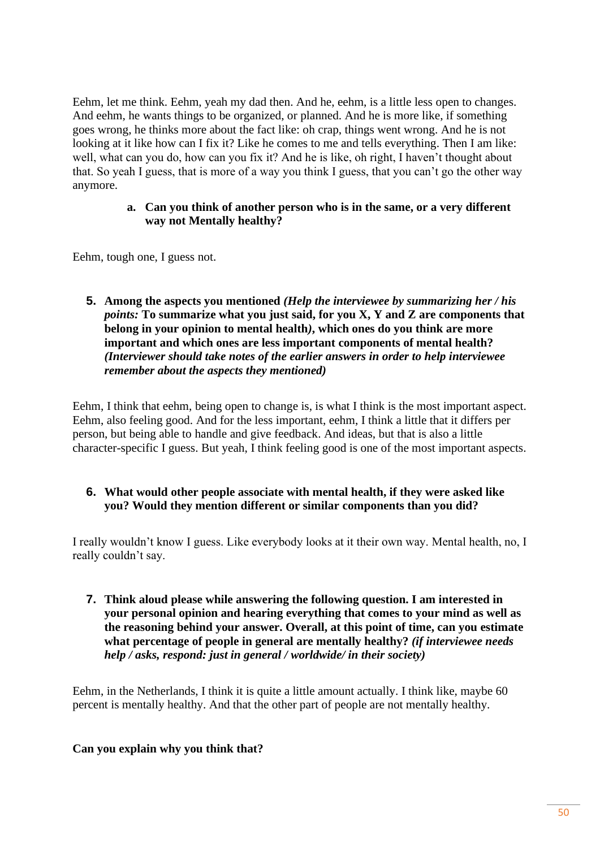Eehm, let me think. Eehm, yeah my dad then. And he, eehm, is a little less open to changes. And eehm, he wants things to be organized, or planned. And he is more like, if something goes wrong, he thinks more about the fact like: oh crap, things went wrong. And he is not looking at it like how can I fix it? Like he comes to me and tells everything. Then I am like: well, what can you do, how can you fix it? And he is like, oh right, I haven't thought about that. So yeah I guess, that is more of a way you think I guess, that you can't go the other way anymore.

#### **a. Can you think of another person who is in the same, or a very different way not Mentally healthy?**

Eehm, tough one, I guess not.

**5. Among the aspects you mentioned** *(Help the interviewee by summarizing her / his points:* **To summarize what you just said, for you X, Y and Z are components that belong in your opinion to mental health***)***, which ones do you think are more important and which ones are less important components of mental health?**  *(Interviewer should take notes of the earlier answers in order to help interviewee remember about the aspects they mentioned)*

Eehm, I think that eehm, being open to change is, is what I think is the most important aspect. Eehm, also feeling good. And for the less important, eehm, I think a little that it differs per person, but being able to handle and give feedback. And ideas, but that is also a little character-specific I guess. But yeah, I think feeling good is one of the most important aspects.

## **6. What would other people associate with mental health, if they were asked like you? Would they mention different or similar components than you did?**

I really wouldn't know I guess. Like everybody looks at it their own way. Mental health, no, I really couldn't say.

**7. Think aloud please while answering the following question. I am interested in your personal opinion and hearing everything that comes to your mind as well as the reasoning behind your answer. Overall, at this point of time, can you estimate what percentage of people in general are mentally healthy?** *(if interviewee needs help / asks, respond: just in general / worldwide/ in their society)*

Eehm, in the Netherlands, I think it is quite a little amount actually. I think like, maybe 60 percent is mentally healthy. And that the other part of people are not mentally healthy.

# **Can you explain why you think that?**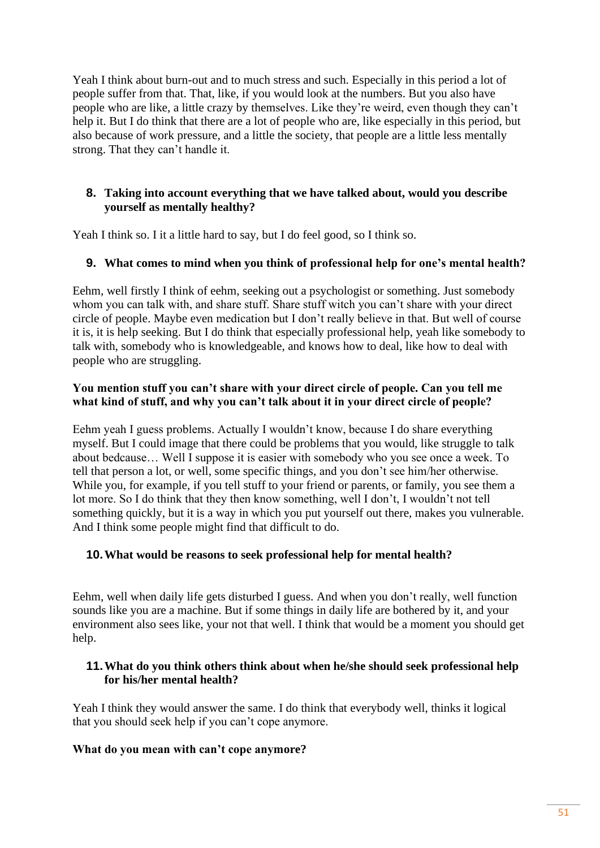Yeah I think about burn-out and to much stress and such. Especially in this period a lot of people suffer from that. That, like, if you would look at the numbers. But you also have people who are like, a little crazy by themselves. Like they're weird, even though they can't help it. But I do think that there are a lot of people who are, like especially in this period, but also because of work pressure, and a little the society, that people are a little less mentally strong. That they can't handle it.

# **8. Taking into account everything that we have talked about, would you describe yourself as mentally healthy?**

Yeah I think so. I it a little hard to say, but I do feel good, so I think so.

# **9. What comes to mind when you think of professional help for one's mental health?**

Eehm, well firstly I think of eehm, seeking out a psychologist or something. Just somebody whom you can talk with, and share stuff. Share stuff witch you can't share with your direct circle of people. Maybe even medication but I don't really believe in that. But well of course it is, it is help seeking. But I do think that especially professional help, yeah like somebody to talk with, somebody who is knowledgeable, and knows how to deal, like how to deal with people who are struggling.

## **You mention stuff you can't share with your direct circle of people. Can you tell me what kind of stuff, and why you can't talk about it in your direct circle of people?**

Eehm yeah I guess problems. Actually I wouldn't know, because I do share everything myself. But I could image that there could be problems that you would, like struggle to talk about bedcause… Well I suppose it is easier with somebody who you see once a week. To tell that person a lot, or well, some specific things, and you don't see him/her otherwise. While you, for example, if you tell stuff to your friend or parents, or family, you see them a lot more. So I do think that they then know something, well I don't, I wouldn't not tell something quickly, but it is a way in which you put yourself out there, makes you vulnerable. And I think some people might find that difficult to do.

# **10.What would be reasons to seek professional help for mental health?**

Eehm, well when daily life gets disturbed I guess. And when you don't really, well function sounds like you are a machine. But if some things in daily life are bothered by it, and your environment also sees like, your not that well. I think that would be a moment you should get help.

# **11.What do you think others think about when he/she should seek professional help for his/her mental health?**

Yeah I think they would answer the same. I do think that everybody well, thinks it logical that you should seek help if you can't cope anymore.

# **What do you mean with can't cope anymore?**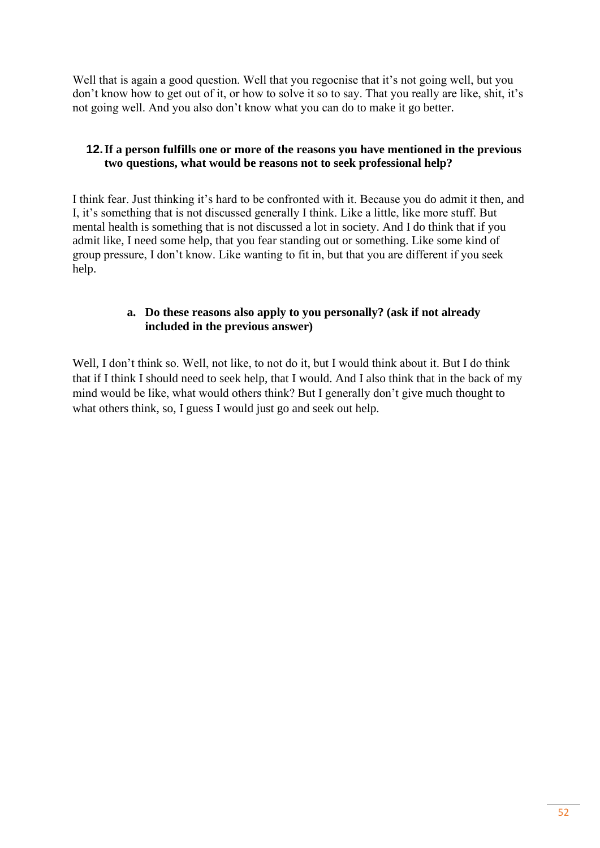Well that is again a good question. Well that you regocnise that it's not going well, but you don't know how to get out of it, or how to solve it so to say. That you really are like, shit, it's not going well. And you also don't know what you can do to make it go better.

# **12.If a person fulfills one or more of the reasons you have mentioned in the previous two questions, what would be reasons not to seek professional help?**

I think fear. Just thinking it's hard to be confronted with it. Because you do admit it then, and I, it's something that is not discussed generally I think. Like a little, like more stuff. But mental health is something that is not discussed a lot in society. And I do think that if you admit like, I need some help, that you fear standing out or something. Like some kind of group pressure, I don't know. Like wanting to fit in, but that you are different if you seek help.

# **a. Do these reasons also apply to you personally? (ask if not already included in the previous answer)**

Well, I don't think so. Well, not like, to not do it, but I would think about it. But I do think that if I think I should need to seek help, that I would. And I also think that in the back of my mind would be like, what would others think? But I generally don't give much thought to what others think, so, I guess I would just go and seek out help.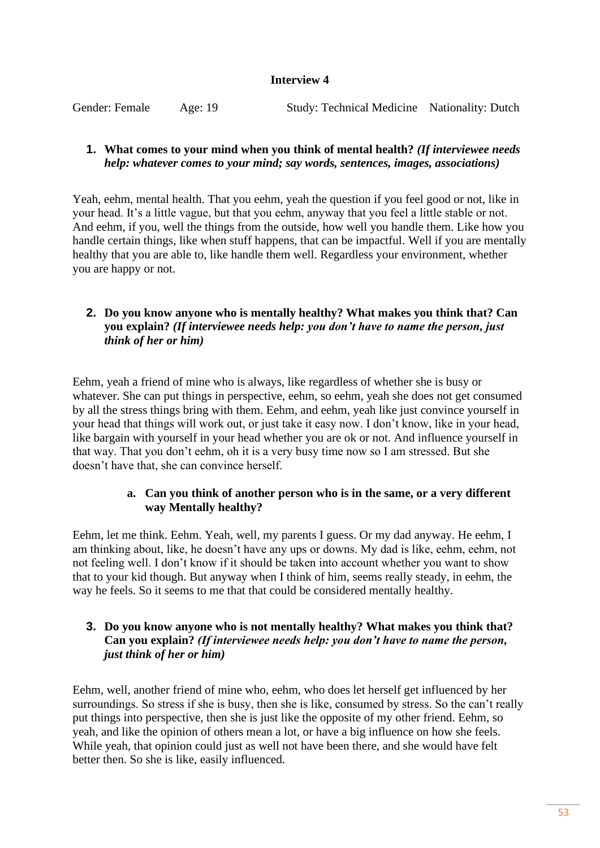#### **Interview 4**

Gender: Female Age: 19 Study: Technical Medicine Nationality: Dutch

## **1. What comes to your mind when you think of mental health?** *(If interviewee needs help: whatever comes to your mind; say words, sentences, images, associations)*

Yeah, eehm, mental health. That you eehm, yeah the question if you feel good or not, like in your head. It's a little vague, but that you eehm, anyway that you feel a little stable or not. And eehm, if you, well the things from the outside, how well you handle them. Like how you handle certain things, like when stuff happens, that can be impactful. Well if you are mentally healthy that you are able to, like handle them well. Regardless your environment, whether you are happy or not.

# **2. Do you know anyone who is mentally healthy? What makes you think that? Can you explain?** *(If interviewee needs help: you don't have to name the person, just think of her or him)*

Eehm, yeah a friend of mine who is always, like regardless of whether she is busy or whatever. She can put things in perspective, eehm, so eehm, yeah she does not get consumed by all the stress things bring with them. Eehm, and eehm, yeah like just convince yourself in your head that things will work out, or just take it easy now. I don't know, like in your head, like bargain with yourself in your head whether you are ok or not. And influence yourself in that way. That you don't eehm, oh it is a very busy time now so I am stressed. But she doesn't have that, she can convince herself.

## **a. Can you think of another person who is in the same, or a very different way Mentally healthy?**

Eehm, let me think. Eehm. Yeah, well, my parents I guess. Or my dad anyway. He eehm, I am thinking about, like, he doesn't have any ups or downs. My dad is like, eehm, eehm, not not feeling well. I don't know if it should be taken into account whether you want to show that to your kid though. But anyway when I think of him, seems really steady, in eehm, the way he feels. So it seems to me that that could be considered mentally healthy.

# **3. Do you know anyone who is not mentally healthy? What makes you think that? Can you explain?** *(If interviewee needs help: you don't have to name the person, just think of her or him)*

Eehm, well, another friend of mine who, eehm, who does let herself get influenced by her surroundings. So stress if she is busy, then she is like, consumed by stress. So the can't really put things into perspective, then she is just like the opposite of my other friend. Eehm, so yeah, and like the opinion of others mean a lot, or have a big influence on how she feels. While yeah, that opinion could just as well not have been there, and she would have felt better then. So she is like, easily influenced.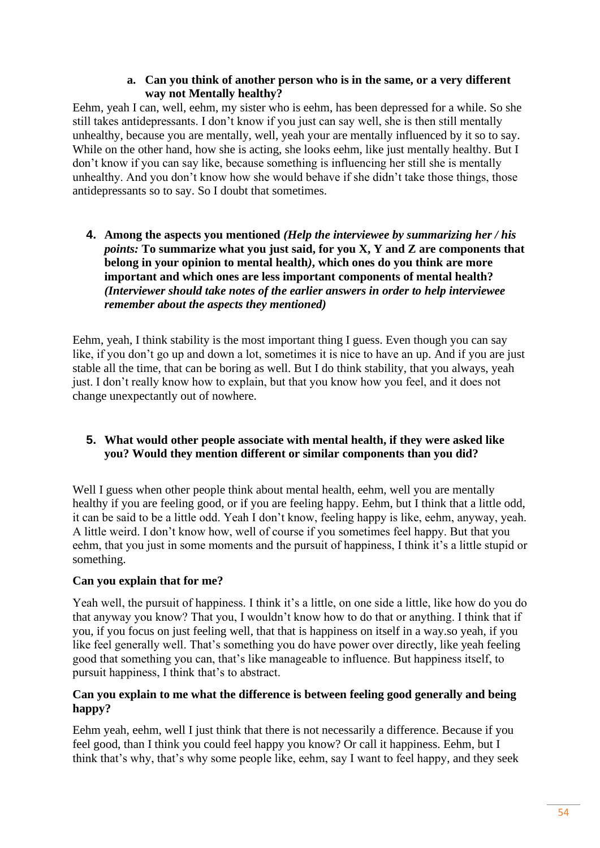## **a. Can you think of another person who is in the same, or a very different way not Mentally healthy?**

Eehm, yeah I can, well, eehm, my sister who is eehm, has been depressed for a while. So she still takes antidepressants. I don't know if you just can say well, she is then still mentally unhealthy, because you are mentally, well, yeah your are mentally influenced by it so to say. While on the other hand, how she is acting, she looks eehm, like just mentally healthy. But I don't know if you can say like, because something is influencing her still she is mentally unhealthy. And you don't know how she would behave if she didn't take those things, those antidepressants so to say. So I doubt that sometimes.

**4. Among the aspects you mentioned** *(Help the interviewee by summarizing her / his points:* **To summarize what you just said, for you X, Y and Z are components that belong in your opinion to mental health***)***, which ones do you think are more important and which ones are less important components of mental health?**  *(Interviewer should take notes of the earlier answers in order to help interviewee remember about the aspects they mentioned)*

Eehm, yeah, I think stability is the most important thing I guess. Even though you can say like, if you don't go up and down a lot, sometimes it is nice to have an up. And if you are just stable all the time, that can be boring as well. But I do think stability, that you always, yeah just. I don't really know how to explain, but that you know how you feel, and it does not change unexpectantly out of nowhere.

# **5. What would other people associate with mental health, if they were asked like you? Would they mention different or similar components than you did?**

Well I guess when other people think about mental health, eehm, well you are mentally healthy if you are feeling good, or if you are feeling happy. Eehm, but I think that a little odd, it can be said to be a little odd. Yeah I don't know, feeling happy is like, eehm, anyway, yeah. A little weird. I don't know how, well of course if you sometimes feel happy. But that you eehm, that you just in some moments and the pursuit of happiness, I think it's a little stupid or something.

# **Can you explain that for me?**

Yeah well, the pursuit of happiness. I think it's a little, on one side a little, like how do you do that anyway you know? That you, I wouldn't know how to do that or anything. I think that if you, if you focus on just feeling well, that that is happiness on itself in a way.so yeah, if you like feel generally well. That's something you do have power over directly, like yeah feeling good that something you can, that's like manageable to influence. But happiness itself, to pursuit happiness, I think that's to abstract.

# **Can you explain to me what the difference is between feeling good generally and being happy?**

Eehm yeah, eehm, well I just think that there is not necessarily a difference. Because if you feel good, than I think you could feel happy you know? Or call it happiness. Eehm, but I think that's why, that's why some people like, eehm, say I want to feel happy, and they seek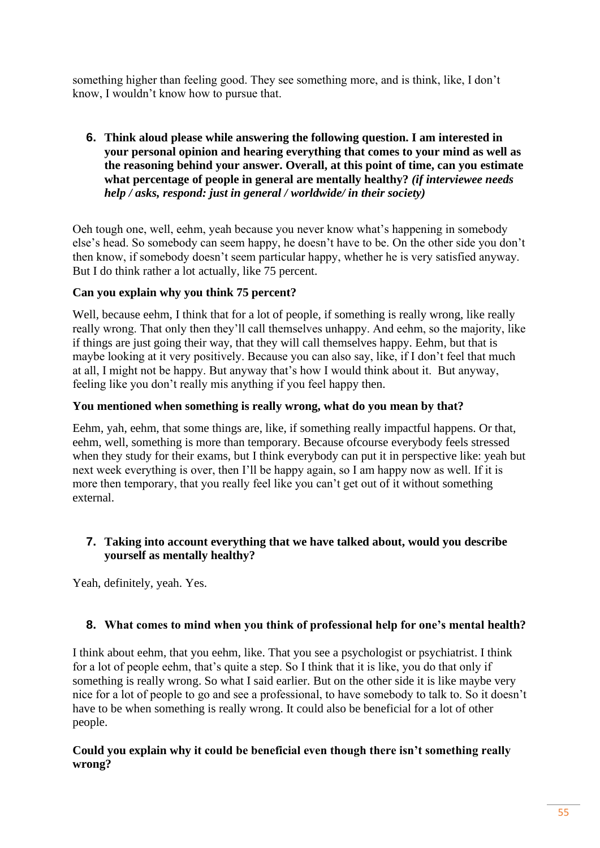something higher than feeling good. They see something more, and is think, like, I don't know, I wouldn't know how to pursue that.

**6. Think aloud please while answering the following question. I am interested in your personal opinion and hearing everything that comes to your mind as well as the reasoning behind your answer. Overall, at this point of time, can you estimate what percentage of people in general are mentally healthy?** *(if interviewee needs help / asks, respond: just in general / worldwide/ in their society)*

Oeh tough one, well, eehm, yeah because you never know what's happening in somebody else's head. So somebody can seem happy, he doesn't have to be. On the other side you don't then know, if somebody doesn't seem particular happy, whether he is very satisfied anyway. But I do think rather a lot actually, like 75 percent.

# **Can you explain why you think 75 percent?**

Well, because eehm, I think that for a lot of people, if something is really wrong, like really really wrong. That only then they'll call themselves unhappy. And eehm, so the majority, like if things are just going their way, that they will call themselves happy. Eehm, but that is maybe looking at it very positively. Because you can also say, like, if I don't feel that much at all, I might not be happy. But anyway that's how I would think about it. But anyway, feeling like you don't really mis anything if you feel happy then.

# **You mentioned when something is really wrong, what do you mean by that?**

Eehm, yah, eehm, that some things are, like, if something really impactful happens. Or that, eehm, well, something is more than temporary. Because ofcourse everybody feels stressed when they study for their exams, but I think everybody can put it in perspective like: yeah but next week everything is over, then I'll be happy again, so I am happy now as well. If it is more then temporary, that you really feel like you can't get out of it without something external.

# **7. Taking into account everything that we have talked about, would you describe yourself as mentally healthy?**

Yeah, definitely, yeah. Yes.

# **8. What comes to mind when you think of professional help for one's mental health?**

I think about eehm, that you eehm, like. That you see a psychologist or psychiatrist. I think for a lot of people eehm, that's quite a step. So I think that it is like, you do that only if something is really wrong. So what I said earlier. But on the other side it is like maybe very nice for a lot of people to go and see a professional, to have somebody to talk to. So it doesn't have to be when something is really wrong. It could also be beneficial for a lot of other people.

# **Could you explain why it could be beneficial even though there isn't something really wrong?**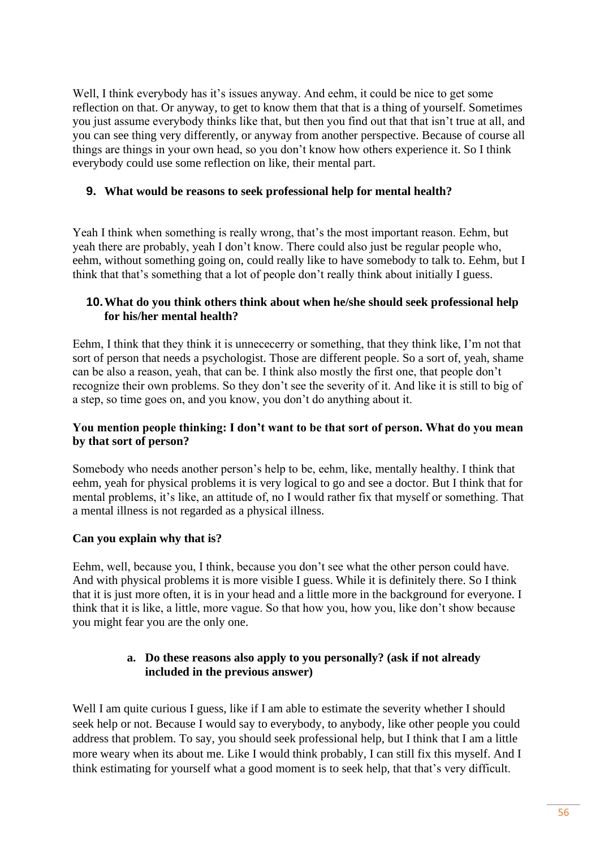Well, I think everybody has it's issues anyway. And eehm, it could be nice to get some reflection on that. Or anyway, to get to know them that that is a thing of yourself. Sometimes you just assume everybody thinks like that, but then you find out that that isn't true at all, and you can see thing very differently, or anyway from another perspective. Because of course all things are things in your own head, so you don't know how others experience it. So I think everybody could use some reflection on like, their mental part.

# **9. What would be reasons to seek professional help for mental health?**

Yeah I think when something is really wrong, that's the most important reason. Eehm, but yeah there are probably, yeah I don't know. There could also just be regular people who, eehm, without something going on, could really like to have somebody to talk to. Eehm, but I think that that's something that a lot of people don't really think about initially I guess.

# **10.What do you think others think about when he/she should seek professional help for his/her mental health?**

Eehm, I think that they think it is unnececerry or something, that they think like, I'm not that sort of person that needs a psychologist. Those are different people. So a sort of, yeah, shame can be also a reason, yeah, that can be. I think also mostly the first one, that people don't recognize their own problems. So they don't see the severity of it. And like it is still to big of a step, so time goes on, and you know, you don't do anything about it.

# **You mention people thinking: I don't want to be that sort of person. What do you mean by that sort of person?**

Somebody who needs another person's help to be, eehm, like, mentally healthy. I think that eehm, yeah for physical problems it is very logical to go and see a doctor. But I think that for mental problems, it's like, an attitude of, no I would rather fix that myself or something. That a mental illness is not regarded as a physical illness.

# **Can you explain why that is?**

Eehm, well, because you, I think, because you don't see what the other person could have. And with physical problems it is more visible I guess. While it is definitely there. So I think that it is just more often, it is in your head and a little more in the background for everyone. I think that it is like, a little, more vague. So that how you, how you, like don't show because you might fear you are the only one.

# **a. Do these reasons also apply to you personally? (ask if not already included in the previous answer)**

Well I am quite curious I guess, like if I am able to estimate the severity whether I should seek help or not. Because I would say to everybody, to anybody, like other people you could address that problem. To say, you should seek professional help, but I think that I am a little more weary when its about me. Like I would think probably, I can still fix this myself. And I think estimating for yourself what a good moment is to seek help, that that's very difficult.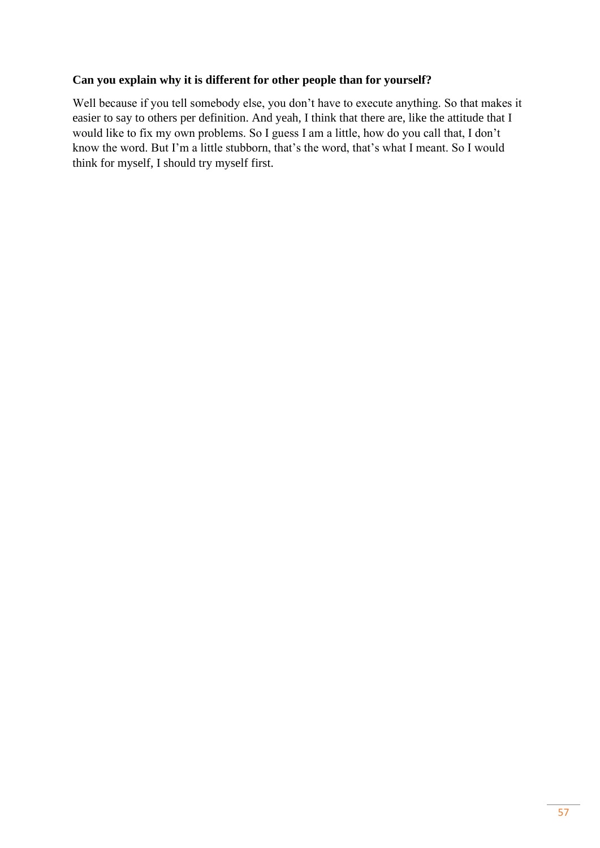# **Can you explain why it is different for other people than for yourself?**

Well because if you tell somebody else, you don't have to execute anything. So that makes it easier to say to others per definition. And yeah, I think that there are, like the attitude that I would like to fix my own problems. So I guess I am a little, how do you call that, I don't know the word. But I'm a little stubborn, that's the word, that's what I meant. So I would think for myself, I should try myself first.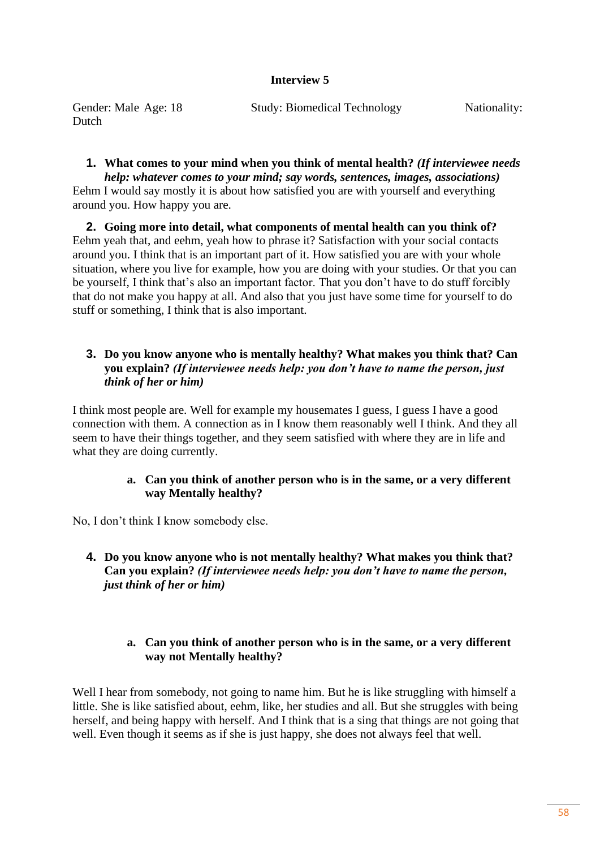## **Interview 5**

| Gender: Male Age: 18 | <b>Study: Biomedical Technology</b> | Nationality: |
|----------------------|-------------------------------------|--------------|
| Dutch                |                                     |              |

# **1. What comes to your mind when you think of mental health?** *(If interviewee needs*

*help: whatever comes to your mind; say words, sentences, images, associations)* Eehm I would say mostly it is about how satisfied you are with yourself and everything around you. How happy you are.

**2. Going more into detail, what components of mental health can you think of?** Eehm yeah that, and eehm, yeah how to phrase it? Satisfaction with your social contacts around you. I think that is an important part of it. How satisfied you are with your whole situation, where you live for example, how you are doing with your studies. Or that you can be yourself, I think that's also an important factor. That you don't have to do stuff forcibly that do not make you happy at all. And also that you just have some time for yourself to do stuff or something, I think that is also important.

## **3. Do you know anyone who is mentally healthy? What makes you think that? Can you explain?** *(If interviewee needs help: you don't have to name the person, just think of her or him)*

I think most people are. Well for example my housemates I guess, I guess I have a good connection with them. A connection as in I know them reasonably well I think. And they all seem to have their things together, and they seem satisfied with where they are in life and what they are doing currently.

## **a. Can you think of another person who is in the same, or a very different way Mentally healthy?**

No, I don't think I know somebody else.

**4. Do you know anyone who is not mentally healthy? What makes you think that? Can you explain?** *(If interviewee needs help: you don't have to name the person, just think of her or him)*

# **a. Can you think of another person who is in the same, or a very different way not Mentally healthy?**

Well I hear from somebody, not going to name him. But he is like struggling with himself a little. She is like satisfied about, eehm, like, her studies and all. But she struggles with being herself, and being happy with herself. And I think that is a sing that things are not going that well. Even though it seems as if she is just happy, she does not always feel that well.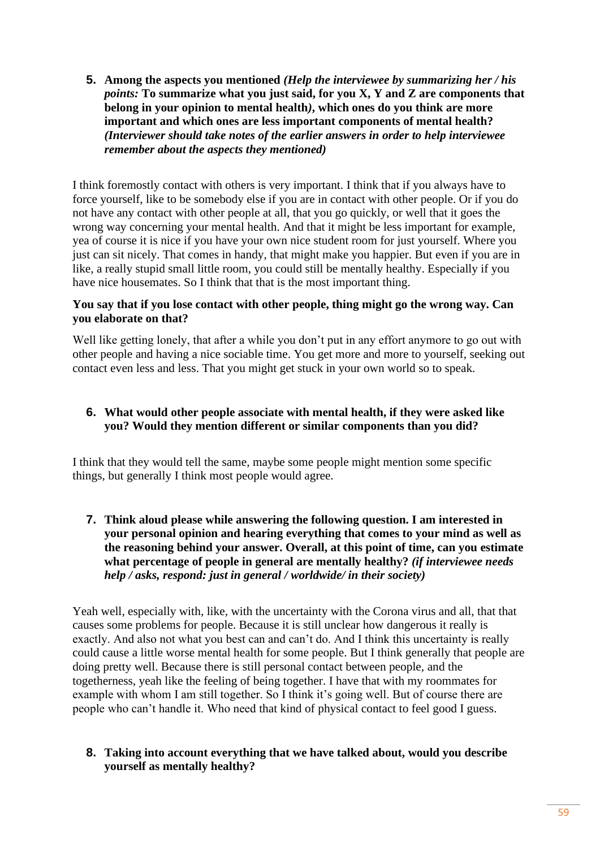**5. Among the aspects you mentioned** *(Help the interviewee by summarizing her / his points:* **To summarize what you just said, for you X, Y and Z are components that belong in your opinion to mental health***)***, which ones do you think are more important and which ones are less important components of mental health?**  *(Interviewer should take notes of the earlier answers in order to help interviewee remember about the aspects they mentioned)*

I think foremostly contact with others is very important. I think that if you always have to force yourself, like to be somebody else if you are in contact with other people. Or if you do not have any contact with other people at all, that you go quickly, or well that it goes the wrong way concerning your mental health. And that it might be less important for example, yea of course it is nice if you have your own nice student room for just yourself. Where you just can sit nicely. That comes in handy, that might make you happier. But even if you are in like, a really stupid small little room, you could still be mentally healthy. Especially if you have nice housemates. So I think that that is the most important thing.

## **You say that if you lose contact with other people, thing might go the wrong way. Can you elaborate on that?**

Well like getting lonely, that after a while you don't put in any effort anymore to go out with other people and having a nice sociable time. You get more and more to yourself, seeking out contact even less and less. That you might get stuck in your own world so to speak.

# **6. What would other people associate with mental health, if they were asked like you? Would they mention different or similar components than you did?**

I think that they would tell the same, maybe some people might mention some specific things, but generally I think most people would agree.

**7. Think aloud please while answering the following question. I am interested in your personal opinion and hearing everything that comes to your mind as well as the reasoning behind your answer. Overall, at this point of time, can you estimate what percentage of people in general are mentally healthy?** *(if interviewee needs help / asks, respond: just in general / worldwide/ in their society)*

Yeah well, especially with, like, with the uncertainty with the Corona virus and all, that that causes some problems for people. Because it is still unclear how dangerous it really is exactly. And also not what you best can and can't do. And I think this uncertainty is really could cause a little worse mental health for some people. But I think generally that people are doing pretty well. Because there is still personal contact between people, and the togetherness, yeah like the feeling of being together. I have that with my roommates for example with whom I am still together. So I think it's going well. But of course there are people who can't handle it. Who need that kind of physical contact to feel good I guess.

# **8. Taking into account everything that we have talked about, would you describe yourself as mentally healthy?**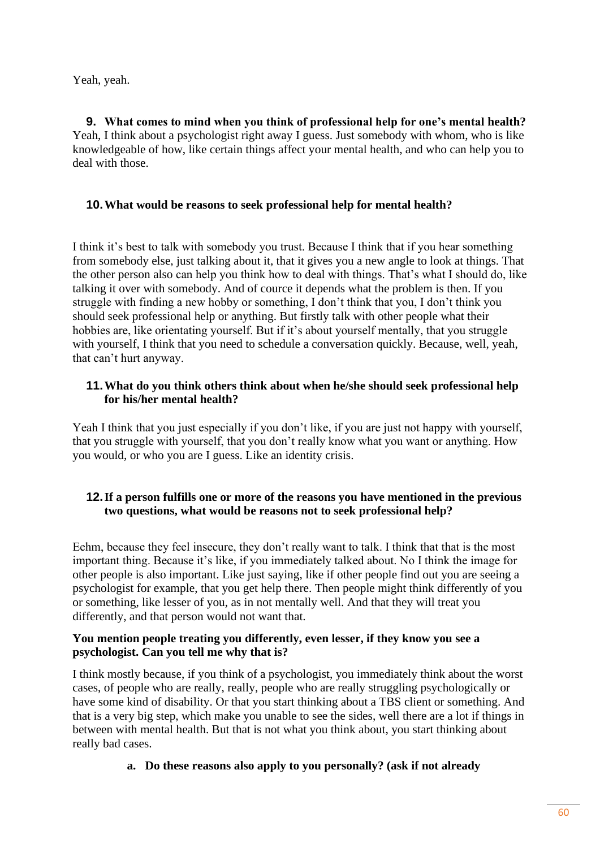Yeah, yeah.

**9. What comes to mind when you think of professional help for one's mental health?** Yeah, I think about a psychologist right away I guess. Just somebody with whom, who is like knowledgeable of how, like certain things affect your mental health, and who can help you to deal with those.

# **10.What would be reasons to seek professional help for mental health?**

I think it's best to talk with somebody you trust. Because I think that if you hear something from somebody else, just talking about it, that it gives you a new angle to look at things. That the other person also can help you think how to deal with things. That's what I should do, like talking it over with somebody. And of cource it depends what the problem is then. If you struggle with finding a new hobby or something, I don't think that you, I don't think you should seek professional help or anything. But firstly talk with other people what their hobbies are, like orientating yourself. But if it's about yourself mentally, that you struggle with yourself, I think that you need to schedule a conversation quickly. Because, well, yeah, that can't hurt anyway.

# **11.What do you think others think about when he/she should seek professional help for his/her mental health?**

Yeah I think that you just especially if you don't like, if you are just not happy with yourself, that you struggle with yourself, that you don't really know what you want or anything. How you would, or who you are I guess. Like an identity crisis.

# **12.If a person fulfills one or more of the reasons you have mentioned in the previous two questions, what would be reasons not to seek professional help?**

Eehm, because they feel insecure, they don't really want to talk. I think that that is the most important thing. Because it's like, if you immediately talked about. No I think the image for other people is also important. Like just saying, like if other people find out you are seeing a psychologist for example, that you get help there. Then people might think differently of you or something, like lesser of you, as in not mentally well. And that they will treat you differently, and that person would not want that.

## **You mention people treating you differently, even lesser, if they know you see a psychologist. Can you tell me why that is?**

I think mostly because, if you think of a psychologist, you immediately think about the worst cases, of people who are really, really, people who are really struggling psychologically or have some kind of disability. Or that you start thinking about a TBS client or something. And that is a very big step, which make you unable to see the sides, well there are a lot if things in between with mental health. But that is not what you think about, you start thinking about really bad cases.

**a. Do these reasons also apply to you personally? (ask if not already**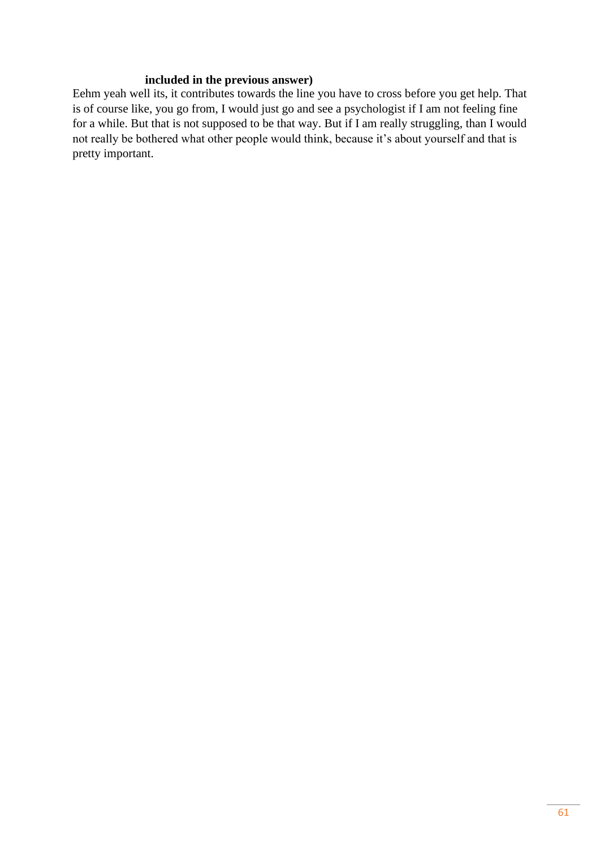# **included in the previous answer)**

Eehm yeah well its, it contributes towards the line you have to cross before you get help. That is of course like, you go from, I would just go and see a psychologist if I am not feeling fine for a while. But that is not supposed to be that way. But if I am really struggling, than I would not really be bothered what other people would think, because it's about yourself and that is pretty important.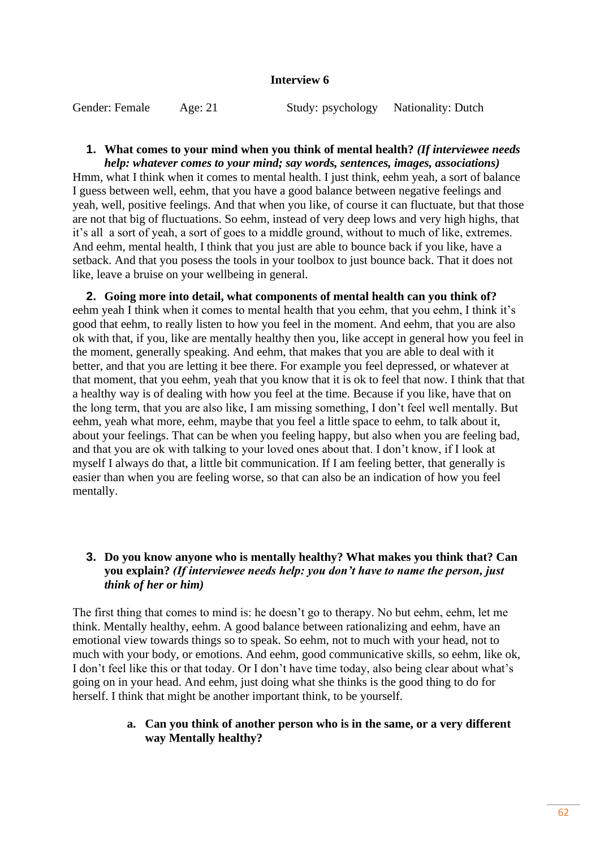#### **Interview 6**

Gender: Female Age: 21 Study: psychology Nationality: Dutch

#### **1. What comes to your mind when you think of mental health?** *(If interviewee needs help: whatever comes to your mind; say words, sentences, images, associations)*

Hmm, what I think when it comes to mental health. I just think, eehm yeah, a sort of balance I guess between well, eehm, that you have a good balance between negative feelings and yeah, well, positive feelings. And that when you like, of course it can fluctuate, but that those are not that big of fluctuations. So eehm, instead of very deep lows and very high highs, that it's all a sort of yeah, a sort of goes to a middle ground, without to much of like, extremes. And eehm, mental health, I think that you just are able to bounce back if you like, have a setback. And that you posess the tools in your toolbox to just bounce back. That it does not like, leave a bruise on your wellbeing in general.

**2. Going more into detail, what components of mental health can you think of?** eehm yeah I think when it comes to mental health that you eehm, that you eehm, I think it's good that eehm, to really listen to how you feel in the moment. And eehm, that you are also ok with that, if you, like are mentally healthy then you, like accept in general how you feel in the moment, generally speaking. And eehm, that makes that you are able to deal with it better, and that you are letting it bee there. For example you feel depressed, or whatever at that moment, that you eehm, yeah that you know that it is ok to feel that now. I think that that a healthy way is of dealing with how you feel at the time. Because if you like, have that on the long term, that you are also like, I am missing something, I don't feel well mentally. But eehm, yeah what more, eehm, maybe that you feel a little space to eehm, to talk about it, about your feelings. That can be when you feeling happy, but also when you are feeling bad, and that you are ok with talking to your loved ones about that. I don't know, if I look at myself I always do that, a little bit communication. If I am feeling better, that generally is easier than when you are feeling worse, so that can also be an indication of how you feel mentally.

# **3. Do you know anyone who is mentally healthy? What makes you think that? Can you explain?** *(If interviewee needs help: you don't have to name the person, just think of her or him)*

The first thing that comes to mind is: he doesn't go to therapy. No but eehm, eehm, let me think. Mentally healthy, eehm. A good balance between rationalizing and eehm, have an emotional view towards things so to speak. So eehm, not to much with your head, not to much with your body, or emotions. And eehm, good communicative skills, so eehm, like ok, I don't feel like this or that today. Or I don't have time today, also being clear about what's going on in your head. And eehm, just doing what she thinks is the good thing to do for herself. I think that might be another important think, to be yourself.

## **a. Can you think of another person who is in the same, or a very different way Mentally healthy?**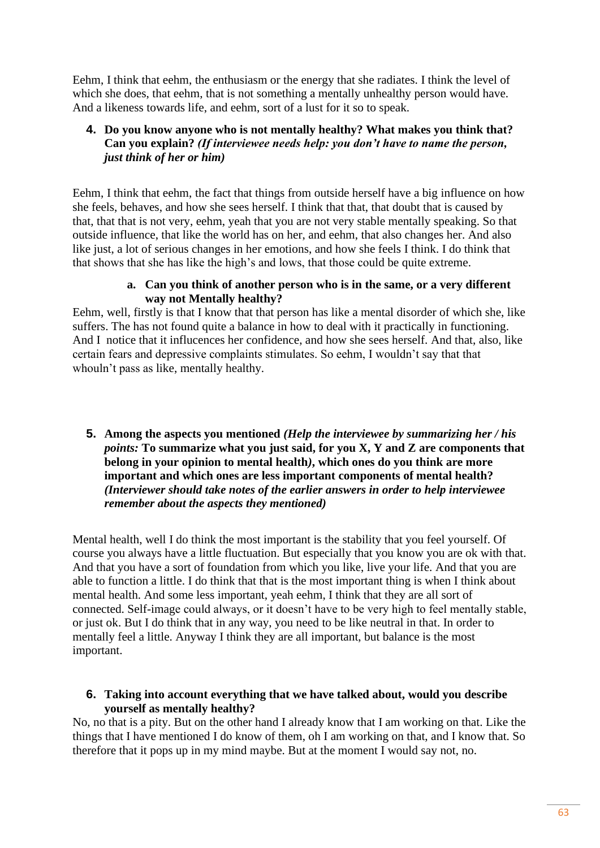Eehm, I think that eehm, the enthusiasm or the energy that she radiates. I think the level of which she does, that eehm, that is not something a mentally unhealthy person would have. And a likeness towards life, and eehm, sort of a lust for it so to speak.

# **4. Do you know anyone who is not mentally healthy? What makes you think that? Can you explain?** *(If interviewee needs help: you don't have to name the person, just think of her or him)*

Eehm, I think that eehm, the fact that things from outside herself have a big influence on how she feels, behaves, and how she sees herself. I think that that, that doubt that is caused by that, that that is not very, eehm, yeah that you are not very stable mentally speaking. So that outside influence, that like the world has on her, and eehm, that also changes her. And also like just, a lot of serious changes in her emotions, and how she feels I think. I do think that that shows that she has like the high's and lows, that those could be quite extreme.

## **a. Can you think of another person who is in the same, or a very different way not Mentally healthy?**

Eehm, well, firstly is that I know that that person has like a mental disorder of which she, like suffers. The has not found quite a balance in how to deal with it practically in functioning. And I notice that it influcences her confidence, and how she sees herself. And that, also, like certain fears and depressive complaints stimulates. So eehm, I wouldn't say that that whouln't pass as like, mentally healthy.

**5. Among the aspects you mentioned** *(Help the interviewee by summarizing her / his points:* **To summarize what you just said, for you X, Y and Z are components that belong in your opinion to mental health***)***, which ones do you think are more important and which ones are less important components of mental health?**  *(Interviewer should take notes of the earlier answers in order to help interviewee remember about the aspects they mentioned)*

Mental health, well I do think the most important is the stability that you feel yourself. Of course you always have a little fluctuation. But especially that you know you are ok with that. And that you have a sort of foundation from which you like, live your life. And that you are able to function a little. I do think that that is the most important thing is when I think about mental health. And some less important, yeah eehm, I think that they are all sort of connected. Self-image could always, or it doesn't have to be very high to feel mentally stable, or just ok. But I do think that in any way, you need to be like neutral in that. In order to mentally feel a little. Anyway I think they are all important, but balance is the most important.

## **6. Taking into account everything that we have talked about, would you describe yourself as mentally healthy?**

No, no that is a pity. But on the other hand I already know that I am working on that. Like the things that I have mentioned I do know of them, oh I am working on that, and I know that. So therefore that it pops up in my mind maybe. But at the moment I would say not, no.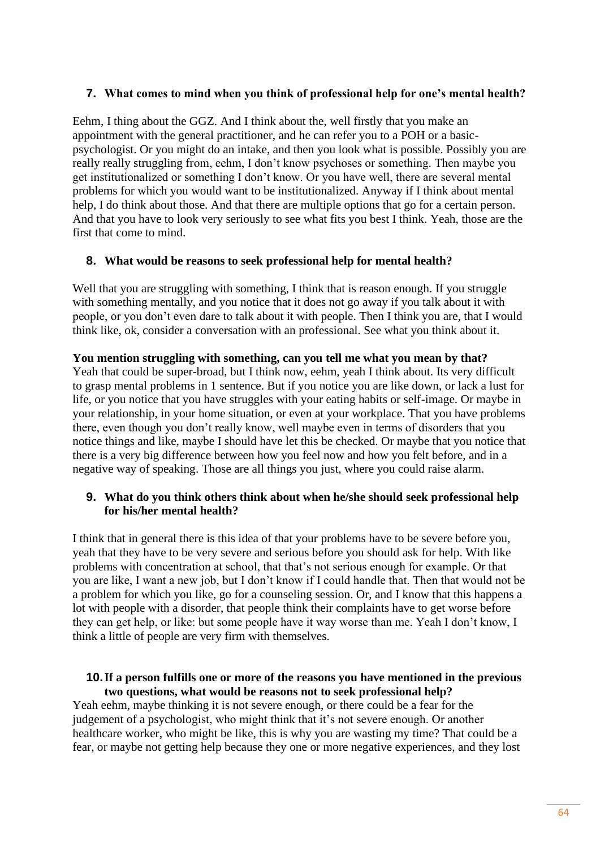## **7. What comes to mind when you think of professional help for one's mental health?**

Eehm, I thing about the GGZ. And I think about the, well firstly that you make an appointment with the general practitioner, and he can refer you to a POH or a basicpsychologist. Or you might do an intake, and then you look what is possible. Possibly you are really really struggling from, eehm, I don't know psychoses or something. Then maybe you get institutionalized or something I don't know. Or you have well, there are several mental problems for which you would want to be institutionalized. Anyway if I think about mental help, I do think about those. And that there are multiple options that go for a certain person. And that you have to look very seriously to see what fits you best I think. Yeah, those are the first that come to mind.

## **8. What would be reasons to seek professional help for mental health?**

Well that you are struggling with something, I think that is reason enough. If you struggle with something mentally, and you notice that it does not go away if you talk about it with people, or you don't even dare to talk about it with people. Then I think you are, that I would think like, ok, consider a conversation with an professional. See what you think about it.

#### **You mention struggling with something, can you tell me what you mean by that?**

Yeah that could be super-broad, but I think now, eehm, yeah I think about. Its very difficult to grasp mental problems in 1 sentence. But if you notice you are like down, or lack a lust for life, or you notice that you have struggles with your eating habits or self-image. Or maybe in your relationship, in your home situation, or even at your workplace. That you have problems there, even though you don't really know, well maybe even in terms of disorders that you notice things and like, maybe I should have let this be checked. Or maybe that you notice that there is a very big difference between how you feel now and how you felt before, and in a negative way of speaking. Those are all things you just, where you could raise alarm.

## **9. What do you think others think about when he/she should seek professional help for his/her mental health?**

I think that in general there is this idea of that your problems have to be severe before you, yeah that they have to be very severe and serious before you should ask for help. With like problems with concentration at school, that that's not serious enough for example. Or that you are like, I want a new job, but I don't know if I could handle that. Then that would not be a problem for which you like, go for a counseling session. Or, and I know that this happens a lot with people with a disorder, that people think their complaints have to get worse before they can get help, or like: but some people have it way worse than me. Yeah I don't know, I think a little of people are very firm with themselves.

## **10.If a person fulfills one or more of the reasons you have mentioned in the previous two questions, what would be reasons not to seek professional help?**

Yeah eehm, maybe thinking it is not severe enough, or there could be a fear for the judgement of a psychologist, who might think that it's not severe enough. Or another healthcare worker, who might be like, this is why you are wasting my time? That could be a fear, or maybe not getting help because they one or more negative experiences, and they lost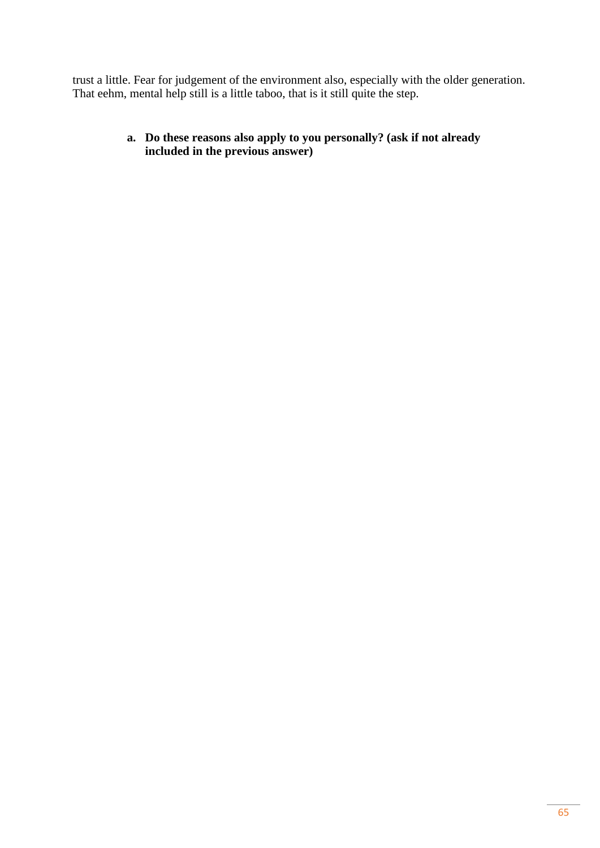trust a little. Fear for judgement of the environment also, especially with the older generation. That eehm, mental help still is a little taboo, that is it still quite the step.

> **a. Do these reasons also apply to you personally? (ask if not already included in the previous answer)**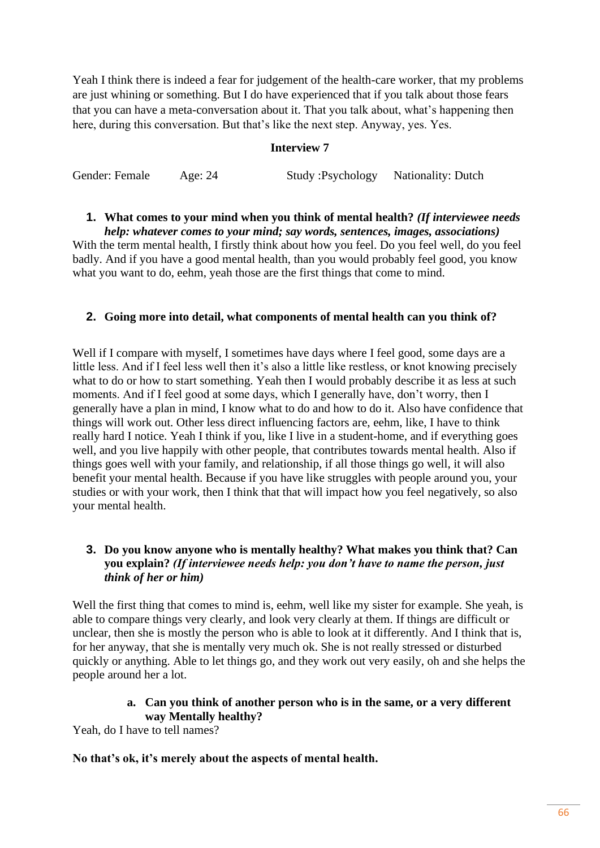Yeah I think there is indeed a fear for judgement of the health-care worker, that my problems are just whining or something. But I do have experienced that if you talk about those fears that you can have a meta-conversation about it. That you talk about, what's happening then here, during this conversation. But that's like the next step. Anyway, yes. Yes.

#### **Interview 7**

Gender: Female Age: 24 Study :Psychology Nationality: Dutch

# **1. What comes to your mind when you think of mental health?** *(If interviewee needs*

*help: whatever comes to your mind; say words, sentences, images, associations)* With the term mental health, I firstly think about how you feel. Do you feel well, do you feel badly. And if you have a good mental health, than you would probably feel good, you know what you want to do, eehm, yeah those are the first things that come to mind.

## **2. Going more into detail, what components of mental health can you think of?**

Well if I compare with myself, I sometimes have days where I feel good, some days are a little less. And if I feel less well then it's also a little like restless, or knot knowing precisely what to do or how to start something. Yeah then I would probably describe it as less at such moments. And if I feel good at some days, which I generally have, don't worry, then I generally have a plan in mind, I know what to do and how to do it. Also have confidence that things will work out. Other less direct influencing factors are, eehm, like, I have to think really hard I notice. Yeah I think if you, like I live in a student-home, and if everything goes well, and you live happily with other people, that contributes towards mental health. Also if things goes well with your family, and relationship, if all those things go well, it will also benefit your mental health. Because if you have like struggles with people around you, your studies or with your work, then I think that that will impact how you feel negatively, so also your mental health.

## **3. Do you know anyone who is mentally healthy? What makes you think that? Can you explain?** *(If interviewee needs help: you don't have to name the person, just think of her or him)*

Well the first thing that comes to mind is, eehm, well like my sister for example. She yeah, is able to compare things very clearly, and look very clearly at them. If things are difficult or unclear, then she is mostly the person who is able to look at it differently. And I think that is, for her anyway, that she is mentally very much ok. She is not really stressed or disturbed quickly or anything. Able to let things go, and they work out very easily, oh and she helps the people around her a lot.

## **a. Can you think of another person who is in the same, or a very different way Mentally healthy?**

Yeah, do I have to tell names?

#### **No that's ok, it's merely about the aspects of mental health.**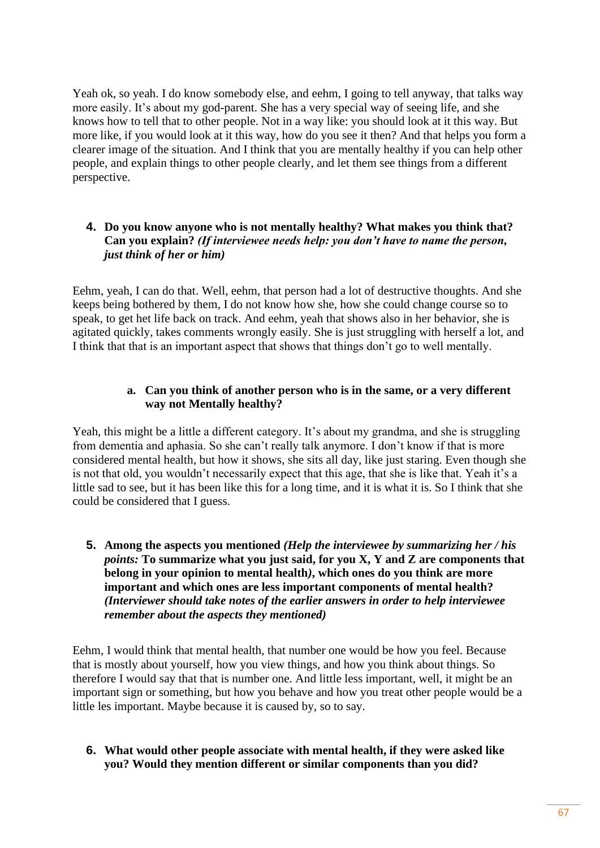Yeah ok, so yeah. I do know somebody else, and eehm, I going to tell anyway, that talks way more easily. It's about my god-parent. She has a very special way of seeing life, and she knows how to tell that to other people. Not in a way like: you should look at it this way. But more like, if you would look at it this way, how do you see it then? And that helps you form a clearer image of the situation. And I think that you are mentally healthy if you can help other people, and explain things to other people clearly, and let them see things from a different perspective.

# **4. Do you know anyone who is not mentally healthy? What makes you think that? Can you explain?** *(If interviewee needs help: you don't have to name the person, just think of her or him)*

Eehm, yeah, I can do that. Well, eehm, that person had a lot of destructive thoughts. And she keeps being bothered by them, I do not know how she, how she could change course so to speak, to get het life back on track. And eehm, yeah that shows also in her behavior, she is agitated quickly, takes comments wrongly easily. She is just struggling with herself a lot, and I think that that is an important aspect that shows that things don't go to well mentally.

## **a. Can you think of another person who is in the same, or a very different way not Mentally healthy?**

Yeah, this might be a little a different category. It's about my grandma, and she is struggling from dementia and aphasia. So she can't really talk anymore. I don't know if that is more considered mental health, but how it shows, she sits all day, like just staring. Even though she is not that old, you wouldn't necessarily expect that this age, that she is like that. Yeah it's a little sad to see, but it has been like this for a long time, and it is what it is. So I think that she could be considered that I guess.

**5. Among the aspects you mentioned** *(Help the interviewee by summarizing her / his points:* **To summarize what you just said, for you X, Y and Z are components that belong in your opinion to mental health***)***, which ones do you think are more important and which ones are less important components of mental health?**  *(Interviewer should take notes of the earlier answers in order to help interviewee remember about the aspects they mentioned)*

Eehm, I would think that mental health, that number one would be how you feel. Because that is mostly about yourself, how you view things, and how you think about things. So therefore I would say that that is number one. And little less important, well, it might be an important sign or something, but how you behave and how you treat other people would be a little les important. Maybe because it is caused by, so to say.

## **6. What would other people associate with mental health, if they were asked like you? Would they mention different or similar components than you did?**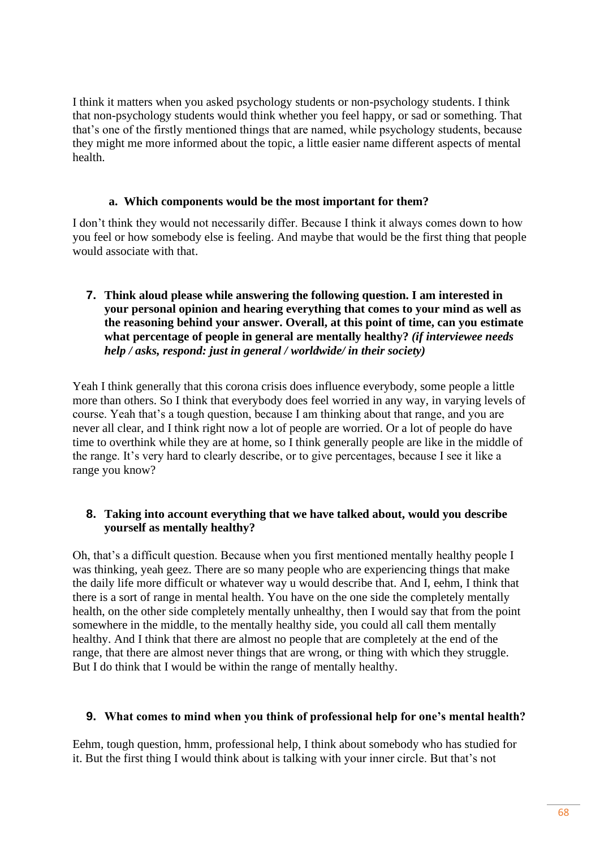I think it matters when you asked psychology students or non-psychology students. I think that non-psychology students would think whether you feel happy, or sad or something. That that's one of the firstly mentioned things that are named, while psychology students, because they might me more informed about the topic, a little easier name different aspects of mental health.

#### **a. Which components would be the most important for them?**

I don't think they would not necessarily differ. Because I think it always comes down to how you feel or how somebody else is feeling. And maybe that would be the first thing that people would associate with that.

## **7. Think aloud please while answering the following question. I am interested in your personal opinion and hearing everything that comes to your mind as well as the reasoning behind your answer. Overall, at this point of time, can you estimate what percentage of people in general are mentally healthy?** *(if interviewee needs help / asks, respond: just in general / worldwide/ in their society)*

Yeah I think generally that this corona crisis does influence everybody, some people a little more than others. So I think that everybody does feel worried in any way, in varying levels of course. Yeah that's a tough question, because I am thinking about that range, and you are never all clear, and I think right now a lot of people are worried. Or a lot of people do have time to overthink while they are at home, so I think generally people are like in the middle of the range. It's very hard to clearly describe, or to give percentages, because I see it like a range you know?

## **8. Taking into account everything that we have talked about, would you describe yourself as mentally healthy?**

Oh, that's a difficult question. Because when you first mentioned mentally healthy people I was thinking, yeah geez. There are so many people who are experiencing things that make the daily life more difficult or whatever way u would describe that. And I, eehm, I think that there is a sort of range in mental health. You have on the one side the completely mentally health, on the other side completely mentally unhealthy, then I would say that from the point somewhere in the middle, to the mentally healthy side, you could all call them mentally healthy. And I think that there are almost no people that are completely at the end of the range, that there are almost never things that are wrong, or thing with which they struggle. But I do think that I would be within the range of mentally healthy.

#### **9. What comes to mind when you think of professional help for one's mental health?**

Eehm, tough question, hmm, professional help, I think about somebody who has studied for it. But the first thing I would think about is talking with your inner circle. But that's not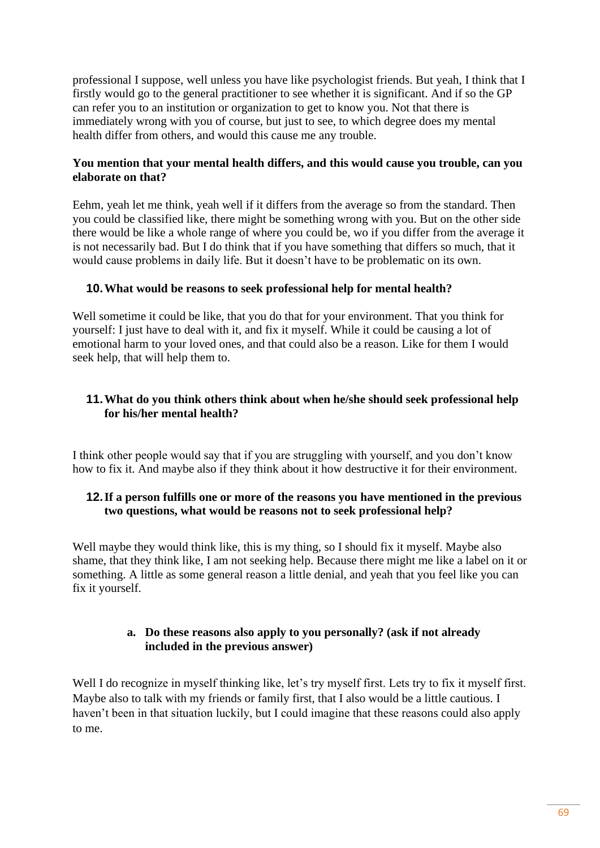professional I suppose, well unless you have like psychologist friends. But yeah, I think that I firstly would go to the general practitioner to see whether it is significant. And if so the GP can refer you to an institution or organization to get to know you. Not that there is immediately wrong with you of course, but just to see, to which degree does my mental health differ from others, and would this cause me any trouble.

# **You mention that your mental health differs, and this would cause you trouble, can you elaborate on that?**

Eehm, yeah let me think, yeah well if it differs from the average so from the standard. Then you could be classified like, there might be something wrong with you. But on the other side there would be like a whole range of where you could be, wo if you differ from the average it is not necessarily bad. But I do think that if you have something that differs so much, that it would cause problems in daily life. But it doesn't have to be problematic on its own.

# **10.What would be reasons to seek professional help for mental health?**

Well sometime it could be like, that you do that for your environment. That you think for yourself: I just have to deal with it, and fix it myself. While it could be causing a lot of emotional harm to your loved ones, and that could also be a reason. Like for them I would seek help, that will help them to.

# **11.What do you think others think about when he/she should seek professional help for his/her mental health?**

I think other people would say that if you are struggling with yourself, and you don't know how to fix it. And maybe also if they think about it how destructive it for their environment.

# **12.If a person fulfills one or more of the reasons you have mentioned in the previous two questions, what would be reasons not to seek professional help?**

Well maybe they would think like, this is my thing, so I should fix it myself. Maybe also shame, that they think like, I am not seeking help. Because there might me like a label on it or something. A little as some general reason a little denial, and yeah that you feel like you can fix it yourself.

## **a. Do these reasons also apply to you personally? (ask if not already included in the previous answer)**

Well I do recognize in myself thinking like, let's try myself first. Lets try to fix it myself first. Maybe also to talk with my friends or family first, that I also would be a little cautious. I haven't been in that situation luckily, but I could imagine that these reasons could also apply to me.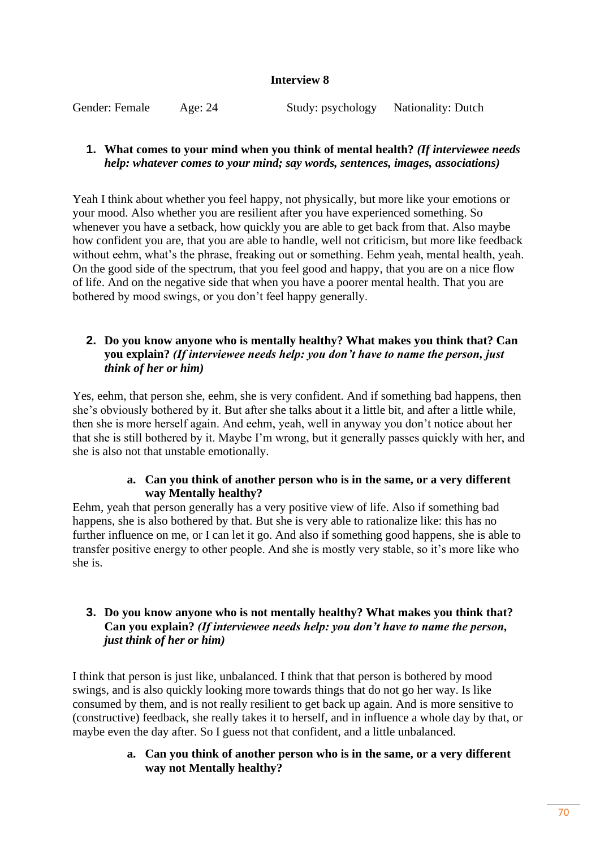## **Interview 8**

Gender: Female Age: 24 Study: psychology Nationality: Dutch

## **1. What comes to your mind when you think of mental health?** *(If interviewee needs help: whatever comes to your mind; say words, sentences, images, associations)*

Yeah I think about whether you feel happy, not physically, but more like your emotions or your mood. Also whether you are resilient after you have experienced something. So whenever you have a setback, how quickly you are able to get back from that. Also maybe how confident you are, that you are able to handle, well not criticism, but more like feedback without eehm, what's the phrase, freaking out or something. Eehm yeah, mental health, yeah. On the good side of the spectrum, that you feel good and happy, that you are on a nice flow of life. And on the negative side that when you have a poorer mental health. That you are bothered by mood swings, or you don't feel happy generally.

# **2. Do you know anyone who is mentally healthy? What makes you think that? Can you explain?** *(If interviewee needs help: you don't have to name the person, just think of her or him)*

Yes, eehm, that person she, eehm, she is very confident. And if something bad happens, then she's obviously bothered by it. But after she talks about it a little bit, and after a little while, then she is more herself again. And eehm, yeah, well in anyway you don't notice about her that she is still bothered by it. Maybe I'm wrong, but it generally passes quickly with her, and she is also not that unstable emotionally.

## **a. Can you think of another person who is in the same, or a very different way Mentally healthy?**

Eehm, yeah that person generally has a very positive view of life. Also if something bad happens, she is also bothered by that. But she is very able to rationalize like: this has no further influence on me, or I can let it go. And also if something good happens, she is able to transfer positive energy to other people. And she is mostly very stable, so it's more like who she is.

## **3. Do you know anyone who is not mentally healthy? What makes you think that? Can you explain?** *(If interviewee needs help: you don't have to name the person, just think of her or him)*

I think that person is just like, unbalanced. I think that that person is bothered by mood swings, and is also quickly looking more towards things that do not go her way. Is like consumed by them, and is not really resilient to get back up again. And is more sensitive to (constructive) feedback, she really takes it to herself, and in influence a whole day by that, or maybe even the day after. So I guess not that confident, and a little unbalanced.

## **a. Can you think of another person who is in the same, or a very different way not Mentally healthy?**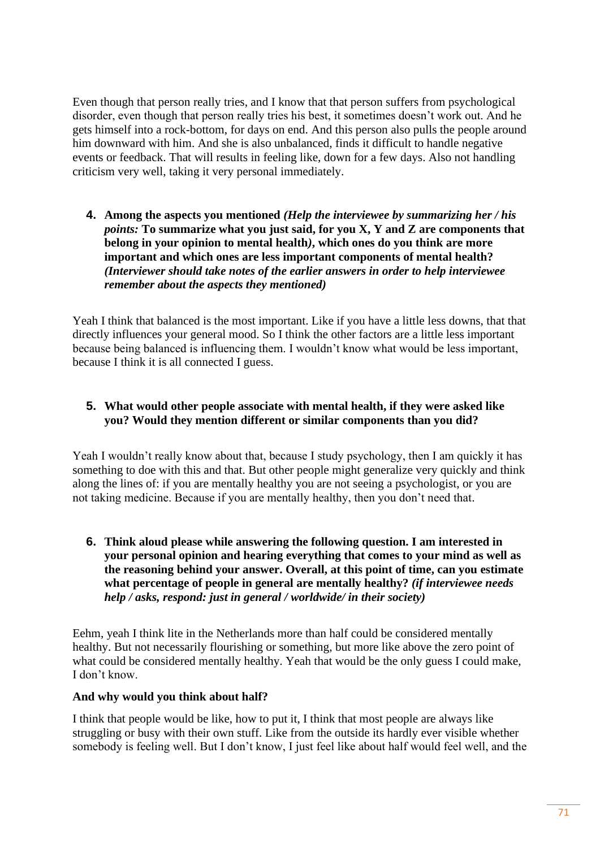Even though that person really tries, and I know that that person suffers from psychological disorder, even though that person really tries his best, it sometimes doesn't work out. And he gets himself into a rock-bottom, for days on end. And this person also pulls the people around him downward with him. And she is also unbalanced, finds it difficult to handle negative events or feedback. That will results in feeling like, down for a few days. Also not handling criticism very well, taking it very personal immediately.

**4. Among the aspects you mentioned** *(Help the interviewee by summarizing her / his points:* **To summarize what you just said, for you X, Y and Z are components that belong in your opinion to mental health***)***, which ones do you think are more important and which ones are less important components of mental health?**  *(Interviewer should take notes of the earlier answers in order to help interviewee remember about the aspects they mentioned)*

Yeah I think that balanced is the most important. Like if you have a little less downs, that that directly influences your general mood. So I think the other factors are a little less important because being balanced is influencing them. I wouldn't know what would be less important, because I think it is all connected I guess.

# **5. What would other people associate with mental health, if they were asked like you? Would they mention different or similar components than you did?**

Yeah I wouldn't really know about that, because I study psychology, then I am quickly it has something to doe with this and that. But other people might generalize very quickly and think along the lines of: if you are mentally healthy you are not seeing a psychologist, or you are not taking medicine. Because if you are mentally healthy, then you don't need that.

**6. Think aloud please while answering the following question. I am interested in your personal opinion and hearing everything that comes to your mind as well as the reasoning behind your answer. Overall, at this point of time, can you estimate what percentage of people in general are mentally healthy?** *(if interviewee needs help / asks, respond: just in general / worldwide/ in their society)*

Eehm, yeah I think lite in the Netherlands more than half could be considered mentally healthy. But not necessarily flourishing or something, but more like above the zero point of what could be considered mentally healthy. Yeah that would be the only guess I could make, I don't know.

# **And why would you think about half?**

I think that people would be like, how to put it, I think that most people are always like struggling or busy with their own stuff. Like from the outside its hardly ever visible whether somebody is feeling well. But I don't know, I just feel like about half would feel well, and the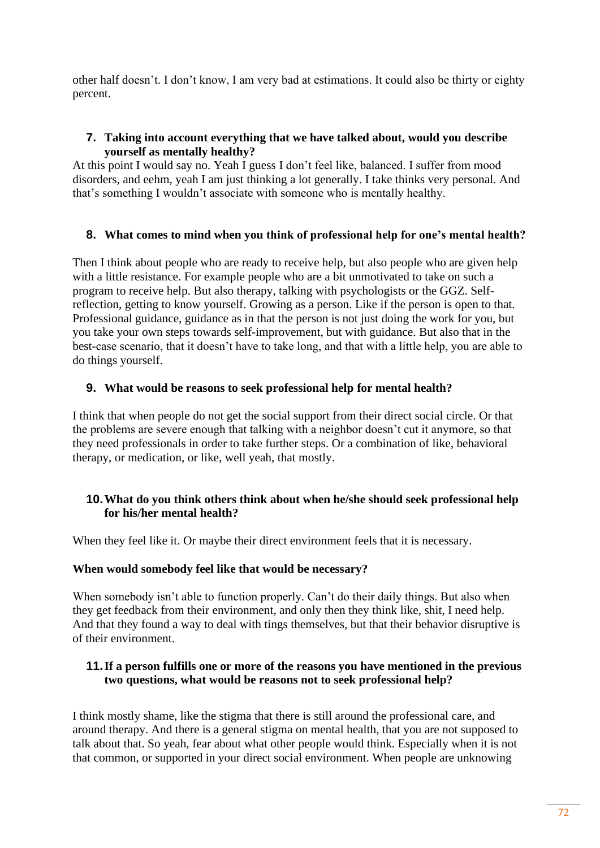other half doesn't. I don't know, I am very bad at estimations. It could also be thirty or eighty percent.

## **7. Taking into account everything that we have talked about, would you describe yourself as mentally healthy?**

At this point I would say no. Yeah I guess I don't feel like, balanced. I suffer from mood disorders, and eehm, yeah I am just thinking a lot generally. I take thinks very personal. And that's something I wouldn't associate with someone who is mentally healthy.

# **8. What comes to mind when you think of professional help for one's mental health?**

Then I think about people who are ready to receive help, but also people who are given help with a little resistance. For example people who are a bit unmotivated to take on such a program to receive help. But also therapy, talking with psychologists or the GGZ. Selfreflection, getting to know yourself. Growing as a person. Like if the person is open to that. Professional guidance, guidance as in that the person is not just doing the work for you, but you take your own steps towards self-improvement, but with guidance. But also that in the best-case scenario, that it doesn't have to take long, and that with a little help, you are able to do things yourself.

# **9. What would be reasons to seek professional help for mental health?**

I think that when people do not get the social support from their direct social circle. Or that the problems are severe enough that talking with a neighbor doesn't cut it anymore, so that they need professionals in order to take further steps. Or a combination of like, behavioral therapy, or medication, or like, well yeah, that mostly.

# **10.What do you think others think about when he/she should seek professional help for his/her mental health?**

When they feel like it. Or maybe their direct environment feels that it is necessary.

#### **When would somebody feel like that would be necessary?**

When somebody isn't able to function properly. Can't do their daily things. But also when they get feedback from their environment, and only then they think like, shit, I need help. And that they found a way to deal with tings themselves, but that their behavior disruptive is of their environment.

## **11.If a person fulfills one or more of the reasons you have mentioned in the previous two questions, what would be reasons not to seek professional help?**

I think mostly shame, like the stigma that there is still around the professional care, and around therapy. And there is a general stigma on mental health, that you are not supposed to talk about that. So yeah, fear about what other people would think. Especially when it is not that common, or supported in your direct social environment. When people are unknowing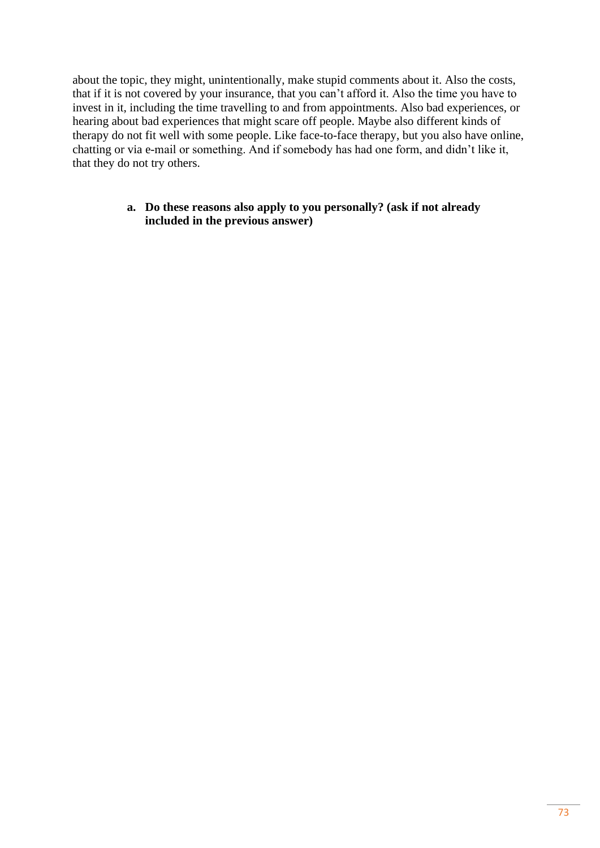about the topic, they might, unintentionally, make stupid comments about it. Also the costs, that if it is not covered by your insurance, that you can't afford it. Also the time you have to invest in it, including the time travelling to and from appointments. Also bad experiences, or hearing about bad experiences that might scare off people. Maybe also different kinds of therapy do not fit well with some people. Like face-to-face therapy, but you also have online, chatting or via e-mail or something. And if somebody has had one form, and didn't like it, that they do not try others.

#### **a. Do these reasons also apply to you personally? (ask if not already included in the previous answer)**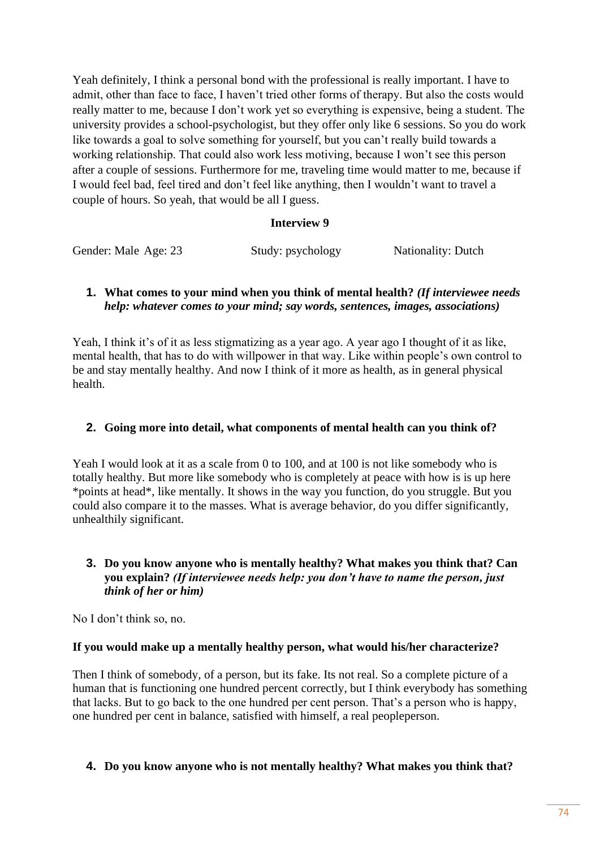Yeah definitely, I think a personal bond with the professional is really important. I have to admit, other than face to face, I haven't tried other forms of therapy. But also the costs would really matter to me, because I don't work yet so everything is expensive, being a student. The university provides a school-psychologist, but they offer only like 6 sessions. So you do work like towards a goal to solve something for yourself, but you can't really build towards a working relationship. That could also work less motiving, because I won't see this person after a couple of sessions. Furthermore for me, traveling time would matter to me, because if I would feel bad, feel tired and don't feel like anything, then I wouldn't want to travel a couple of hours. So yeah, that would be all I guess.

#### **Interview 9**

| Gender: Male Age: 23 | Study: psychology | <b>Nationality: Dutch</b> |
|----------------------|-------------------|---------------------------|

#### **1. What comes to your mind when you think of mental health?** *(If interviewee needs help: whatever comes to your mind; say words, sentences, images, associations)*

Yeah, I think it's of it as less stigmatizing as a year ago. A year ago I thought of it as like, mental health, that has to do with willpower in that way. Like within people's own control to be and stay mentally healthy. And now I think of it more as health, as in general physical health.

## **2. Going more into detail, what components of mental health can you think of?**

Yeah I would look at it as a scale from 0 to 100, and at 100 is not like somebody who is totally healthy. But more like somebody who is completely at peace with how is is up here \*points at head\*, like mentally. It shows in the way you function, do you struggle. But you could also compare it to the masses. What is average behavior, do you differ significantly, unhealthily significant.

## **3. Do you know anyone who is mentally healthy? What makes you think that? Can you explain?** *(If interviewee needs help: you don't have to name the person, just think of her or him)*

No I don't think so, no.

## **If you would make up a mentally healthy person, what would his/her characterize?**

Then I think of somebody, of a person, but its fake. Its not real. So a complete picture of a human that is functioning one hundred percent correctly, but I think everybody has something that lacks. But to go back to the one hundred per cent person. That's a person who is happy, one hundred per cent in balance, satisfied with himself, a real peopleperson.

## **4. Do you know anyone who is not mentally healthy? What makes you think that?**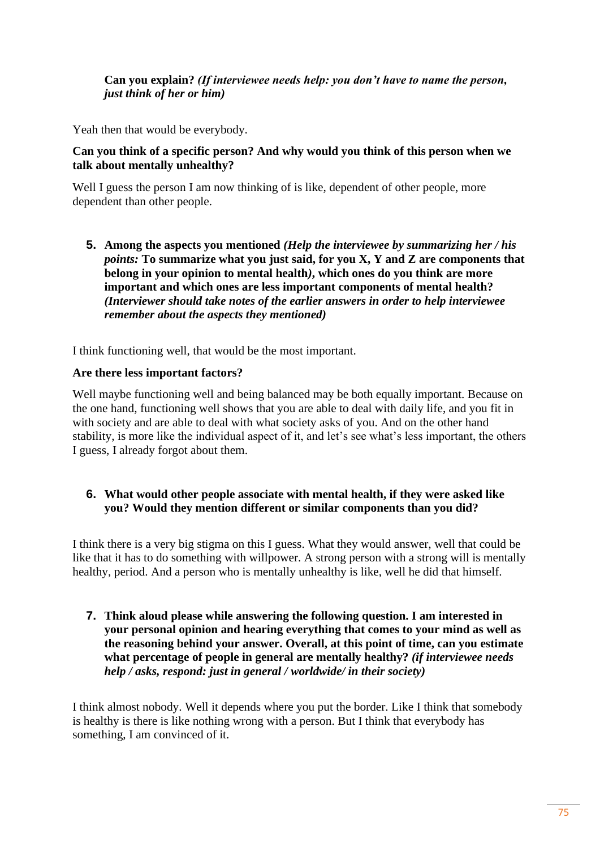#### **Can you explain?** *(If interviewee needs help: you don't have to name the person, just think of her or him)*

Yeah then that would be everybody.

#### **Can you think of a specific person? And why would you think of this person when we talk about mentally unhealthy?**

Well I guess the person I am now thinking of is like, dependent of other people, more dependent than other people.

**5. Among the aspects you mentioned** *(Help the interviewee by summarizing her / his points:* **To summarize what you just said, for you X, Y and Z are components that belong in your opinion to mental health***)***, which ones do you think are more important and which ones are less important components of mental health?**  *(Interviewer should take notes of the earlier answers in order to help interviewee remember about the aspects they mentioned)*

I think functioning well, that would be the most important.

#### **Are there less important factors?**

Well maybe functioning well and being balanced may be both equally important. Because on the one hand, functioning well shows that you are able to deal with daily life, and you fit in with society and are able to deal with what society asks of you. And on the other hand stability, is more like the individual aspect of it, and let's see what's less important, the others I guess, I already forgot about them.

## **6. What would other people associate with mental health, if they were asked like you? Would they mention different or similar components than you did?**

I think there is a very big stigma on this I guess. What they would answer, well that could be like that it has to do something with willpower. A strong person with a strong will is mentally healthy, period. And a person who is mentally unhealthy is like, well he did that himself.

**7. Think aloud please while answering the following question. I am interested in your personal opinion and hearing everything that comes to your mind as well as the reasoning behind your answer. Overall, at this point of time, can you estimate what percentage of people in general are mentally healthy?** *(if interviewee needs help / asks, respond: just in general / worldwide/ in their society)*

I think almost nobody. Well it depends where you put the border. Like I think that somebody is healthy is there is like nothing wrong with a person. But I think that everybody has something, I am convinced of it.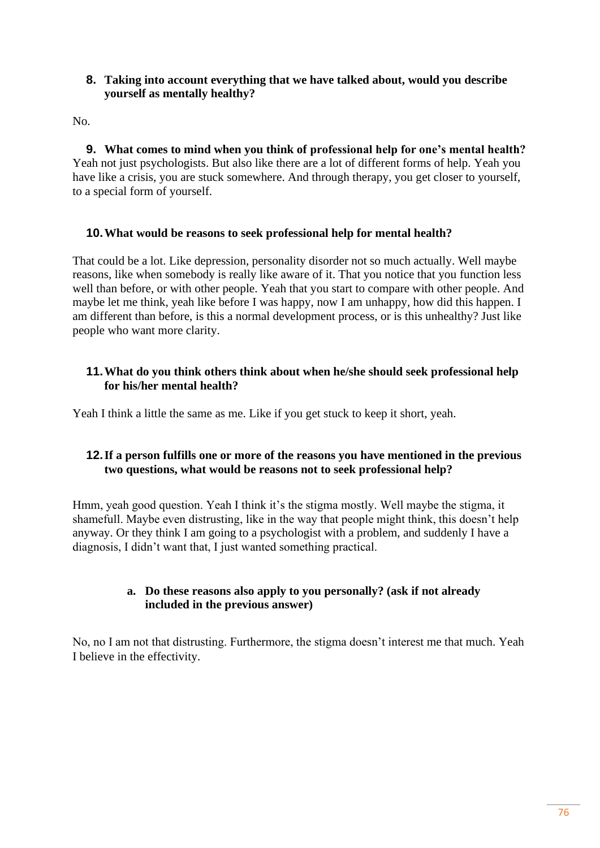#### **8. Taking into account everything that we have talked about, would you describe yourself as mentally healthy?**

No.

**9. What comes to mind when you think of professional help for one's mental health?** Yeah not just psychologists. But also like there are a lot of different forms of help. Yeah you have like a crisis, you are stuck somewhere. And through therapy, you get closer to yourself, to a special form of yourself.

# **10.What would be reasons to seek professional help for mental health?**

That could be a lot. Like depression, personality disorder not so much actually. Well maybe reasons, like when somebody is really like aware of it. That you notice that you function less well than before, or with other people. Yeah that you start to compare with other people. And maybe let me think, yeah like before I was happy, now I am unhappy, how did this happen. I am different than before, is this a normal development process, or is this unhealthy? Just like people who want more clarity.

#### **11.What do you think others think about when he/she should seek professional help for his/her mental health?**

Yeah I think a little the same as me. Like if you get stuck to keep it short, yeah.

# **12.If a person fulfills one or more of the reasons you have mentioned in the previous two questions, what would be reasons not to seek professional help?**

Hmm, yeah good question. Yeah I think it's the stigma mostly. Well maybe the stigma, it shamefull. Maybe even distrusting, like in the way that people might think, this doesn't help anyway. Or they think I am going to a psychologist with a problem, and suddenly I have a diagnosis, I didn't want that, I just wanted something practical.

#### **a. Do these reasons also apply to you personally? (ask if not already included in the previous answer)**

No, no I am not that distrusting. Furthermore, the stigma doesn't interest me that much. Yeah I believe in the effectivity.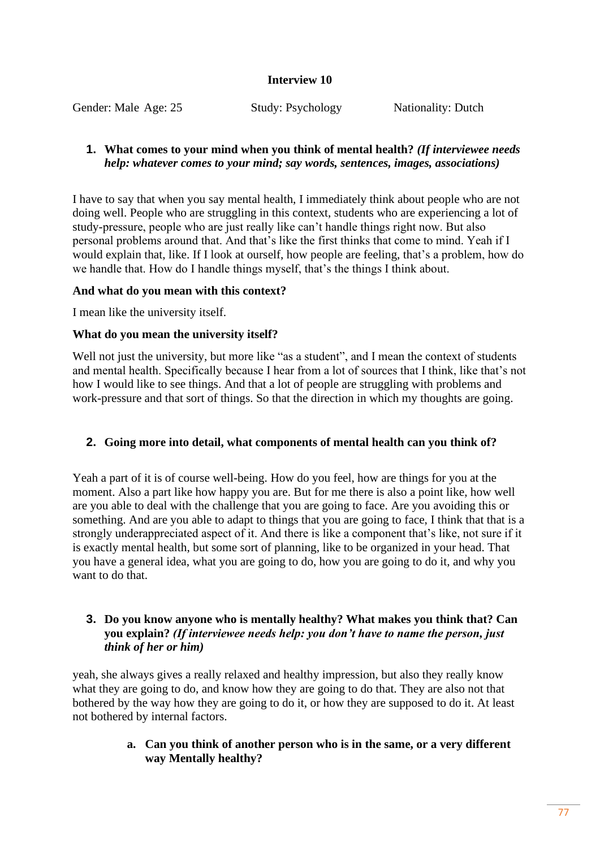## **Interview 10**

Gender: Male Age: 25 Study: Psychology Nationality: Dutch

## **1. What comes to your mind when you think of mental health?** *(If interviewee needs help: whatever comes to your mind; say words, sentences, images, associations)*

I have to say that when you say mental health, I immediately think about people who are not doing well. People who are struggling in this context, students who are experiencing a lot of study-pressure, people who are just really like can't handle things right now. But also personal problems around that. And that's like the first thinks that come to mind. Yeah if I would explain that, like. If I look at ourself, how people are feeling, that's a problem, how do we handle that. How do I handle things myself, that's the things I think about.

#### **And what do you mean with this context?**

I mean like the university itself.

## **What do you mean the university itself?**

Well not just the university, but more like "as a student", and I mean the context of students and mental health. Specifically because I hear from a lot of sources that I think, like that's not how I would like to see things. And that a lot of people are struggling with problems and work-pressure and that sort of things. So that the direction in which my thoughts are going.

## **2. Going more into detail, what components of mental health can you think of?**

Yeah a part of it is of course well-being. How do you feel, how are things for you at the moment. Also a part like how happy you are. But for me there is also a point like, how well are you able to deal with the challenge that you are going to face. Are you avoiding this or something. And are you able to adapt to things that you are going to face, I think that that is a strongly underappreciated aspect of it. And there is like a component that's like, not sure if it is exactly mental health, but some sort of planning, like to be organized in your head. That you have a general idea, what you are going to do, how you are going to do it, and why you want to do that.

#### **3. Do you know anyone who is mentally healthy? What makes you think that? Can you explain?** *(If interviewee needs help: you don't have to name the person, just think of her or him)*

yeah, she always gives a really relaxed and healthy impression, but also they really know what they are going to do, and know how they are going to do that. They are also not that bothered by the way how they are going to do it, or how they are supposed to do it. At least not bothered by internal factors.

#### **a. Can you think of another person who is in the same, or a very different way Mentally healthy?**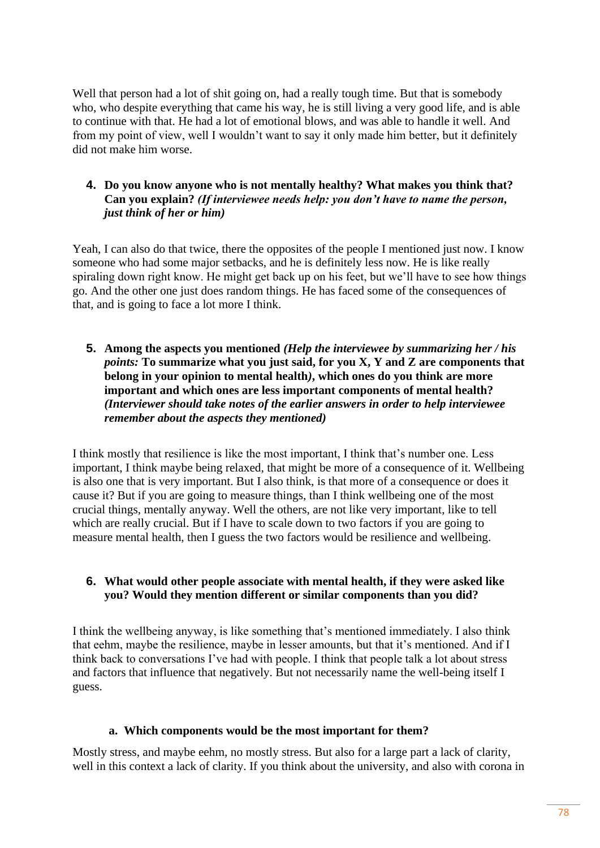Well that person had a lot of shit going on, had a really tough time. But that is somebody who, who despite everything that came his way, he is still living a very good life, and is able to continue with that. He had a lot of emotional blows, and was able to handle it well. And from my point of view, well I wouldn't want to say it only made him better, but it definitely did not make him worse.

#### **4. Do you know anyone who is not mentally healthy? What makes you think that? Can you explain?** *(If interviewee needs help: you don't have to name the person, just think of her or him)*

Yeah, I can also do that twice, there the opposites of the people I mentioned just now. I know someone who had some major setbacks, and he is definitely less now. He is like really spiraling down right know. He might get back up on his feet, but we'll have to see how things go. And the other one just does random things. He has faced some of the consequences of that, and is going to face a lot more I think.

**5. Among the aspects you mentioned** *(Help the interviewee by summarizing her / his points:* **To summarize what you just said, for you X, Y and Z are components that belong in your opinion to mental health***)***, which ones do you think are more important and which ones are less important components of mental health?**  *(Interviewer should take notes of the earlier answers in order to help interviewee remember about the aspects they mentioned)*

I think mostly that resilience is like the most important, I think that's number one. Less important, I think maybe being relaxed, that might be more of a consequence of it. Wellbeing is also one that is very important. But I also think, is that more of a consequence or does it cause it? But if you are going to measure things, than I think wellbeing one of the most crucial things, mentally anyway. Well the others, are not like very important, like to tell which are really crucial. But if I have to scale down to two factors if you are going to measure mental health, then I guess the two factors would be resilience and wellbeing.

#### **6. What would other people associate with mental health, if they were asked like you? Would they mention different or similar components than you did?**

I think the wellbeing anyway, is like something that's mentioned immediately. I also think that eehm, maybe the resilience, maybe in lesser amounts, but that it's mentioned. And if I think back to conversations I've had with people. I think that people talk a lot about stress and factors that influence that negatively. But not necessarily name the well-being itself I guess.

#### **a. Which components would be the most important for them?**

Mostly stress, and maybe eehm, no mostly stress. But also for a large part a lack of clarity, well in this context a lack of clarity. If you think about the university, and also with corona in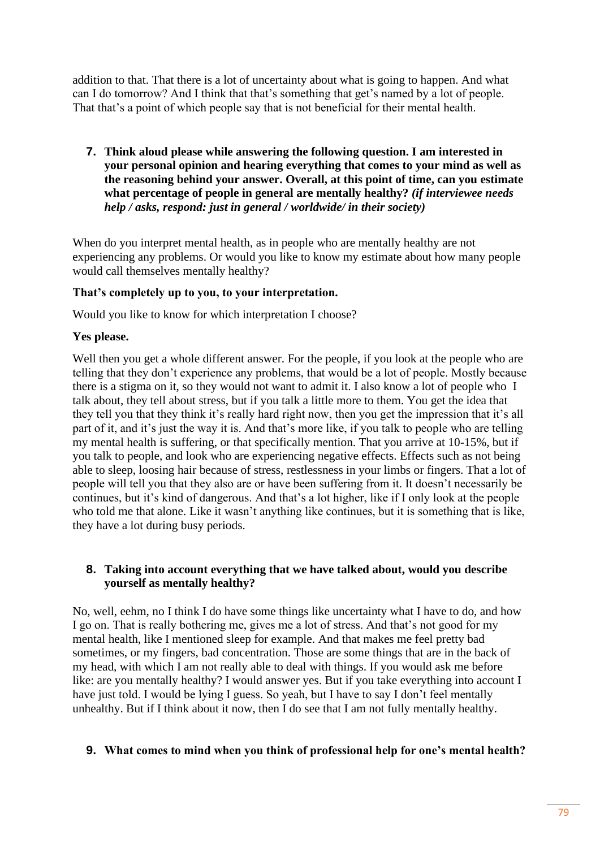addition to that. That there is a lot of uncertainty about what is going to happen. And what can I do tomorrow? And I think that that's something that get's named by a lot of people. That that's a point of which people say that is not beneficial for their mental health.

**7. Think aloud please while answering the following question. I am interested in your personal opinion and hearing everything that comes to your mind as well as the reasoning behind your answer. Overall, at this point of time, can you estimate what percentage of people in general are mentally healthy?** *(if interviewee needs help / asks, respond: just in general / worldwide/ in their society)*

When do you interpret mental health, as in people who are mentally healthy are not experiencing any problems. Or would you like to know my estimate about how many people would call themselves mentally healthy?

#### **That's completely up to you, to your interpretation.**

Would you like to know for which interpretation I choose?

#### **Yes please.**

Well then you get a whole different answer. For the people, if you look at the people who are telling that they don't experience any problems, that would be a lot of people. Mostly because there is a stigma on it, so they would not want to admit it. I also know a lot of people who I talk about, they tell about stress, but if you talk a little more to them. You get the idea that they tell you that they think it's really hard right now, then you get the impression that it's all part of it, and it's just the way it is. And that's more like, if you talk to people who are telling my mental health is suffering, or that specifically mention. That you arrive at 10-15%, but if you talk to people, and look who are experiencing negative effects. Effects such as not being able to sleep, loosing hair because of stress, restlessness in your limbs or fingers. That a lot of people will tell you that they also are or have been suffering from it. It doesn't necessarily be continues, but it's kind of dangerous. And that's a lot higher, like if I only look at the people who told me that alone. Like it wasn't anything like continues, but it is something that is like, they have a lot during busy periods.

## **8. Taking into account everything that we have talked about, would you describe yourself as mentally healthy?**

No, well, eehm, no I think I do have some things like uncertainty what I have to do, and how I go on. That is really bothering me, gives me a lot of stress. And that's not good for my mental health, like I mentioned sleep for example. And that makes me feel pretty bad sometimes, or my fingers, bad concentration. Those are some things that are in the back of my head, with which I am not really able to deal with things. If you would ask me before like: are you mentally healthy? I would answer yes. But if you take everything into account I have just told. I would be lying I guess. So yeah, but I have to say I don't feel mentally unhealthy. But if I think about it now, then I do see that I am not fully mentally healthy.

## **9. What comes to mind when you think of professional help for one's mental health?**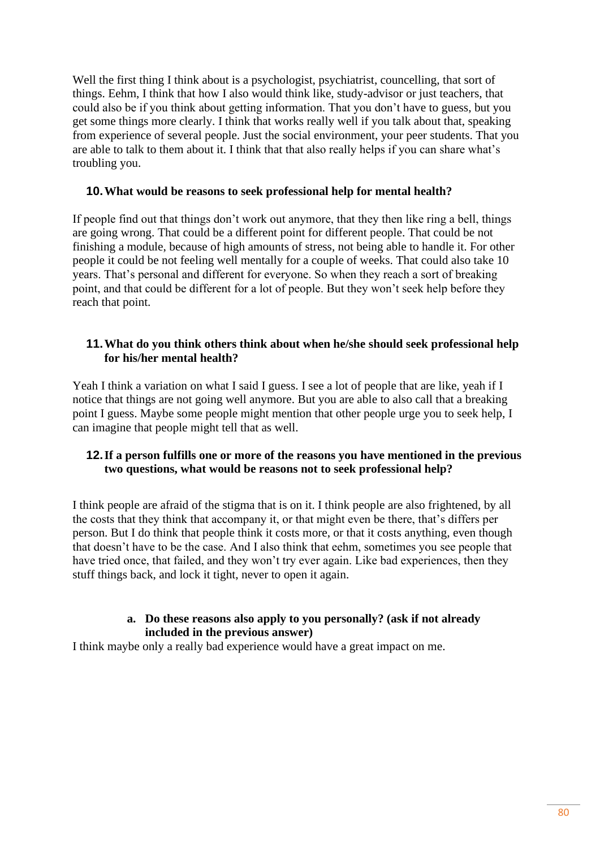Well the first thing I think about is a psychologist, psychiatrist, councelling, that sort of things. Eehm, I think that how I also would think like, study-advisor or just teachers, that could also be if you think about getting information. That you don't have to guess, but you get some things more clearly. I think that works really well if you talk about that, speaking from experience of several people. Just the social environment, your peer students. That you are able to talk to them about it. I think that that also really helps if you can share what's troubling you.

#### **10.What would be reasons to seek professional help for mental health?**

If people find out that things don't work out anymore, that they then like ring a bell, things are going wrong. That could be a different point for different people. That could be not finishing a module, because of high amounts of stress, not being able to handle it. For other people it could be not feeling well mentally for a couple of weeks. That could also take 10 years. That's personal and different for everyone. So when they reach a sort of breaking point, and that could be different for a lot of people. But they won't seek help before they reach that point.

#### **11.What do you think others think about when he/she should seek professional help for his/her mental health?**

Yeah I think a variation on what I said I guess. I see a lot of people that are like, yeah if I notice that things are not going well anymore. But you are able to also call that a breaking point I guess. Maybe some people might mention that other people urge you to seek help, I can imagine that people might tell that as well.

## **12.If a person fulfills one or more of the reasons you have mentioned in the previous two questions, what would be reasons not to seek professional help?**

I think people are afraid of the stigma that is on it. I think people are also frightened, by all the costs that they think that accompany it, or that might even be there, that's differs per person. But I do think that people think it costs more, or that it costs anything, even though that doesn't have to be the case. And I also think that eehm, sometimes you see people that have tried once, that failed, and they won't try ever again. Like bad experiences, then they stuff things back, and lock it tight, never to open it again.

#### **a. Do these reasons also apply to you personally? (ask if not already included in the previous answer)**

I think maybe only a really bad experience would have a great impact on me.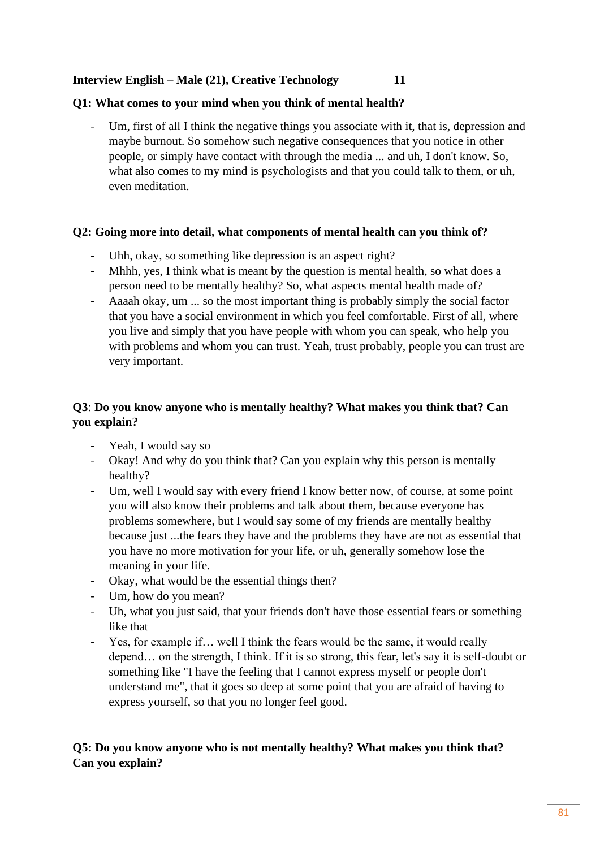## **Interview English – Male (21), Creative Technology 11**

## **Q1: What comes to your mind when you think of mental health?**

Um, first of all I think the negative things you associate with it, that is, depression and maybe burnout. So somehow such negative consequences that you notice in other people, or simply have contact with through the media ... and uh, I don't know. So, what also comes to my mind is psychologists and that you could talk to them, or uh, even meditation.

## **Q2: Going more into detail, what components of mental health can you think of?**

- Uhh, okay, so something like depression is an aspect right?
- Mhhh, yes, I think what is meant by the question is mental health, so what does a person need to be mentally healthy? So, what aspects mental health made of?
- Aaaah okay, um ... so the most important thing is probably simply the social factor that you have a social environment in which you feel comfortable. First of all, where you live and simply that you have people with whom you can speak, who help you with problems and whom you can trust. Yeah, trust probably, people you can trust are very important.

# **Q3**: **Do you know anyone who is mentally healthy? What makes you think that? Can you explain?**

- Yeah, I would say so
- Okay! And why do you think that? Can you explain why this person is mentally healthy?
- Um, well I would say with every friend I know better now, of course, at some point you will also know their problems and talk about them, because everyone has problems somewhere, but I would say some of my friends are mentally healthy because just ...the fears they have and the problems they have are not as essential that you have no more motivation for your life, or uh, generally somehow lose the meaning in your life.
- Okay, what would be the essential things then?
- Um, how do you mean?
- Uh, what you just said, that your friends don't have those essential fears or something like that
- Yes, for example if… well I think the fears would be the same, it would really depend… on the strength, I think. If it is so strong, this fear, let's say it is self-doubt or something like "I have the feeling that I cannot express myself or people don't understand me", that it goes so deep at some point that you are afraid of having to express yourself, so that you no longer feel good.

# **Q5: Do you know anyone who is not mentally healthy? What makes you think that? Can you explain?**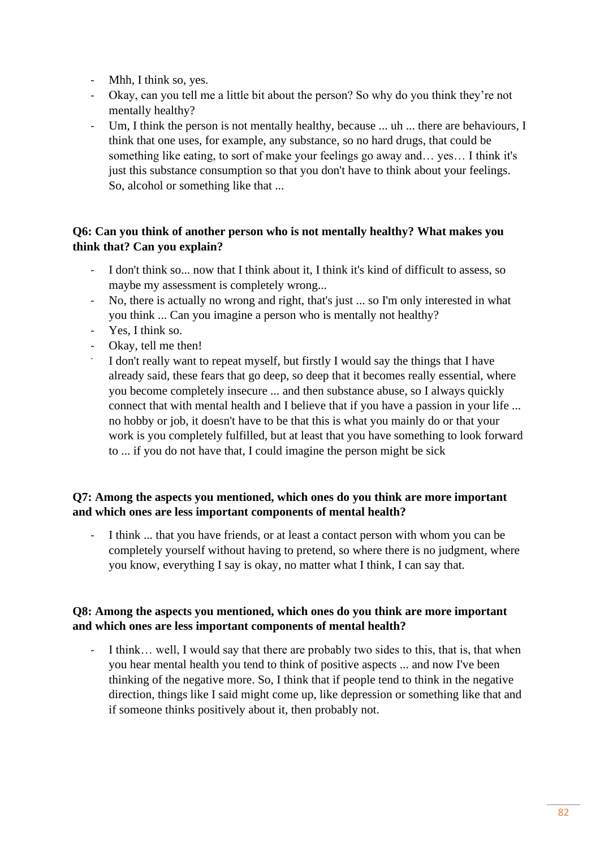- Mhh, I think so, yes.
- Okay, can you tell me a little bit about the person? So why do you think they're not mentally healthy?
- Um, I think the person is not mentally healthy, because ... uh ... there are behaviours, I think that one uses, for example, any substance, so no hard drugs, that could be something like eating, to sort of make your feelings go away and… yes… I think it's just this substance consumption so that you don't have to think about your feelings. So, alcohol or something like that ...

# **Q6: Can you think of another person who is not mentally healthy? What makes you think that? Can you explain?**

- I don't think so... now that I think about it, I think it's kind of difficult to assess, so maybe my assessment is completely wrong...
- No, there is actually no wrong and right, that's just ... so I'm only interested in what you think ... Can you imagine a person who is mentally not healthy?
- Yes, I think so.
- Okay, tell me then!
- I don't really want to repeat myself, but firstly I would say the things that I have already said, these fears that go deep, so deep that it becomes really essential, where you become completely insecure ... and then substance abuse, so I always quickly connect that with mental health and I believe that if you have a passion in your life ... no hobby or job, it doesn't have to be that this is what you mainly do or that your work is you completely fulfilled, but at least that you have something to look forward to ... if you do not have that, I could imagine the person might be sick

# **Q7: Among the aspects you mentioned, which ones do you think are more important and which ones are less important components of mental health?**

I think ... that you have friends, or at least a contact person with whom you can be completely yourself without having to pretend, so where there is no judgment, where you know, everything I say is okay, no matter what I think, I can say that.

# **Q8: Among the aspects you mentioned, which ones do you think are more important and which ones are less important components of mental health?**

I think… well, I would say that there are probably two sides to this, that is, that when you hear mental health you tend to think of positive aspects ... and now I've been thinking of the negative more. So, I think that if people tend to think in the negative direction, things like I said might come up, like depression or something like that and if someone thinks positively about it, then probably not.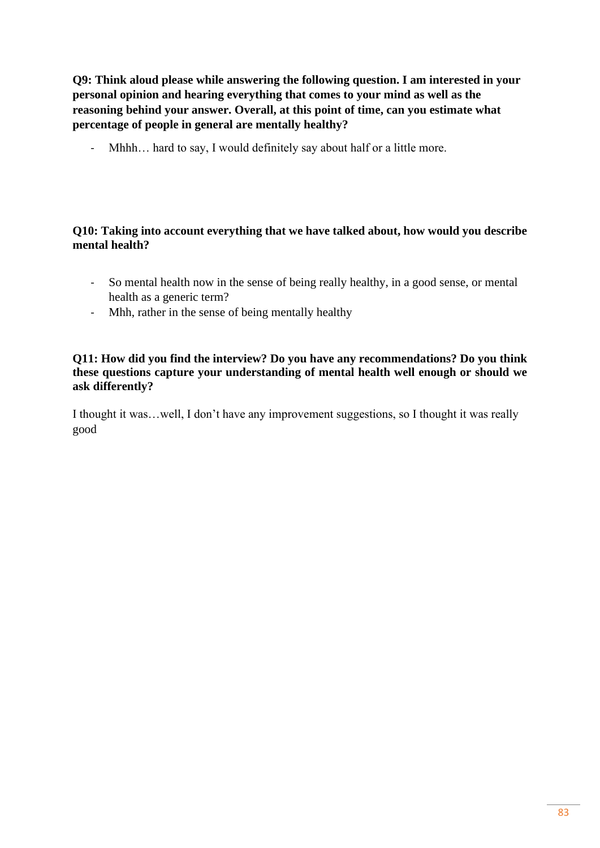**Q9: Think aloud please while answering the following question. I am interested in your personal opinion and hearing everything that comes to your mind as well as the reasoning behind your answer. Overall, at this point of time, can you estimate what percentage of people in general are mentally healthy?**

- Mhhh... hard to say, I would definitely say about half or a little more.

# **Q10: Taking into account everything that we have talked about, how would you describe mental health?**

- So mental health now in the sense of being really healthy, in a good sense, or mental health as a generic term?
- Mhh, rather in the sense of being mentally healthy

## **Q11: How did you find the interview? Do you have any recommendations? Do you think these questions capture your understanding of mental health well enough or should we ask differently?**

I thought it was…well, I don't have any improvement suggestions, so I thought it was really good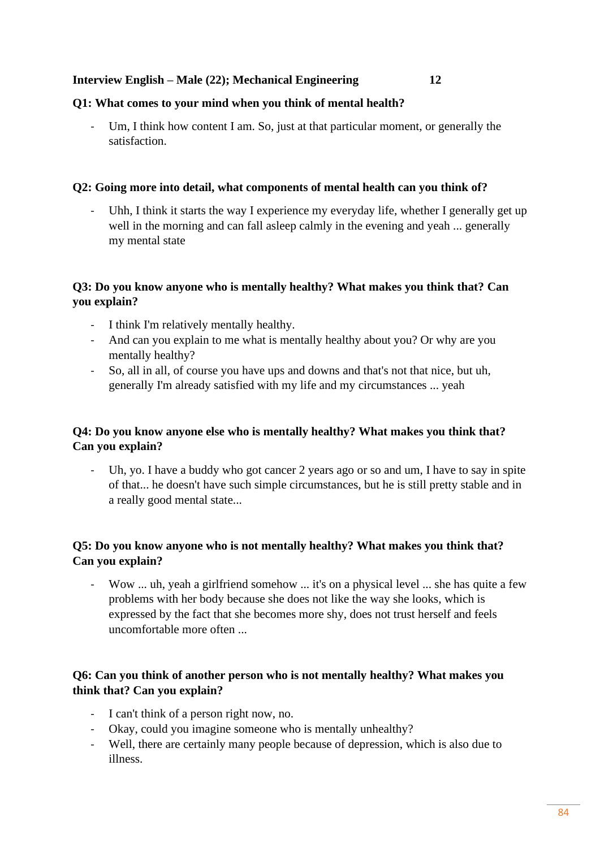#### **Interview English – Male (22); Mechanical Engineering 12**

#### **Q1: What comes to your mind when you think of mental health?**

Um, I think how content I am. So, just at that particular moment, or generally the satisfaction.

#### **Q2: Going more into detail, what components of mental health can you think of?**

- Uhh, I think it starts the way I experience my everyday life, whether I generally get up well in the morning and can fall asleep calmly in the evening and yeah ... generally my mental state

## **Q3: Do you know anyone who is mentally healthy? What makes you think that? Can you explain?**

- I think I'm relatively mentally healthy.
- And can you explain to me what is mentally healthy about you? Or why are you mentally healthy?
- So, all in all, of course you have ups and downs and that's not that nice, but uh, generally I'm already satisfied with my life and my circumstances ... yeah

# **Q4: Do you know anyone else who is mentally healthy? What makes you think that? Can you explain?**

- Uh, yo. I have a buddy who got cancer 2 years ago or so and um, I have to say in spite of that... he doesn't have such simple circumstances, but he is still pretty stable and in a really good mental state...

# **Q5: Do you know anyone who is not mentally healthy? What makes you think that? Can you explain?**

- Wow ... uh, yeah a girlfriend somehow ... it's on a physical level ... she has quite a few problems with her body because she does not like the way she looks, which is expressed by the fact that she becomes more shy, does not trust herself and feels uncomfortable more often ...

# **Q6: Can you think of another person who is not mentally healthy? What makes you think that? Can you explain?**

- I can't think of a person right now, no.
- Okay, could you imagine someone who is mentally unhealthy?
- Well, there are certainly many people because of depression, which is also due to illness.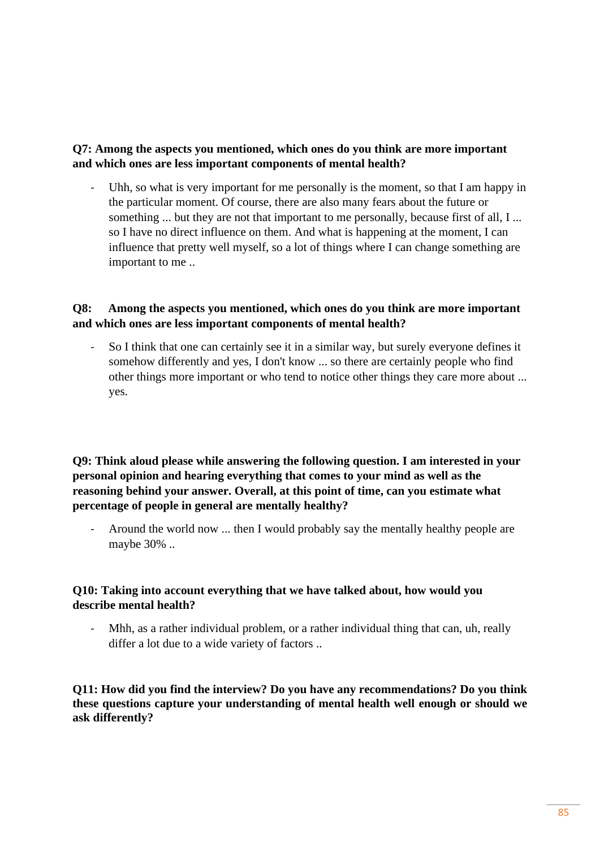# **Q7: Among the aspects you mentioned, which ones do you think are more important and which ones are less important components of mental health?**

- Uhh, so what is very important for me personally is the moment, so that I am happy in the particular moment. Of course, there are also many fears about the future or something ... but they are not that important to me personally, because first of all, I ... so I have no direct influence on them. And what is happening at the moment, I can influence that pretty well myself, so a lot of things where I can change something are important to me ..

# **Q8: Among the aspects you mentioned, which ones do you think are more important and which ones are less important components of mental health?**

- So I think that one can certainly see it in a similar way, but surely everyone defines it somehow differently and yes, I don't know ... so there are certainly people who find other things more important or who tend to notice other things they care more about ... yes.

**Q9: Think aloud please while answering the following question. I am interested in your personal opinion and hearing everything that comes to your mind as well as the reasoning behind your answer. Overall, at this point of time, can you estimate what percentage of people in general are mentally healthy?**

- Around the world now ... then I would probably say the mentally healthy people are maybe 30% ..

# **Q10: Taking into account everything that we have talked about, how would you describe mental health?**

Mhh, as a rather individual problem, or a rather individual thing that can, uh, really differ a lot due to a wide variety of factors ..

**Q11: How did you find the interview? Do you have any recommendations? Do you think these questions capture your understanding of mental health well enough or should we ask differently?**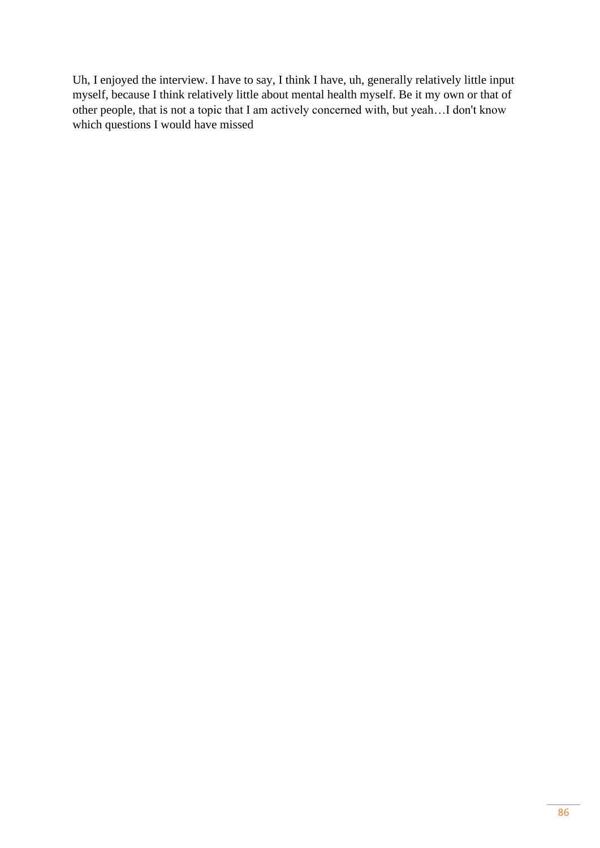Uh, I enjoyed the interview. I have to say, I think I have, uh, generally relatively little input myself, because I think relatively little about mental health myself. Be it my own or that of other people, that is not a topic that I am actively concerned with, but yeah…I don't know which questions I would have missed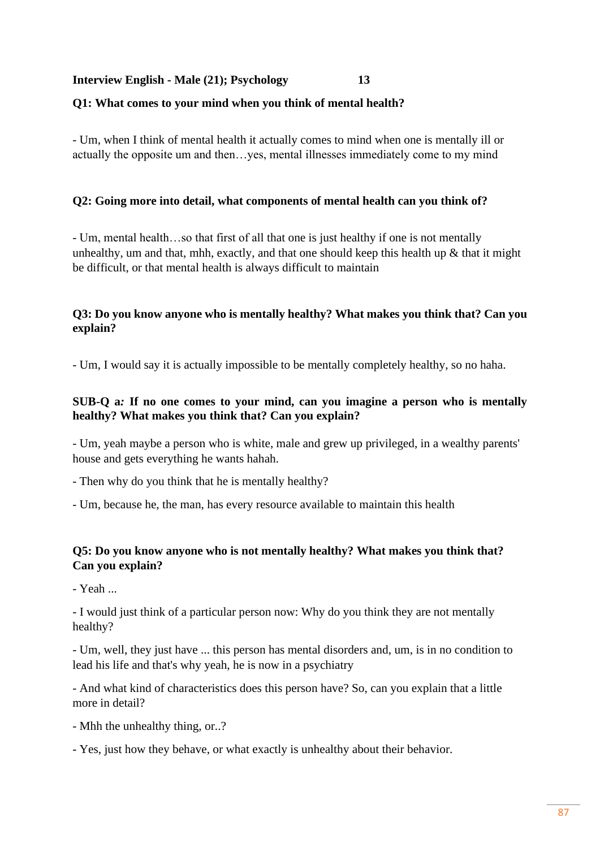#### **Interview English - Male (21); Psychology 13**

#### **Q1: What comes to your mind when you think of mental health?**

- Um, when I think of mental health it actually comes to mind when one is mentally ill or actually the opposite um and then…yes, mental illnesses immediately come to my mind

#### **Q2: Going more into detail, what components of mental health can you think of?**

- Um, mental health…so that first of all that one is just healthy if one is not mentally unhealthy, um and that, mhh, exactly, and that one should keep this health up  $\&$  that it might be difficult, or that mental health is always difficult to maintain

## **Q3: Do you know anyone who is mentally healthy? What makes you think that? Can you explain?**

- Um, I would say it is actually impossible to be mentally completely healthy, so no haha.

## **SUB-Q a***:* **If no one comes to your mind, can you imagine a person who is mentally healthy? What makes you think that? Can you explain?**

- Um, yeah maybe a person who is white, male and grew up privileged, in a wealthy parents' house and gets everything he wants hahah.

- Then why do you think that he is mentally healthy?
- Um, because he, the man, has every resource available to maintain this health

## **Q5: Do you know anyone who is not mentally healthy? What makes you think that? Can you explain?**

- Yeah ...

- I would just think of a particular person now: Why do you think they are not mentally healthy?

- Um, well, they just have ... this person has mental disorders and, um, is in no condition to lead his life and that's why yeah, he is now in a psychiatry

- And what kind of characteristics does this person have? So, can you explain that a little more in detail?

- Mhh the unhealthy thing, or..?
- Yes, just how they behave, or what exactly is unhealthy about their behavior.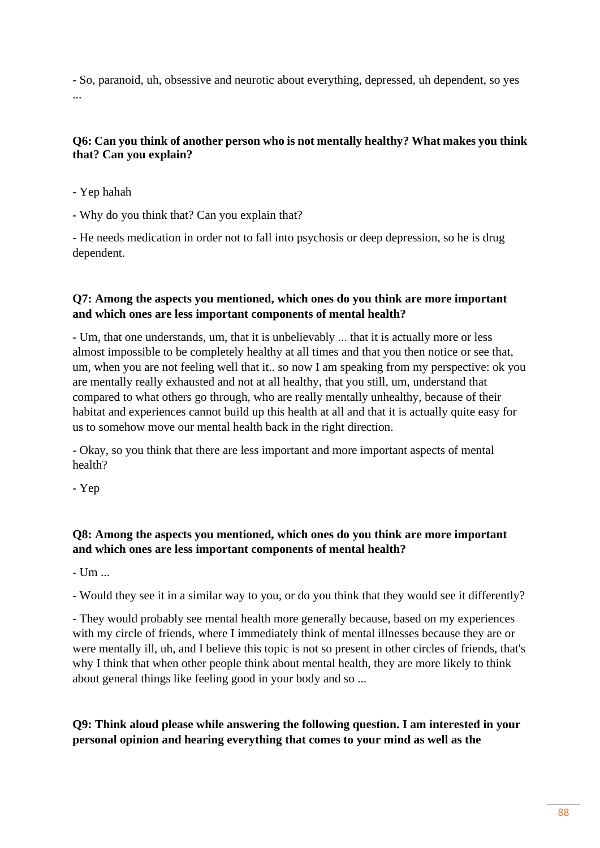- So, paranoid, uh, obsessive and neurotic about everything, depressed, uh dependent, so yes ...

## **Q6: Can you think of another person who is not mentally healthy? What makes you think that? Can you explain?**

- Yep hahah

- Why do you think that? Can you explain that?

- He needs medication in order not to fall into psychosis or deep depression, so he is drug dependent.

# **Q7: Among the aspects you mentioned, which ones do you think are more important and which ones are less important components of mental health?**

- Um, that one understands, um, that it is unbelievably ... that it is actually more or less almost impossible to be completely healthy at all times and that you then notice or see that, um, when you are not feeling well that it.. so now I am speaking from my perspective: ok you are mentally really exhausted and not at all healthy, that you still, um, understand that compared to what others go through, who are really mentally unhealthy, because of their habitat and experiences cannot build up this health at all and that it is actually quite easy for us to somehow move our mental health back in the right direction.

- Okay, so you think that there are less important and more important aspects of mental health?

- Yep

# **Q8: Among the aspects you mentioned, which ones do you think are more important and which ones are less important components of mental health?**

 $-$  Um  $-$ 

- Would they see it in a similar way to you, or do you think that they would see it differently?

- They would probably see mental health more generally because, based on my experiences with my circle of friends, where I immediately think of mental illnesses because they are or were mentally ill, uh, and I believe this topic is not so present in other circles of friends, that's why I think that when other people think about mental health, they are more likely to think about general things like feeling good in your body and so ...

# **Q9: Think aloud please while answering the following question. I am interested in your personal opinion and hearing everything that comes to your mind as well as the**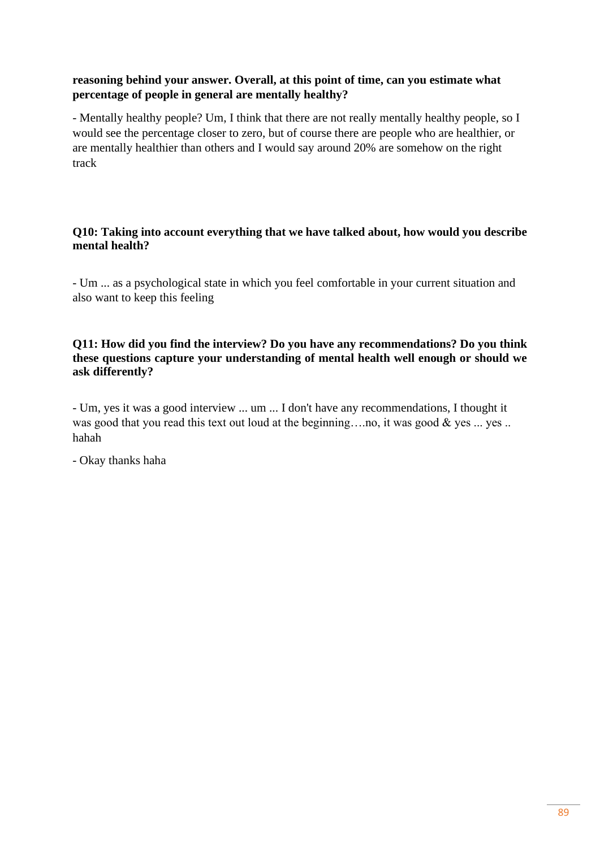# **reasoning behind your answer. Overall, at this point of time, can you estimate what percentage of people in general are mentally healthy?**

- Mentally healthy people? Um, I think that there are not really mentally healthy people, so I would see the percentage closer to zero, but of course there are people who are healthier, or are mentally healthier than others and I would say around 20% are somehow on the right track

## **Q10: Taking into account everything that we have talked about, how would you describe mental health?**

- Um ... as a psychological state in which you feel comfortable in your current situation and also want to keep this feeling

## **Q11: How did you find the interview? Do you have any recommendations? Do you think these questions capture your understanding of mental health well enough or should we ask differently?**

- Um, yes it was a good interview ... um ... I don't have any recommendations, I thought it was good that you read this text out loud at the beginning....no, it was good & yes ... yes .. hahah

- Okay thanks haha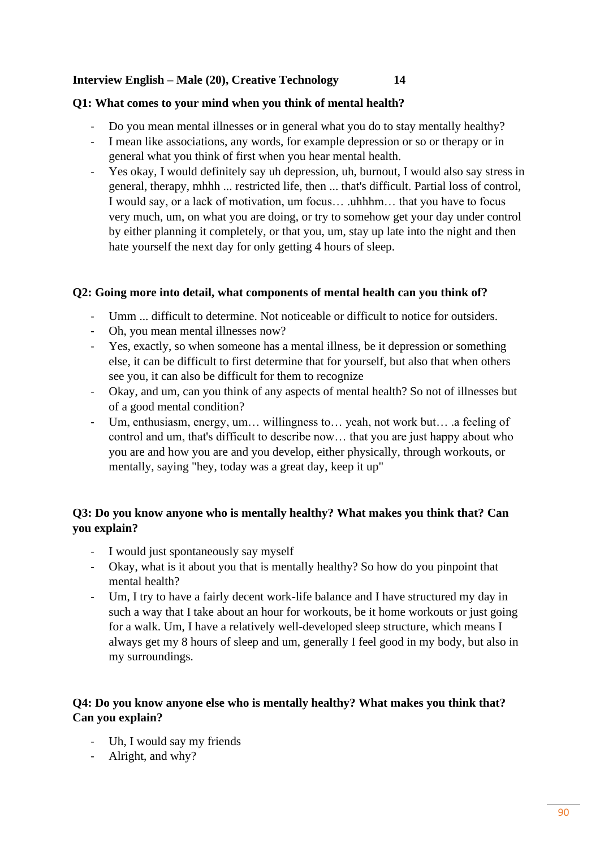## **Interview English – Male (20), Creative Technology 14**

#### **Q1: What comes to your mind when you think of mental health?**

- Do you mean mental illnesses or in general what you do to stay mentally healthy?
- I mean like associations, any words, for example depression or so or therapy or in general what you think of first when you hear mental health.
- Yes okay, I would definitely say uh depression, uh, burnout, I would also say stress in general, therapy, mhhh ... restricted life, then ... that's difficult. Partial loss of control, I would say, or a lack of motivation, um focus… .uhhhm… that you have to focus very much, um, on what you are doing, or try to somehow get your day under control by either planning it completely, or that you, um, stay up late into the night and then hate yourself the next day for only getting 4 hours of sleep.

#### **Q2: Going more into detail, what components of mental health can you think of?**

- Umm ... difficult to determine. Not noticeable or difficult to notice for outsiders.
- Oh, you mean mental illnesses now?
- Yes, exactly, so when someone has a mental illness, be it depression or something else, it can be difficult to first determine that for yourself, but also that when others see you, it can also be difficult for them to recognize
- Okay, and um, can you think of any aspects of mental health? So not of illnesses but of a good mental condition?
- Um, enthusiasm, energy, um… willingness to… yeah, not work but… .a feeling of control and um, that's difficult to describe now… that you are just happy about who you are and how you are and you develop, either physically, through workouts, or mentally, saying "hey, today was a great day, keep it up"

# **Q3: Do you know anyone who is mentally healthy? What makes you think that? Can you explain?**

- I would just spontaneously say myself
- Okay, what is it about you that is mentally healthy? So how do you pinpoint that mental health?
- Um, I try to have a fairly decent work-life balance and I have structured my day in such a way that I take about an hour for workouts, be it home workouts or just going for a walk. Um, I have a relatively well-developed sleep structure, which means I always get my 8 hours of sleep and um, generally I feel good in my body, but also in my surroundings.

# **Q4: Do you know anyone else who is mentally healthy? What makes you think that? Can you explain?**

- Uh, I would say my friends
- Alright, and why?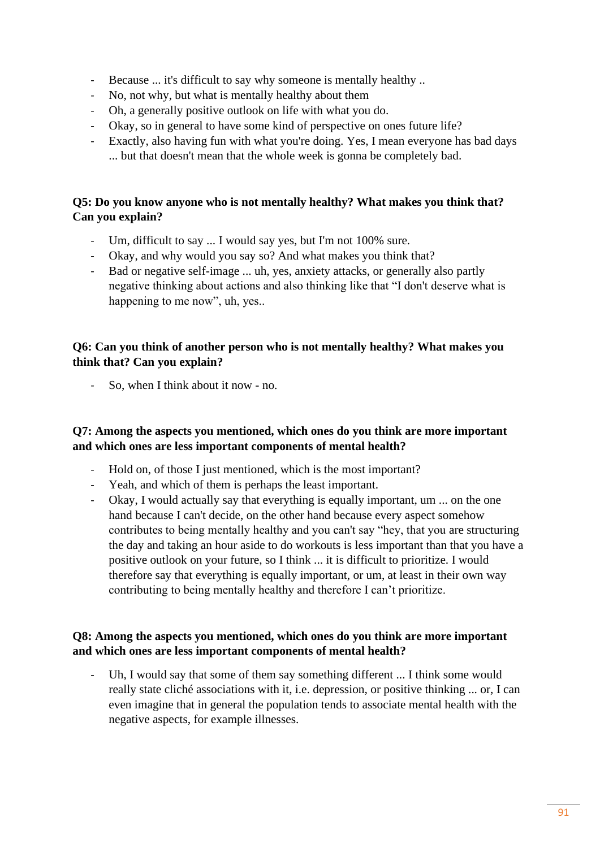- Because ... it's difficult to say why someone is mentally healthy ..
- No, not why, but what is mentally healthy about them
- Oh, a generally positive outlook on life with what you do.
- Okay, so in general to have some kind of perspective on ones future life?
- Exactly, also having fun with what you're doing. Yes, I mean everyone has bad days ... but that doesn't mean that the whole week is gonna be completely bad.

# **Q5: Do you know anyone who is not mentally healthy? What makes you think that? Can you explain?**

- Um, difficult to say ... I would say yes, but I'm not 100% sure.
- Okay, and why would you say so? And what makes you think that?
- Bad or negative self-image ... uh, yes, anxiety attacks, or generally also partly negative thinking about actions and also thinking like that "I don't deserve what is happening to me now", uh, yes...

## **Q6: Can you think of another person who is not mentally healthy? What makes you think that? Can you explain?**

So, when I think about it now - no.

## **Q7: Among the aspects you mentioned, which ones do you think are more important and which ones are less important components of mental health?**

- Hold on, of those I just mentioned, which is the most important?
- Yeah, and which of them is perhaps the least important.
- Okay, I would actually say that everything is equally important, um ... on the one hand because I can't decide, on the other hand because every aspect somehow contributes to being mentally healthy and you can't say "hey, that you are structuring the day and taking an hour aside to do workouts is less important than that you have a positive outlook on your future, so I think ... it is difficult to prioritize. I would therefore say that everything is equally important, or um, at least in their own way contributing to being mentally healthy and therefore I can't prioritize.

# **Q8: Among the aspects you mentioned, which ones do you think are more important and which ones are less important components of mental health?**

Uh, I would say that some of them say something different ... I think some would really state cliché associations with it, i.e. depression, or positive thinking ... or, I can even imagine that in general the population tends to associate mental health with the negative aspects, for example illnesses.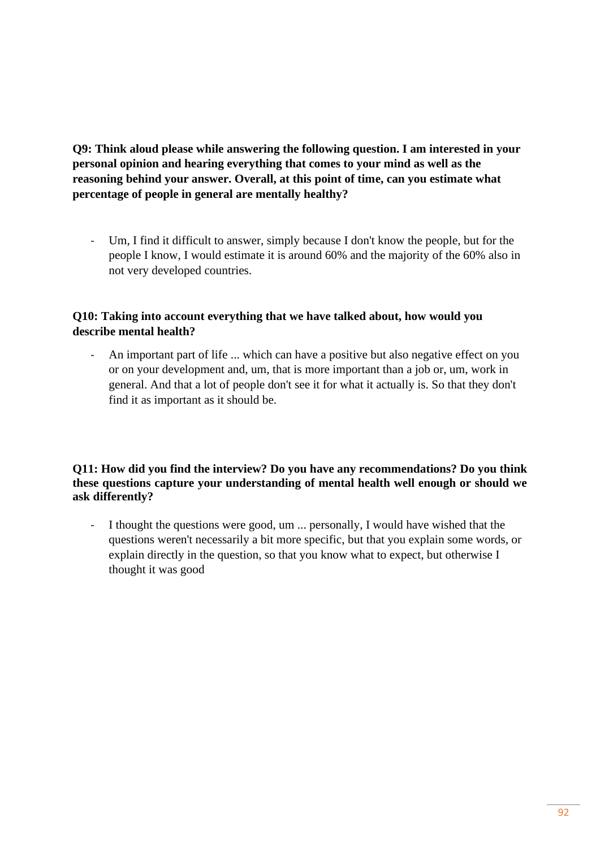**Q9: Think aloud please while answering the following question. I am interested in your personal opinion and hearing everything that comes to your mind as well as the reasoning behind your answer. Overall, at this point of time, can you estimate what percentage of people in general are mentally healthy?**

- Um, I find it difficult to answer, simply because I don't know the people, but for the people I know, I would estimate it is around 60% and the majority of the 60% also in not very developed countries.

# **Q10: Taking into account everything that we have talked about, how would you describe mental health?**

An important part of life ... which can have a positive but also negative effect on you or on your development and, um, that is more important than a job or, um, work in general. And that a lot of people don't see it for what it actually is. So that they don't find it as important as it should be.

#### **Q11: How did you find the interview? Do you have any recommendations? Do you think these questions capture your understanding of mental health well enough or should we ask differently?**

- I thought the questions were good, um ... personally, I would have wished that the questions weren't necessarily a bit more specific, but that you explain some words, or explain directly in the question, so that you know what to expect, but otherwise I thought it was good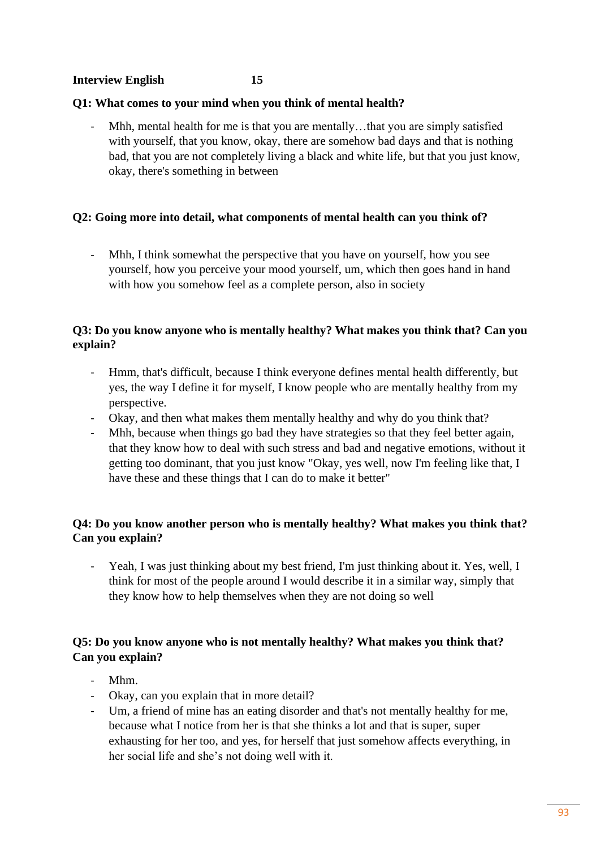#### **Interview English 15**

#### **Q1: What comes to your mind when you think of mental health?**

Mhh, mental health for me is that you are mentally...that you are simply satisfied with yourself, that you know, okay, there are somehow bad days and that is nothing bad, that you are not completely living a black and white life, but that you just know, okay, there's something in between

#### **Q2: Going more into detail, what components of mental health can you think of?**

- Mhh, I think somewhat the perspective that you have on yourself, how you see yourself, how you perceive your mood yourself, um, which then goes hand in hand with how you somehow feel as a complete person, also in society

#### **Q3: Do you know anyone who is mentally healthy? What makes you think that? Can you explain?**

- Hmm, that's difficult, because I think everyone defines mental health differently, but yes, the way I define it for myself, I know people who are mentally healthy from my perspective.
- Okay, and then what makes them mentally healthy and why do you think that?
- Mhh, because when things go bad they have strategies so that they feel better again, that they know how to deal with such stress and bad and negative emotions, without it getting too dominant, that you just know "Okay, yes well, now I'm feeling like that, I have these and these things that I can do to make it better"

## **Q4: Do you know another person who is mentally healthy? What makes you think that? Can you explain?**

Yeah, I was just thinking about my best friend, I'm just thinking about it. Yes, well, I think for most of the people around I would describe it in a similar way, simply that they know how to help themselves when they are not doing so well

# **Q5: Do you know anyone who is not mentally healthy? What makes you think that? Can you explain?**

- Mhm.
- Okay, can you explain that in more detail?
- Um, a friend of mine has an eating disorder and that's not mentally healthy for me, because what I notice from her is that she thinks a lot and that is super, super exhausting for her too, and yes, for herself that just somehow affects everything, in her social life and she's not doing well with it.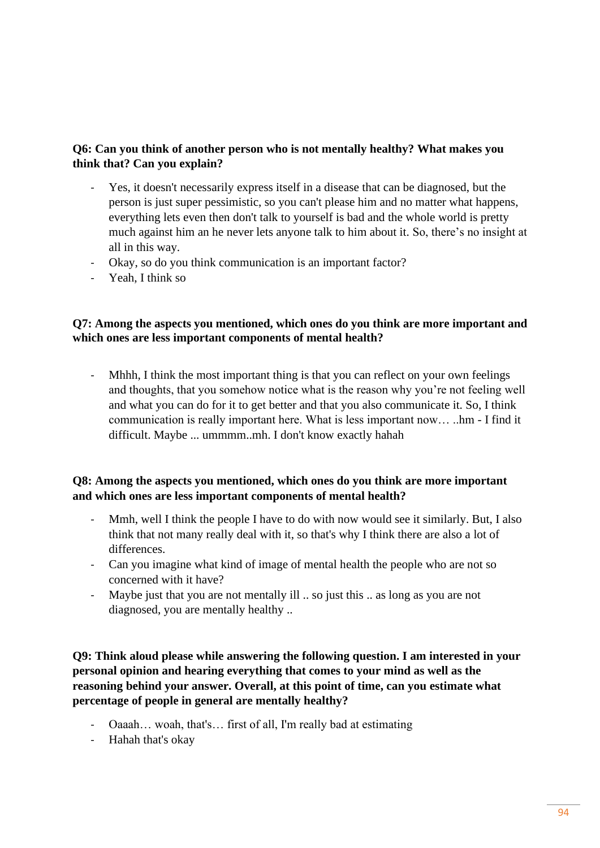# **Q6: Can you think of another person who is not mentally healthy? What makes you think that? Can you explain?**

- Yes, it doesn't necessarily express itself in a disease that can be diagnosed, but the person is just super pessimistic, so you can't please him and no matter what happens, everything lets even then don't talk to yourself is bad and the whole world is pretty much against him an he never lets anyone talk to him about it. So, there's no insight at all in this way.
- Okay, so do you think communication is an important factor?
- Yeah, I think so

## **Q7: Among the aspects you mentioned, which ones do you think are more important and which ones are less important components of mental health?**

- Mhhh, I think the most important thing is that you can reflect on your own feelings and thoughts, that you somehow notice what is the reason why you're not feeling well and what you can do for it to get better and that you also communicate it. So, I think communication is really important here. What is less important now… ..hm - I find it difficult. Maybe ... ummmm..mh. I don't know exactly hahah

## **Q8: Among the aspects you mentioned, which ones do you think are more important and which ones are less important components of mental health?**

- Mmh, well I think the people I have to do with now would see it similarly. But, I also think that not many really deal with it, so that's why I think there are also a lot of differences.
- Can you imagine what kind of image of mental health the people who are not so concerned with it have?
- Maybe just that you are not mentally ill .. so just this .. as long as you are not diagnosed, you are mentally healthy ..

**Q9: Think aloud please while answering the following question. I am interested in your personal opinion and hearing everything that comes to your mind as well as the reasoning behind your answer. Overall, at this point of time, can you estimate what percentage of people in general are mentally healthy?**

- Oaaah… woah, that's… first of all, I'm really bad at estimating
- Hahah that's okay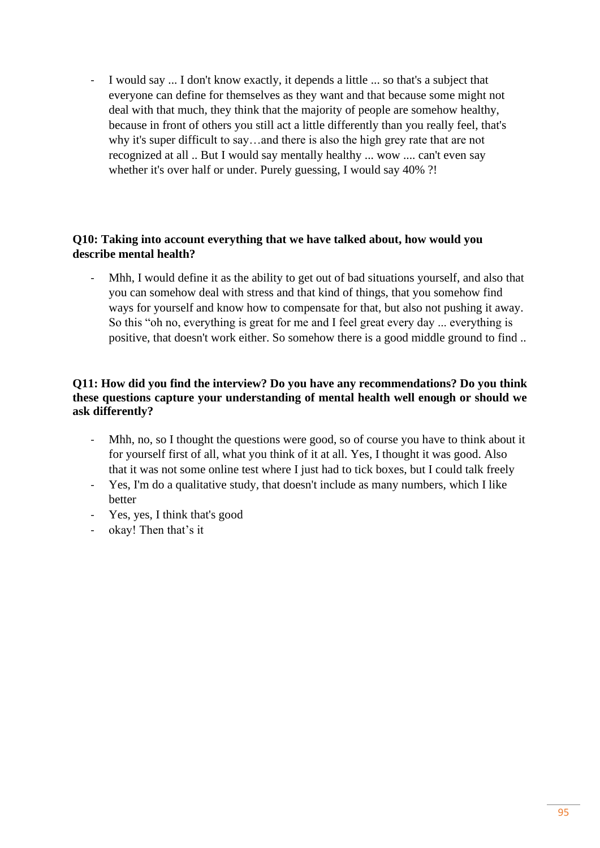I would say ... I don't know exactly, it depends a little ... so that's a subject that everyone can define for themselves as they want and that because some might not deal with that much, they think that the majority of people are somehow healthy, because in front of others you still act a little differently than you really feel, that's why it's super difficult to say…and there is also the high grey rate that are not recognized at all .. But I would say mentally healthy ... wow .... can't even say whether it's over half or under. Purely guessing, I would say 40% ?!

# **Q10: Taking into account everything that we have talked about, how would you describe mental health?**

Mhh, I would define it as the ability to get out of bad situations yourself, and also that you can somehow deal with stress and that kind of things, that you somehow find ways for yourself and know how to compensate for that, but also not pushing it away. So this "oh no, everything is great for me and I feel great every day ... everything is positive, that doesn't work either. So somehow there is a good middle ground to find ..

## **Q11: How did you find the interview? Do you have any recommendations? Do you think these questions capture your understanding of mental health well enough or should we ask differently?**

- Mhh, no, so I thought the questions were good, so of course you have to think about it for yourself first of all, what you think of it at all. Yes, I thought it was good. Also that it was not some online test where I just had to tick boxes, but I could talk freely
- Yes, I'm do a qualitative study, that doesn't include as many numbers, which I like better
- Yes, yes, I think that's good
- okay! Then that's it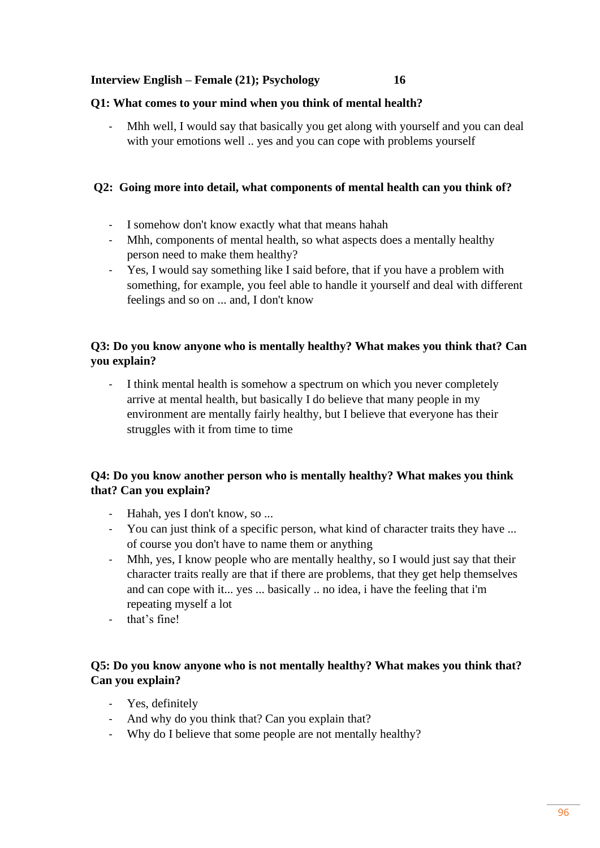#### **Interview English – Female (21); Psychology 16**

#### **Q1: What comes to your mind when you think of mental health?**

Mhh well, I would say that basically you get along with yourself and you can deal with your emotions well .. yes and you can cope with problems yourself

## **Q2: Going more into detail, what components of mental health can you think of?**

- I somehow don't know exactly what that means hahah
- Mhh, components of mental health, so what aspects does a mentally healthy person need to make them healthy?
- Yes, I would say something like I said before, that if you have a problem with something, for example, you feel able to handle it yourself and deal with different feelings and so on ... and, I don't know

# **Q3: Do you know anyone who is mentally healthy? What makes you think that? Can you explain?**

I think mental health is somehow a spectrum on which you never completely arrive at mental health, but basically I do believe that many people in my environment are mentally fairly healthy, but I believe that everyone has their struggles with it from time to time

# **Q4: Do you know another person who is mentally healthy? What makes you think that? Can you explain?**

- Hahah, yes I don't know, so ...
- You can just think of a specific person, what kind of character traits they have ... of course you don't have to name them or anything
- Mhh, yes, I know people who are mentally healthy, so I would just say that their character traits really are that if there are problems, that they get help themselves and can cope with it... yes ... basically .. no idea, i have the feeling that i'm repeating myself a lot
- that's fine!

# **Q5: Do you know anyone who is not mentally healthy? What makes you think that? Can you explain?**

- Yes, definitely
- And why do you think that? Can you explain that?
- Why do I believe that some people are not mentally healthy?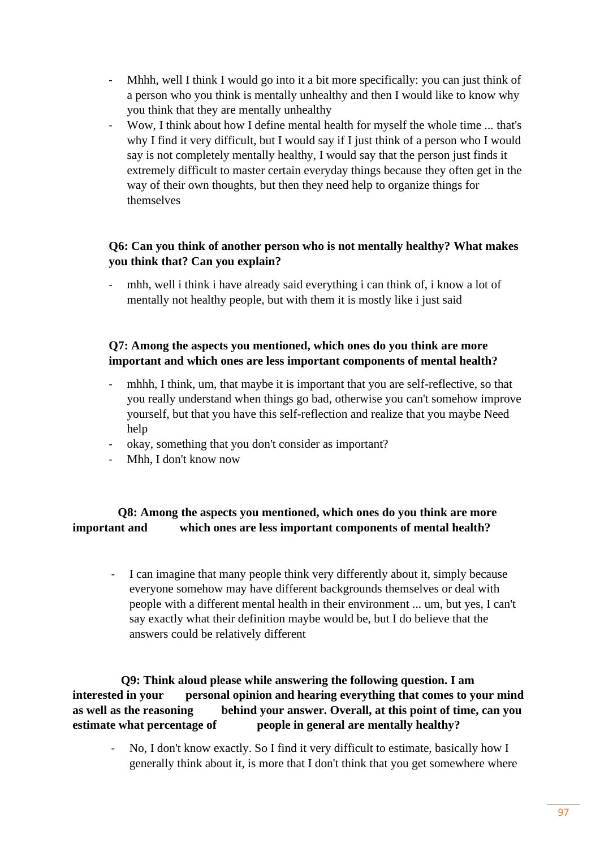- Mhhh, well I think I would go into it a bit more specifically: you can just think of a person who you think is mentally unhealthy and then I would like to know why you think that they are mentally unhealthy
- Wow, I think about how I define mental health for myself the whole time ... that's why I find it very difficult, but I would say if I just think of a person who I would say is not completely mentally healthy, I would say that the person just finds it extremely difficult to master certain everyday things because they often get in the way of their own thoughts, but then they need help to organize things for themselves

## **Q6: Can you think of another person who is not mentally healthy? What makes you think that? Can you explain?**

mhh, well i think i have already said everything i can think of, i know a lot of mentally not healthy people, but with them it is mostly like i just said

# **Q7: Among the aspects you mentioned, which ones do you think are more important and which ones are less important components of mental health?**

- mhhh, I think, um, that maybe it is important that you are self-reflective, so that you really understand when things go bad, otherwise you can't somehow improve yourself, but that you have this self-reflection and realize that you maybe Need help
- okay, something that you don't consider as important?
- Mhh, I don't know now

# **Q8: Among the aspects you mentioned, which ones do you think are more important and which ones are less important components of mental health?**

I can imagine that many people think very differently about it, simply because everyone somehow may have different backgrounds themselves or deal with people with a different mental health in their environment ... um, but yes, I can't say exactly what their definition maybe would be, but I do believe that the answers could be relatively different

 **Q9: Think aloud please while answering the following question. I am interested in your personal opinion and hearing everything that comes to your mind as well as the reasoning behind your answer. Overall, at this point of time, can you estimate what percentage of people in general are mentally healthy?** 

- No, I don't know exactly. So I find it very difficult to estimate, basically how I generally think about it, is more that I don't think that you get somewhere where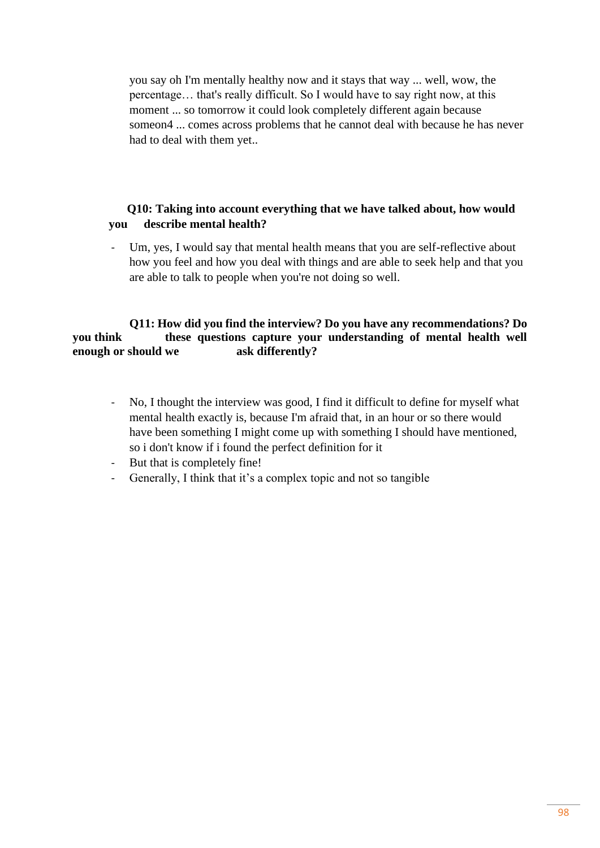you say oh I'm mentally healthy now and it stays that way ... well, wow, the percentage… that's really difficult. So I would have to say right now, at this moment ... so tomorrow it could look completely different again because someon4 ... comes across problems that he cannot deal with because he has never had to deal with them yet..

## **Q10: Taking into account everything that we have talked about, how would you describe mental health?**

Um, yes, I would say that mental health means that you are self-reflective about how you feel and how you deal with things and are able to seek help and that you are able to talk to people when you're not doing so well.

#### **Q11: How did you find the interview? Do you have any recommendations? Do you think these questions capture your understanding of mental health well enough or should we ask differently?**

- No, I thought the interview was good, I find it difficult to define for myself what mental health exactly is, because I'm afraid that, in an hour or so there would have been something I might come up with something I should have mentioned, so i don't know if i found the perfect definition for it
- But that is completely fine!
- Generally, I think that it's a complex topic and not so tangible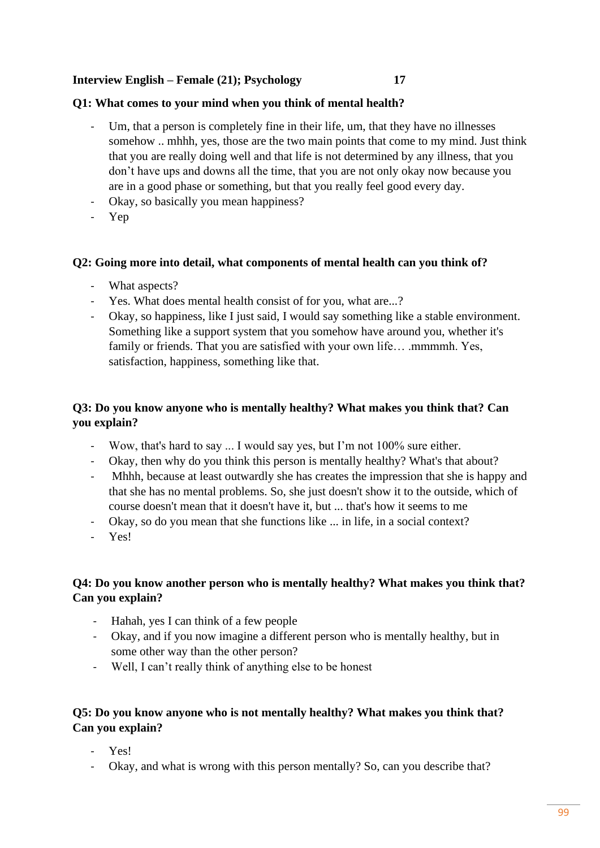#### **Interview English – Female (21); Psychology 17**

#### **Q1: What comes to your mind when you think of mental health?**

- Um, that a person is completely fine in their life, um, that they have no illnesses somehow .. mhhh, yes, those are the two main points that come to my mind. Just think that you are really doing well and that life is not determined by any illness, that you don't have ups and downs all the time, that you are not only okay now because you are in a good phase or something, but that you really feel good every day.
- Okay, so basically you mean happiness?
- Yep

#### **Q2: Going more into detail, what components of mental health can you think of?**

- What aspects?
- Yes. What does mental health consist of for you, what are...?
- Okay, so happiness, like I just said, I would say something like a stable environment. Something like a support system that you somehow have around you, whether it's family or friends. That you are satisfied with your own life... .mmmmh. Yes, satisfaction, happiness, something like that.

# **Q3: Do you know anyone who is mentally healthy? What makes you think that? Can you explain?**

- Wow, that's hard to say ... I would say yes, but I'm not 100% sure either.
- Okay, then why do you think this person is mentally healthy? What's that about?
- Mhhh, because at least outwardly she has creates the impression that she is happy and that she has no mental problems. So, she just doesn't show it to the outside, which of course doesn't mean that it doesn't have it, but ... that's how it seems to me
- Okay, so do you mean that she functions like ... in life, in a social context?
- Yes!

## **Q4: Do you know another person who is mentally healthy? What makes you think that? Can you explain?**

- Hahah, yes I can think of a few people
- Okay, and if you now imagine a different person who is mentally healthy, but in some other way than the other person?
- Well, I can't really think of anything else to be honest

## **Q5: Do you know anyone who is not mentally healthy? What makes you think that? Can you explain?**

- Yes!
- Okay, and what is wrong with this person mentally? So, can you describe that?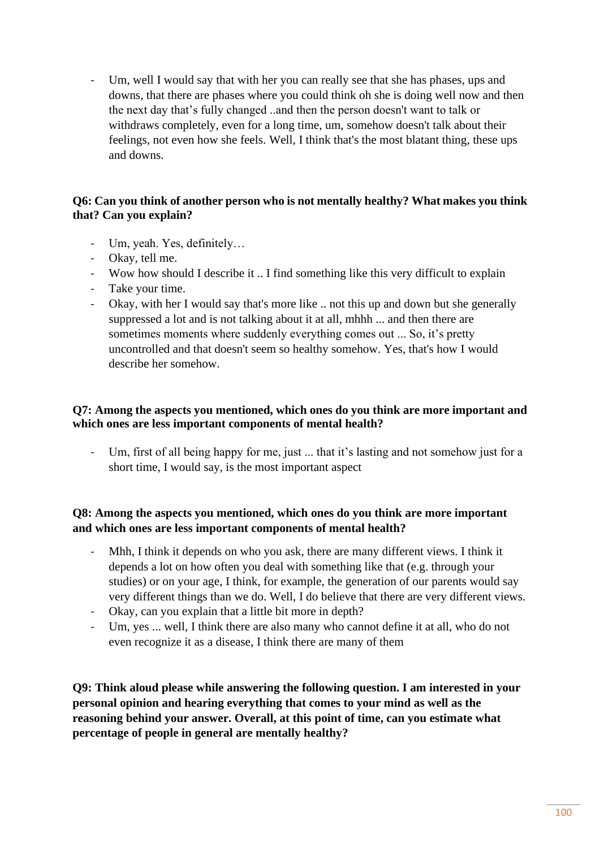- Um, well I would say that with her you can really see that she has phases, ups and downs, that there are phases where you could think oh she is doing well now and then the next day that's fully changed ..and then the person doesn't want to talk or withdraws completely, even for a long time, um, somehow doesn't talk about their feelings, not even how she feels. Well, I think that's the most blatant thing, these ups and downs.

## **Q6: Can you think of another person who is not mentally healthy? What makes you think that? Can you explain?**

- Um, yeah. Yes, definitely…
- Okay, tell me.
- Wow how should I describe it .. I find something like this very difficult to explain
- Take your time.
- Okay, with her I would say that's more like .. not this up and down but she generally suppressed a lot and is not talking about it at all, mhhh ... and then there are sometimes moments where suddenly everything comes out ... So, it's pretty uncontrolled and that doesn't seem so healthy somehow. Yes, that's how I would describe her somehow.

# **Q7: Among the aspects you mentioned, which ones do you think are more important and which ones are less important components of mental health?**

Um, first of all being happy for me, just ... that it's lasting and not somehow just for a short time, I would say, is the most important aspect

# **Q8: Among the aspects you mentioned, which ones do you think are more important and which ones are less important components of mental health?**

- Mhh, I think it depends on who you ask, there are many different views. I think it depends a lot on how often you deal with something like that (e.g. through your studies) or on your age, I think, for example, the generation of our parents would say very different things than we do. Well, I do believe that there are very different views.
- Okay, can you explain that a little bit more in depth?
- Um, yes ... well, I think there are also many who cannot define it at all, who do not even recognize it as a disease, I think there are many of them

**Q9: Think aloud please while answering the following question. I am interested in your personal opinion and hearing everything that comes to your mind as well as the reasoning behind your answer. Overall, at this point of time, can you estimate what percentage of people in general are mentally healthy?**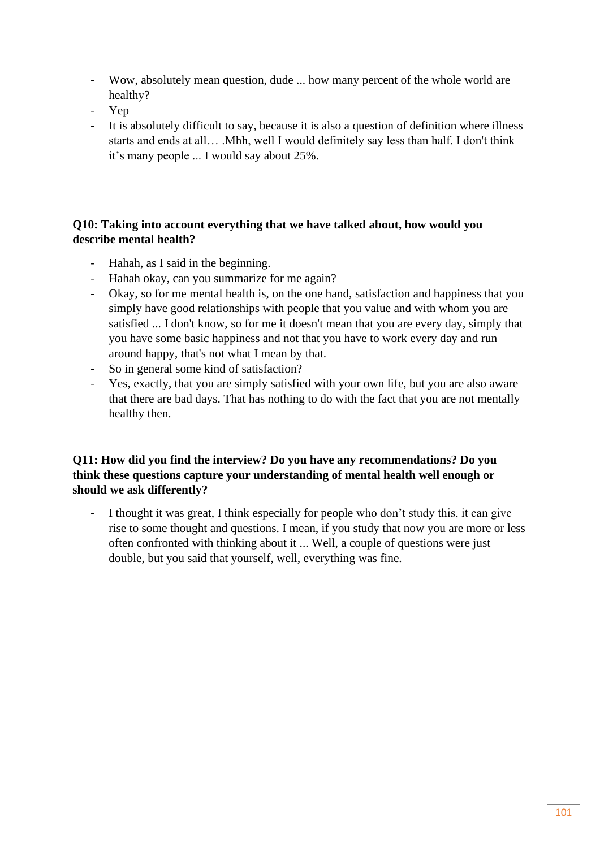- Wow, absolutely mean question, dude ... how many percent of the whole world are healthy?
- Yep
- It is absolutely difficult to say, because it is also a question of definition where illness starts and ends at all… .Mhh, well I would definitely say less than half. I don't think it's many people ... I would say about 25%.

# **Q10: Taking into account everything that we have talked about, how would you describe mental health?**

- Hahah, as I said in the beginning.
- Hahah okay, can you summarize for me again?
- Okay, so for me mental health is, on the one hand, satisfaction and happiness that you simply have good relationships with people that you value and with whom you are satisfied ... I don't know, so for me it doesn't mean that you are every day, simply that you have some basic happiness and not that you have to work every day and run around happy, that's not what I mean by that.
- So in general some kind of satisfaction?
- Yes, exactly, that you are simply satisfied with your own life, but you are also aware that there are bad days. That has nothing to do with the fact that you are not mentally healthy then.

# **Q11: How did you find the interview? Do you have any recommendations? Do you think these questions capture your understanding of mental health well enough or should we ask differently?**

- I thought it was great, I think especially for people who don't study this, it can give rise to some thought and questions. I mean, if you study that now you are more or less often confronted with thinking about it ... Well, a couple of questions were just double, but you said that yourself, well, everything was fine.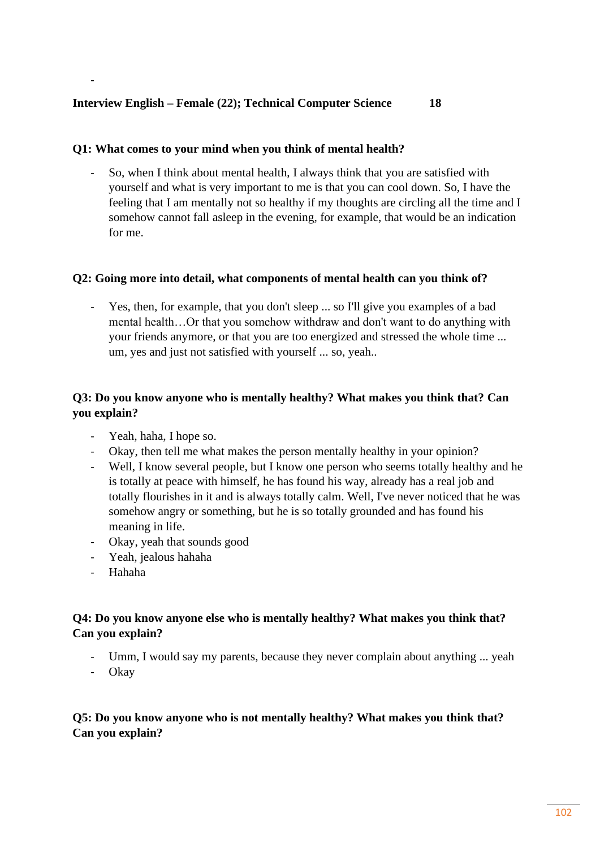#### **Q1: What comes to your mind when you think of mental health?**

- So, when I think about mental health, I always think that you are satisfied with yourself and what is very important to me is that you can cool down. So, I have the feeling that I am mentally not so healthy if my thoughts are circling all the time and I somehow cannot fall asleep in the evening, for example, that would be an indication for me.

#### **Q2: Going more into detail, what components of mental health can you think of?**

- Yes, then, for example, that you don't sleep ... so I'll give you examples of a bad mental health…Or that you somehow withdraw and don't want to do anything with your friends anymore, or that you are too energized and stressed the whole time ... um, yes and just not satisfied with yourself ... so, yeah..

# **Q3: Do you know anyone who is mentally healthy? What makes you think that? Can you explain?**

- Yeah, haha, I hope so.
- Okay, then tell me what makes the person mentally healthy in your opinion?
- Well, I know several people, but I know one person who seems totally healthy and he is totally at peace with himself, he has found his way, already has a real job and totally flourishes in it and is always totally calm. Well, I've never noticed that he was somehow angry or something, but he is so totally grounded and has found his meaning in life.
- Okay, yeah that sounds good
- Yeah, jealous hahaha
- Hahaha

-

# **Q4: Do you know anyone else who is mentally healthy? What makes you think that? Can you explain?**

- Umm, I would say my parents, because they never complain about anything ... yeah
- Okay

# **Q5: Do you know anyone who is not mentally healthy? What makes you think that? Can you explain?**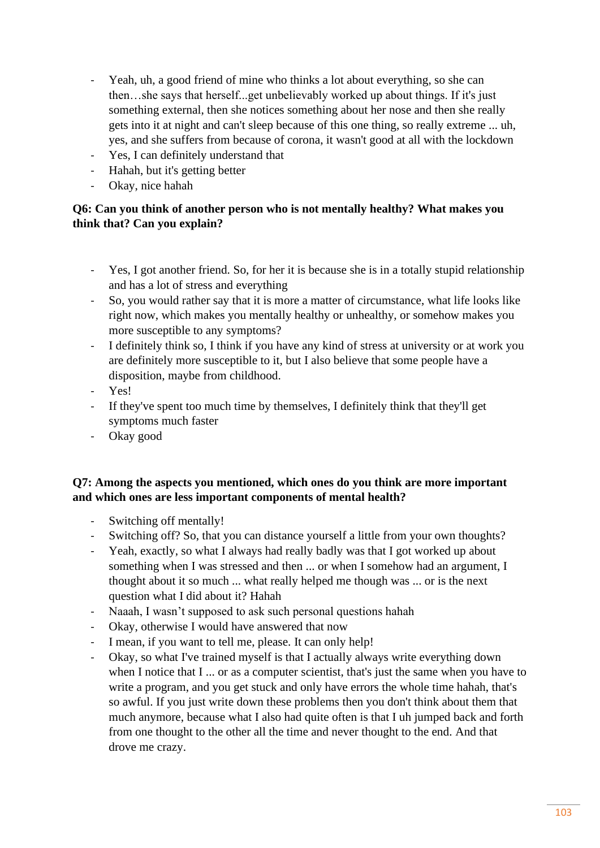- Yeah, uh, a good friend of mine who thinks a lot about everything, so she can then…she says that herself...get unbelievably worked up about things. If it's just something external, then she notices something about her nose and then she really gets into it at night and can't sleep because of this one thing, so really extreme ... uh, yes, and she suffers from because of corona, it wasn't good at all with the lockdown
- Yes, I can definitely understand that
- Hahah, but it's getting better
- Okay, nice hahah

# **Q6: Can you think of another person who is not mentally healthy? What makes you think that? Can you explain?**

- Yes, I got another friend. So, for her it is because she is in a totally stupid relationship and has a lot of stress and everything
- So, you would rather say that it is more a matter of circumstance, what life looks like right now, which makes you mentally healthy or unhealthy, or somehow makes you more susceptible to any symptoms?
- I definitely think so, I think if you have any kind of stress at university or at work you are definitely more susceptible to it, but I also believe that some people have a disposition, maybe from childhood.
- Yes!
- If they've spent too much time by themselves, I definitely think that they'll get symptoms much faster
- Okay good

## **Q7: Among the aspects you mentioned, which ones do you think are more important and which ones are less important components of mental health?**

- Switching off mentally!
- Switching off? So, that you can distance yourself a little from your own thoughts?
- Yeah, exactly, so what I always had really badly was that I got worked up about something when I was stressed and then ... or when I somehow had an argument, I thought about it so much ... what really helped me though was ... or is the next question what I did about it? Hahah
- Naaah, I wasn't supposed to ask such personal questions hahah
- Okay, otherwise I would have answered that now
- I mean, if you want to tell me, please. It can only help!
- Okay, so what I've trained myself is that I actually always write everything down when I notice that I ... or as a computer scientist, that's just the same when you have to write a program, and you get stuck and only have errors the whole time hahah, that's so awful. If you just write down these problems then you don't think about them that much anymore, because what I also had quite often is that I uh jumped back and forth from one thought to the other all the time and never thought to the end. And that drove me crazy.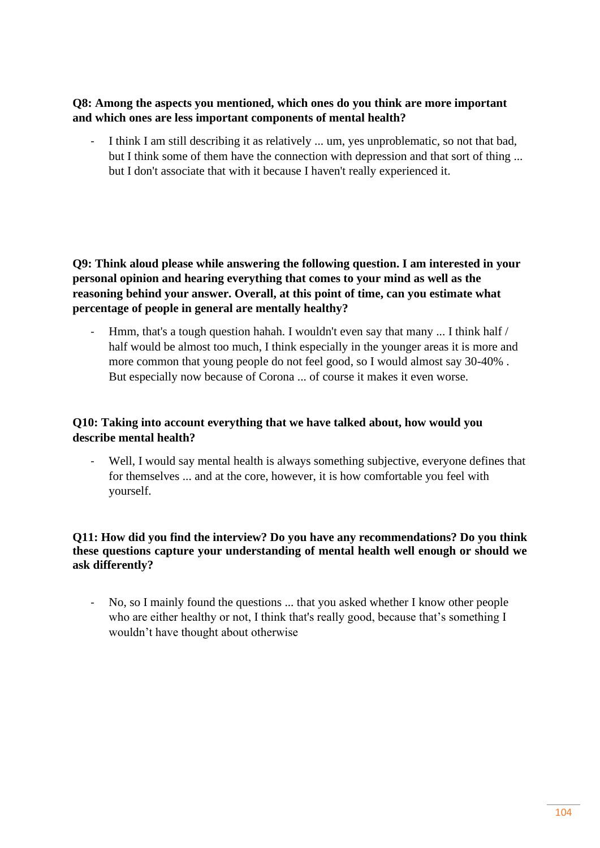## **Q8: Among the aspects you mentioned, which ones do you think are more important and which ones are less important components of mental health?**

I think I am still describing it as relatively ... um, yes unproblematic, so not that bad, but I think some of them have the connection with depression and that sort of thing ... but I don't associate that with it because I haven't really experienced it.

**Q9: Think aloud please while answering the following question. I am interested in your personal opinion and hearing everything that comes to your mind as well as the reasoning behind your answer. Overall, at this point of time, can you estimate what percentage of people in general are mentally healthy?**

Hmm, that's a tough question hahah. I wouldn't even say that many  $\ldots$  I think half / half would be almost too much, I think especially in the younger areas it is more and more common that young people do not feel good, so I would almost say 30-40% . But especially now because of Corona ... of course it makes it even worse.

## **Q10: Taking into account everything that we have talked about, how would you describe mental health?**

Well, I would say mental health is always something subjective, everyone defines that for themselves ... and at the core, however, it is how comfortable you feel with yourself.

## **Q11: How did you find the interview? Do you have any recommendations? Do you think these questions capture your understanding of mental health well enough or should we ask differently?**

- No, so I mainly found the questions ... that you asked whether I know other people who are either healthy or not, I think that's really good, because that's something I wouldn't have thought about otherwise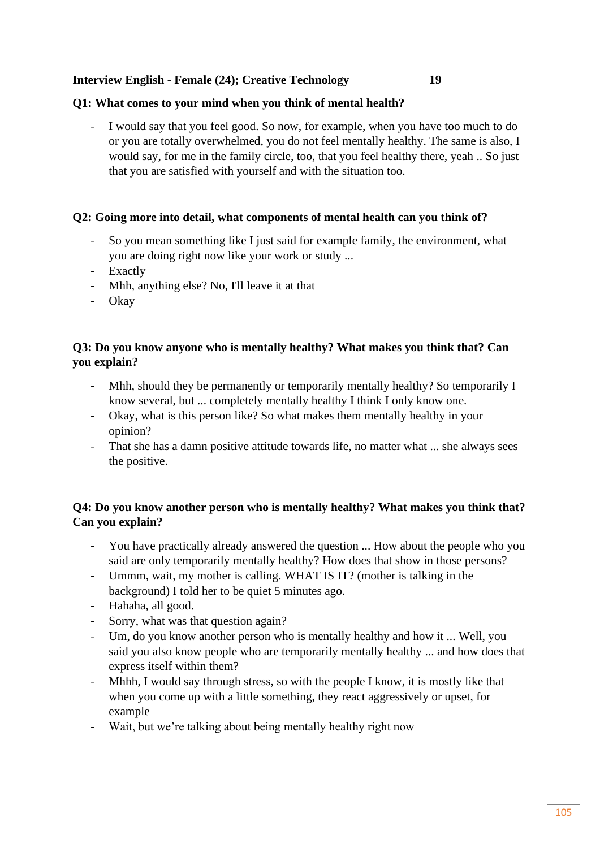## **Interview English - Female (24); Creative Technology 19**

#### **Q1: What comes to your mind when you think of mental health?**

I would say that you feel good. So now, for example, when you have too much to do or you are totally overwhelmed, you do not feel mentally healthy. The same is also, I would say, for me in the family circle, too, that you feel healthy there, yeah .. So just that you are satisfied with yourself and with the situation too.

#### **Q2: Going more into detail, what components of mental health can you think of?**

- So you mean something like I just said for example family, the environment, what you are doing right now like your work or study ...
- Exactly
- Mhh, anything else? No, I'll leave it at that
- Okay

# **Q3: Do you know anyone who is mentally healthy? What makes you think that? Can you explain?**

- Mhh, should they be permanently or temporarily mentally healthy? So temporarily I know several, but ... completely mentally healthy I think I only know one.
- Okay, what is this person like? So what makes them mentally healthy in your opinion?
- That she has a damn positive attitude towards life, no matter what ... she always sees the positive.

# **Q4: Do you know another person who is mentally healthy? What makes you think that? Can you explain?**

- You have practically already answered the question ... How about the people who you said are only temporarily mentally healthy? How does that show in those persons?
- Ummm, wait, my mother is calling. WHAT IS IT? (mother is talking in the background) I told her to be quiet 5 minutes ago.
- Hahaha, all good.
- Sorry, what was that question again?
- Um, do you know another person who is mentally healthy and how it ... Well, you said you also know people who are temporarily mentally healthy ... and how does that express itself within them?
- Mhhh, I would say through stress, so with the people I know, it is mostly like that when you come up with a little something, they react aggressively or upset, for example
- Wait, but we're talking about being mentally healthy right now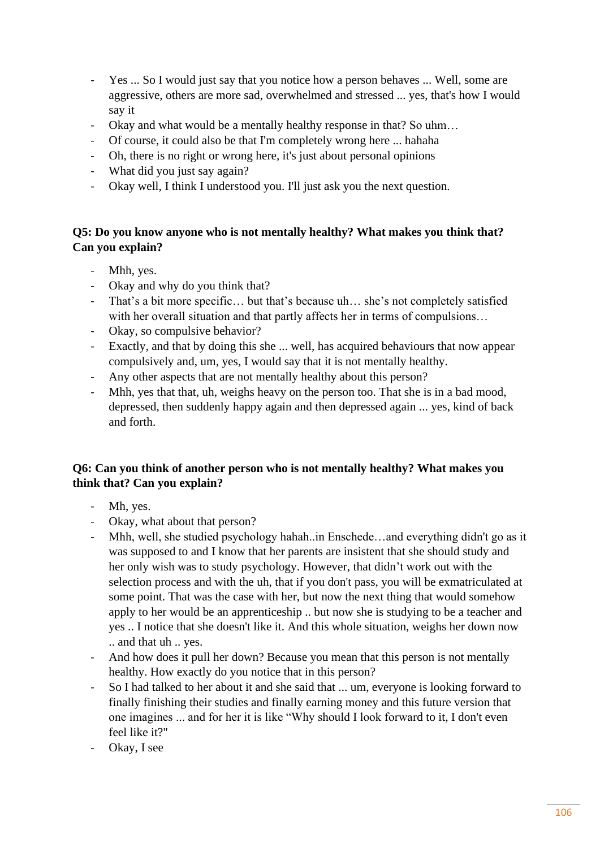- Yes ... So I would just say that you notice how a person behaves ... Well, some are aggressive, others are more sad, overwhelmed and stressed ... yes, that's how I would say it
- Okay and what would be a mentally healthy response in that? So uhm...
- Of course, it could also be that I'm completely wrong here ... hahaha
- Oh, there is no right or wrong here, it's just about personal opinions
- What did you just say again?
- Okay well, I think I understood you. I'll just ask you the next question.

# **Q5: Do you know anyone who is not mentally healthy? What makes you think that? Can you explain?**

- Mhh, yes.
- Okay and why do you think that?
- That's a bit more specific… but that's because uh… she's not completely satisfied with her overall situation and that partly affects her in terms of compulsions...
- Okay, so compulsive behavior?
- Exactly, and that by doing this she ... well, has acquired behaviours that now appear compulsively and, um, yes, I would say that it is not mentally healthy.
- Any other aspects that are not mentally healthy about this person?
- Mhh, yes that that, uh, weighs heavy on the person too. That she is in a bad mood, depressed, then suddenly happy again and then depressed again ... yes, kind of back and forth.

# **Q6: Can you think of another person who is not mentally healthy? What makes you think that? Can you explain?**

- Mh, yes.
- Okay, what about that person?
- Mhh, well, she studied psychology hahah..in Enschede…and everything didn't go as it was supposed to and I know that her parents are insistent that she should study and her only wish was to study psychology. However, that didn't work out with the selection process and with the uh, that if you don't pass, you will be exmatriculated at some point. That was the case with her, but now the next thing that would somehow apply to her would be an apprenticeship .. but now she is studying to be a teacher and yes .. I notice that she doesn't like it. And this whole situation, weighs her down now .. and that uh .. yes.
- And how does it pull her down? Because you mean that this person is not mentally healthy. How exactly do you notice that in this person?
- So I had talked to her about it and she said that ... um, everyone is looking forward to finally finishing their studies and finally earning money and this future version that one imagines ... and for her it is like "Why should I look forward to it, I don't even feel like it?"
- Okay, I see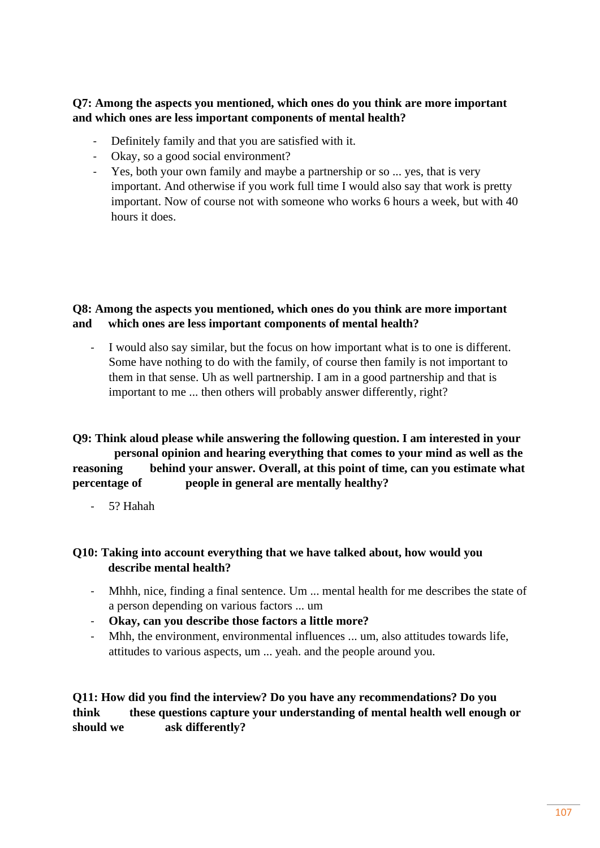## **Q7: Among the aspects you mentioned, which ones do you think are more important and which ones are less important components of mental health?**

- Definitely family and that you are satisfied with it.
- Okay, so a good social environment?
- Yes, both your own family and maybe a partnership or so ... yes, that is very important. And otherwise if you work full time I would also say that work is pretty important. Now of course not with someone who works 6 hours a week, but with 40 hours it does.

# **Q8: Among the aspects you mentioned, which ones do you think are more important and which ones are less important components of mental health?**

I would also say similar, but the focus on how important what is to one is different. Some have nothing to do with the family, of course then family is not important to them in that sense. Uh as well partnership. I am in a good partnership and that is important to me ... then others will probably answer differently, right?

# **Q9: Think aloud please while answering the following question. I am interested in your personal opinion and hearing everything that comes to your mind as well as the reasoning behind your answer. Overall, at this point of time, can you estimate what percentage of people in general are mentally healthy?**

- 5? Hahah

# **Q10: Taking into account everything that we have talked about, how would you describe mental health?**

- Mhhh, nice, finding a final sentence. Um ... mental health for me describes the state of a person depending on various factors ... um
- **Okay, can you describe those factors a little more?**
- Mhh, the environment, environmental influences ... um, also attitudes towards life, attitudes to various aspects, um ... yeah. and the people around you.

# **Q11: How did you find the interview? Do you have any recommendations? Do you think these questions capture your understanding of mental health well enough or should we ask differently?**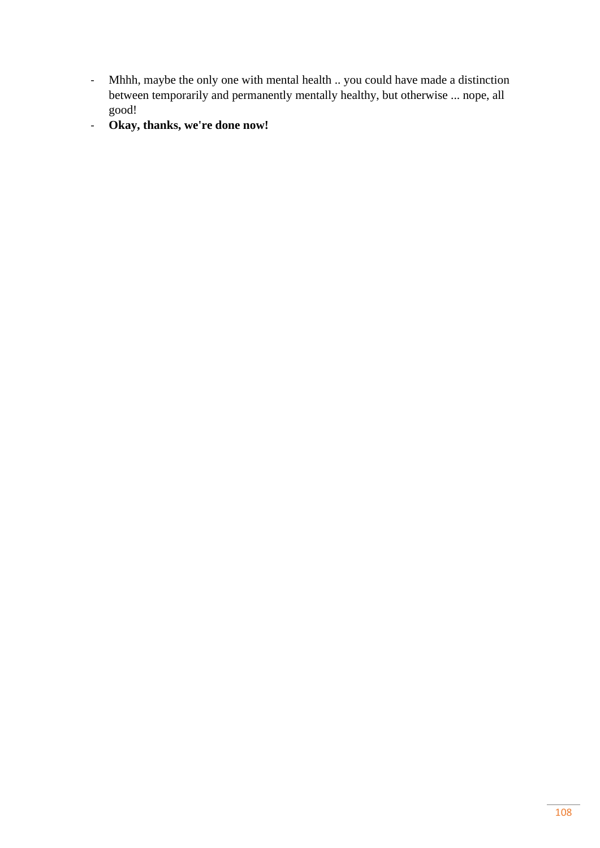- Mhhh, maybe the only one with mental health .. you could have made a distinction between temporarily and permanently mentally healthy, but otherwise ... nope, all good!
- **Okay, thanks, we're done now!**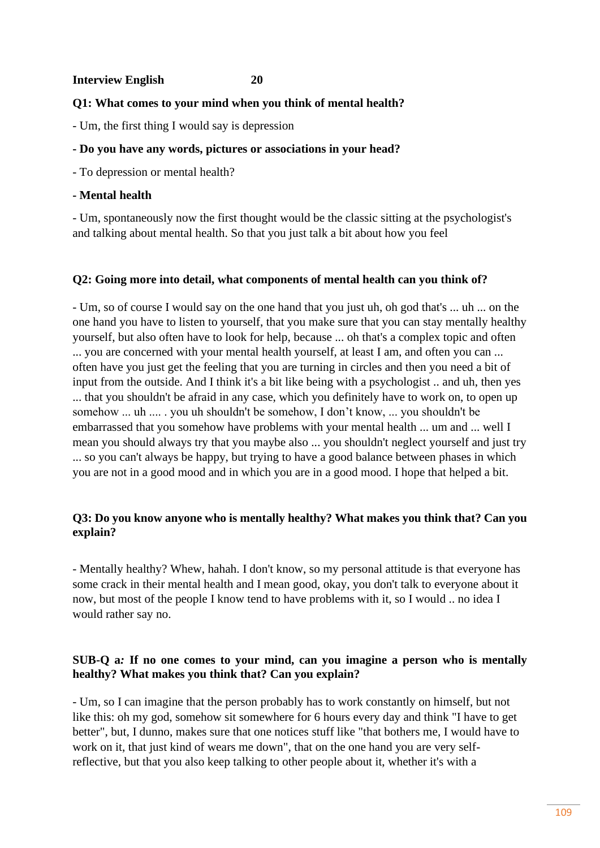#### **Interview English 20**

## **Q1: What comes to your mind when you think of mental health?**

- Um, the first thing I would say is depression

## **- Do you have any words, pictures or associations in your head?**

- To depression or mental health?

# **- Mental health**

- Um, spontaneously now the first thought would be the classic sitting at the psychologist's and talking about mental health. So that you just talk a bit about how you feel

## **Q2: Going more into detail, what components of mental health can you think of?**

- Um, so of course I would say on the one hand that you just uh, oh god that's ... uh ... on the one hand you have to listen to yourself, that you make sure that you can stay mentally healthy yourself, but also often have to look for help, because ... oh that's a complex topic and often ... you are concerned with your mental health yourself, at least I am, and often you can ... often have you just get the feeling that you are turning in circles and then you need a bit of input from the outside. And I think it's a bit like being with a psychologist .. and uh, then yes ... that you shouldn't be afraid in any case, which you definitely have to work on, to open up somehow ... uh .... . you uh shouldn't be somehow, I don't know, ... you shouldn't be embarrassed that you somehow have problems with your mental health ... um and ... well I mean you should always try that you maybe also ... you shouldn't neglect yourself and just try ... so you can't always be happy, but trying to have a good balance between phases in which you are not in a good mood and in which you are in a good mood. I hope that helped a bit.

# **Q3: Do you know anyone who is mentally healthy? What makes you think that? Can you explain?**

- Mentally healthy? Whew, hahah. I don't know, so my personal attitude is that everyone has some crack in their mental health and I mean good, okay, you don't talk to everyone about it now, but most of the people I know tend to have problems with it, so I would .. no idea I would rather say no.

## **SUB-Q a***:* **If no one comes to your mind, can you imagine a person who is mentally healthy? What makes you think that? Can you explain?**

- Um, so I can imagine that the person probably has to work constantly on himself, but not like this: oh my god, somehow sit somewhere for 6 hours every day and think "I have to get better", but, I dunno, makes sure that one notices stuff like "that bothers me, I would have to work on it, that just kind of wears me down", that on the one hand you are very selfreflective, but that you also keep talking to other people about it, whether it's with a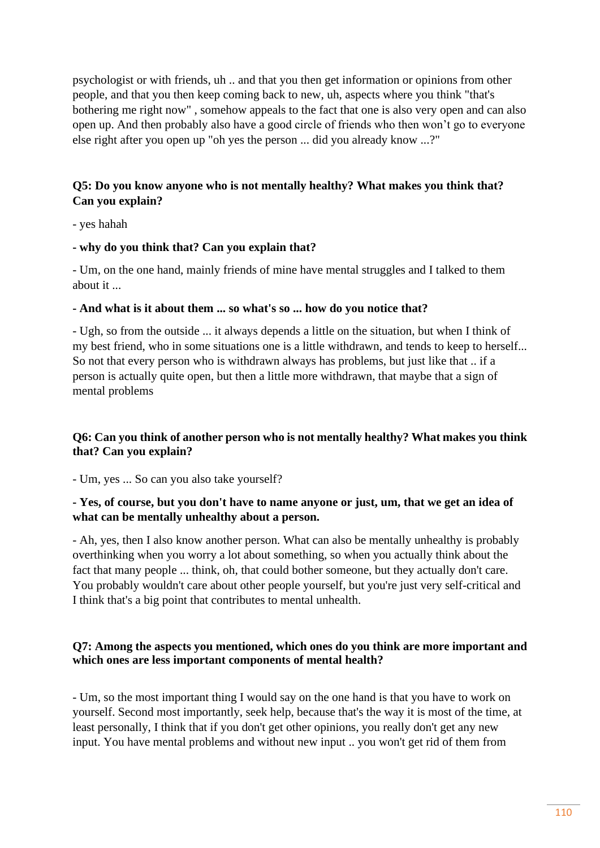psychologist or with friends, uh .. and that you then get information or opinions from other people, and that you then keep coming back to new, uh, aspects where you think "that's bothering me right now" , somehow appeals to the fact that one is also very open and can also open up. And then probably also have a good circle of friends who then won't go to everyone else right after you open up "oh yes the person ... did you already know ...?"

# **Q5: Do you know anyone who is not mentally healthy? What makes you think that? Can you explain?**

- yes hahah

#### **- why do you think that? Can you explain that?**

- Um, on the one hand, mainly friends of mine have mental struggles and I talked to them about it ...

#### **- And what is it about them ... so what's so ... how do you notice that?**

- Ugh, so from the outside ... it always depends a little on the situation, but when I think of my best friend, who in some situations one is a little withdrawn, and tends to keep to herself... So not that every person who is withdrawn always has problems, but just like that .. if a person is actually quite open, but then a little more withdrawn, that maybe that a sign of mental problems

## **Q6: Can you think of another person who is not mentally healthy? What makes you think that? Can you explain?**

- Um, yes ... So can you also take yourself?

## **- Yes, of course, but you don't have to name anyone or just, um, that we get an idea of what can be mentally unhealthy about a person.**

- Ah, yes, then I also know another person. What can also be mentally unhealthy is probably overthinking when you worry a lot about something, so when you actually think about the fact that many people ... think, oh, that could bother someone, but they actually don't care. You probably wouldn't care about other people yourself, but you're just very self-critical and I think that's a big point that contributes to mental unhealth.

## **Q7: Among the aspects you mentioned, which ones do you think are more important and which ones are less important components of mental health?**

- Um, so the most important thing I would say on the one hand is that you have to work on yourself. Second most importantly, seek help, because that's the way it is most of the time, at least personally, I think that if you don't get other opinions, you really don't get any new input. You have mental problems and without new input .. you won't get rid of them from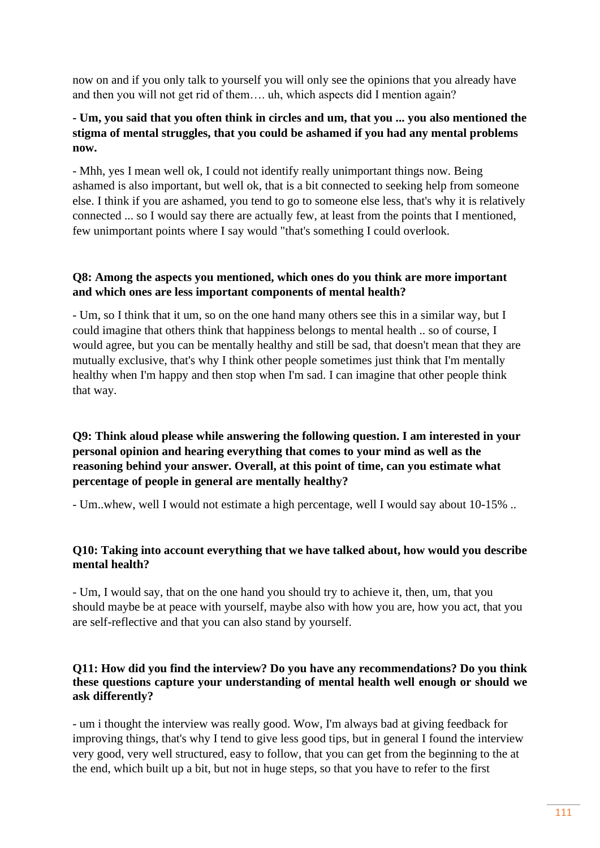now on and if you only talk to yourself you will only see the opinions that you already have and then you will not get rid of them…. uh, which aspects did I mention again?

# **- Um, you said that you often think in circles and um, that you ... you also mentioned the stigma of mental struggles, that you could be ashamed if you had any mental problems now.**

- Mhh, yes I mean well ok, I could not identify really unimportant things now. Being ashamed is also important, but well ok, that is a bit connected to seeking help from someone else. I think if you are ashamed, you tend to go to someone else less, that's why it is relatively connected ... so I would say there are actually few, at least from the points that I mentioned, few unimportant points where I say would "that's something I could overlook.

# **Q8: Among the aspects you mentioned, which ones do you think are more important and which ones are less important components of mental health?**

- Um, so I think that it um, so on the one hand many others see this in a similar way, but I could imagine that others think that happiness belongs to mental health .. so of course, I would agree, but you can be mentally healthy and still be sad, that doesn't mean that they are mutually exclusive, that's why I think other people sometimes just think that I'm mentally healthy when I'm happy and then stop when I'm sad. I can imagine that other people think that way.

# **Q9: Think aloud please while answering the following question. I am interested in your personal opinion and hearing everything that comes to your mind as well as the reasoning behind your answer. Overall, at this point of time, can you estimate what percentage of people in general are mentally healthy?**

- Um..whew, well I would not estimate a high percentage, well I would say about 10-15% ..

# **Q10: Taking into account everything that we have talked about, how would you describe mental health?**

- Um, I would say, that on the one hand you should try to achieve it, then, um, that you should maybe be at peace with yourself, maybe also with how you are, how you act, that you are self-reflective and that you can also stand by yourself.

# **Q11: How did you find the interview? Do you have any recommendations? Do you think these questions capture your understanding of mental health well enough or should we ask differently?**

- um i thought the interview was really good. Wow, I'm always bad at giving feedback for improving things, that's why I tend to give less good tips, but in general I found the interview very good, very well structured, easy to follow, that you can get from the beginning to the at the end, which built up a bit, but not in huge steps, so that you have to refer to the first